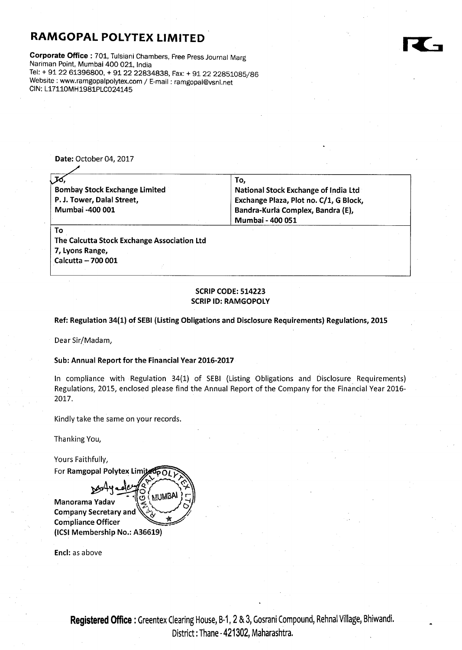# **RAMGOPAL POLYTEX LIMITED**

Corporate Office: 701, Tulsiani Chambers, Free Press Journal Marg Nariman Point, Mumbai 400 021, India Tel: + 91 22 61396800, + 91 22 22834838, Fax: + 91 22 22851085/86 Website: www.ramgopalpolytex.com / E-mail: ramgopal@vsnl.net CIN: L17110MH1981PLC024145

|                                             | To.                                    |
|---------------------------------------------|----------------------------------------|
| <b>Bombay Stock Exchange Limited</b>        | National Stock Exchange of India Ltd   |
| P. J. Tower, Dalal Street,                  | Exchange Plaza, Plot no. C/1, G Block, |
| Mumbai -400 001                             | Bandra-Kurla Complex, Bandra (E),      |
|                                             | Mumbai - 400 051                       |
| To                                          |                                        |
| The Calcutta Stock Exchange Association Ltd |                                        |
| 7, Lyons Range,                             |                                        |
| Calcutta - 700 001                          |                                        |

# **SCRIP CODE: 514223 SCRIP ID: RAMGOPOLY**

Ref: Regulation 34(1) of SEBI (Listing Obligations and Disclosure Requirements) Regulations, 2015

Dear Sir/Madam,

# Sub: Annual Report for the Financial Year 2016-2017

In compliance with Regulation 34(1) of SEBI (Listing Obligations and Disclosure Requirements) Regulations, 2015, enclosed please find the Annual Report of the Company for the Financial Year 2016-2017.

Kindly take the same on your records.

Thanking You,

Yours Faithfully,

For Ramgopal Polytex Limitedpol **MUMBA** Manorama Yadav **Company Secretary and Compliance Officer** (ICSI Membership No.: A36619)

Encl: as above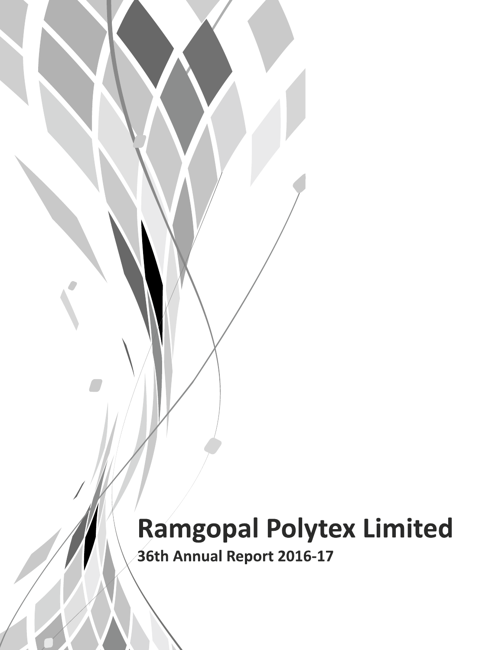# **Ramgopal Polytex Limited**

36th Annual Report 2016-17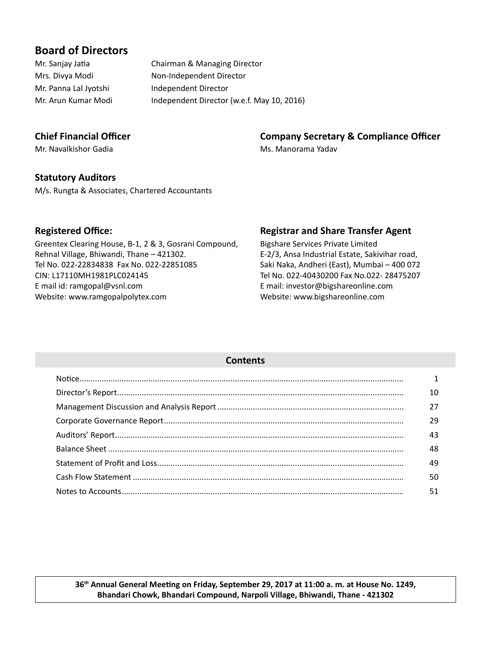# **Board of Directors**

Mr. Panna Lal Jyotshi Independent Director

Mr. Sanjay Jatia Chairman & Managing Director Mrs. Divya Modi Non-Independent Director Mr. Arun Kumar Modi Independent Director (w.e.f. May 10, 2016)

# **Chief Financial Officer**

Mr. Navalkishor Gadia

# **Statutory Auditors**

M/s. Rungta & Associates, Chartered Accountants

# **Registered Office:**

Greentex Clearing House, B-1, 2 & 3, Gosrani Compound, Rehnal Village, Bhiwandi, Thane – 421302. Tel No. 022-22834838 Fax No. 022-22851085 CIN: L17110MH1981PLC024145 E mail id: ramgopal@vsnl.com Website: www.ramgopalpolytex.com

# **Registrar and Share Transfer Agent**

Ms. Manorama Yadav

**Company Secretary & Compliance Officer**

Bigshare Services Private Limited E-2/3, Ansa Industrial Estate, Sakivihar road, Saki Naka, Andheri (East), Mumbai – 400 072 Tel No. 022-40430200 Fax No.022- 28475207 E mail: investor@bigshareonline.com Website: www.bigshareonline.com

# **Contents**

| 1  |
|----|
| 10 |
| 27 |
| 29 |
| 43 |
| 48 |
| 49 |
| 50 |
| 51 |

**36th Annual General Meeting on Friday, September 29, 2017 at 11:00 a. m. at House No. 1249, Bhandari Chowk, Bhandari Compound, Narpoli Village, Bhiwandi, Thane - 421302**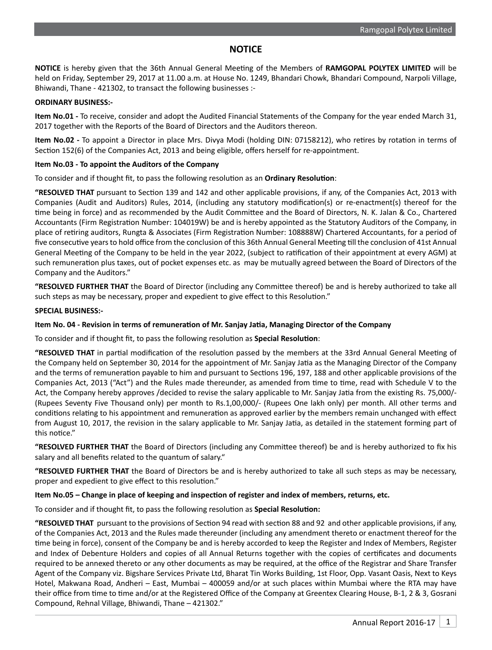# **NOTICE**

**NOTICE** is hereby given that the 36th Annual General Meeting of the Members of **RAMGOPAL POLYTEX LIMITED** will be held on Friday, September 29, 2017 at 11.00 a.m. at House No. 1249, Bhandari Chowk, Bhandari Compound, Narpoli Village, Bhiwandi, Thane - 421302, to transact the following businesses :-

## **ORDINARY BUSINESS:-**

**Item No.01 -** To receive, consider and adopt the Audited Financial Statements of the Company for the year ended March 31, 2017 together with the Reports of the Board of Directors and the Auditors thereon.

**Item No.02 -** To appoint a Director in place Mrs. Divya Modi (holding DIN: 07158212), who retires by rotation in terms of Section 152(6) of the Companies Act, 2013 and being eligible, offers herself for re-appointment.

## **Item No.03 - To appoint the Auditors of the Company**

To consider and if thought fit, to pass the following resolution as an **Ordinary Resolution**:

**"RESOLVED THAT** pursuant to Section 139 and 142 and other applicable provisions, if any, of the Companies Act, 2013 with Companies (Audit and Auditors) Rules, 2014, (including any statutory modification(s) or re-enactment(s) thereof for the time being in force) and as recommended by the Audit Committee and the Board of Directors, N. K. Jalan & Co., Chartered Accountants (Firm Registration Number: 104019W) be and is hereby appointed as the Statutory Auditors of the Company, in place of retiring auditors, Rungta & Associates (Firm Registration Number: 108888W) Chartered Accountants, for a period of five consecutive years to hold office from the conclusion of this 36th Annual General Meeting till the conclusion of 41st Annual General Meeting of the Company to be held in the year 2022, (subject to ratification of their appointment at every AGM) at such remuneration plus taxes, out of pocket expenses etc. as may be mutually agreed between the Board of Directors of the Company and the Auditors."

**"RESOLVED FURTHER THAT** the Board of Director (including any Committee thereof) be and is hereby authorized to take all such steps as may be necessary, proper and expedient to give effect to this Resolution."

## **SPECIAL BUSINESS:-**

## **Item No. 04 - Revision in terms of remuneration of Mr. Sanjay Jatia, Managing Director of the Company**

To consider and if thought fit, to pass the following resolution as **Special Resolution**:

**"RESOLVED THAT** in partial modification of the resolution passed by the members at the 33rd Annual General Meeting of the Company held on September 30, 2014 for the appointment of Mr. Sanjay Jatia as the Managing Director of the Company and the terms of remuneration payable to him and pursuant to Sections 196, 197, 188 and other applicable provisions of the Companies Act, 2013 ("Act") and the Rules made thereunder, as amended from time to time, read with Schedule V to the Act, the Company hereby approves /decided to revise the salary applicable to Mr. Sanjay Jatia from the existing Rs. 75,000/- (Rupees Seventy Five Thousand only) per month to Rs.1,00,000/- (Rupees One lakh only) per month. All other terms and conditions relating to his appointment and remuneration as approved earlier by the members remain unchanged with effect from August 10, 2017, the revision in the salary applicable to Mr. Sanjay Jatia, as detailed in the statement forming part of this notice."

**"RESOLVED FURTHER THAT** the Board of Directors (including any Committee thereof) be and is hereby authorized to fix his salary and all benefits related to the quantum of salary."

**"RESOLVED FURTHER THAT** the Board of Directors be and is hereby authorized to take all such steps as may be necessary, proper and expedient to give effect to this resolution."

#### **Item No.05 – Change in place of keeping and inspection of register and index of members, returns, etc.**

To consider and if thought fit, to pass the following resolution as **Special Resolution:**

**"RESOLVED THAT** pursuant to the provisions of Section 94 read with section 88 and 92 and other applicable provisions, if any, of the Companies Act, 2013 and the Rules made thereunder (including any amendment thereto or enactment thereof for the time being in force), consent of the Company be and is hereby accorded to keep the Register and Index of Members, Register and Index of Debenture Holders and copies of all Annual Returns together with the copies of certificates and documents required to be annexed thereto or any other documents as may be required, at the office of the Registrar and Share Transfer Agent of the Company viz. Bigshare Services Private Ltd, Bharat Tin Works Building, 1st Floor, Opp. Vasant Oasis, Next to Keys Hotel, Makwana Road, Andheri – East, Mumbai – 400059 and/or at such places within Mumbai where the RTA may have their office from time to time and/or at the Registered Office of the Company at Greentex Clearing House, B-1, 2 & 3, Gosrani Compound, Rehnal Village, Bhiwandi, Thane – 421302."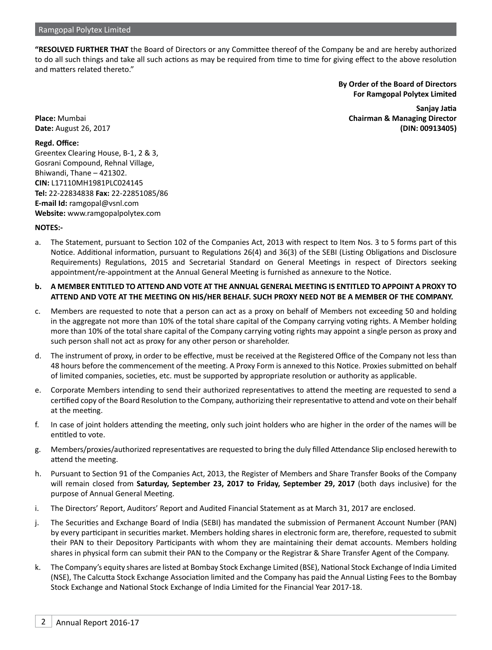**"RESOLVED FURTHER THAT** the Board of Directors or any Committee thereof of the Company be and are hereby authorized to do all such things and take all such actions as may be required from time to time for giving effect to the above resolution and matters related thereto."

> **By Order of the Board of Directors For Ramgopal Polytex Limited**

#### **Regd. Office:**

Greentex Clearing House, B-1, 2 & 3, Gosrani Compound, Rehnal Village, Bhiwandi, Thane – 421302. **CIN:** L17110MH1981PLC024145 **Tel:** 22-22834838 **Fax:** 22-22851085/86 **E-mail Id:** ramgopal@vsnl.com **Website:** www.ramgopalpolytex.com

#### **NOTES:-**

- a. The Statement, pursuant to Section 102 of the Companies Act, 2013 with respect to Item Nos. 3 to 5 forms part of this Notice. Additional information, pursuant to Regulations 26(4) and 36(3) of the SEBI (Listing Obligations and Disclosure Requirements) Regulations, 2015 and Secretarial Standard on General Meetings in respect of Directors seeking appointment/re-appointment at the Annual General Meeting is furnished as annexure to the Notice.
- **b. A MEMBER ENTITLED TO ATTEND AND VOTE AT THE ANNUAL GENERAL MEETING IS ENTITLED TO APPOINT A PROXY TO ATTEND AND VOTE AT THE MEETING ON HIS/HER BEHALF. SUCH PROXY NEED NOT BE A MEMBER OF THE COMPANY.**
- c. Members are requested to note that a person can act as a proxy on behalf of Members not exceeding 50 and holding in the aggregate not more than 10% of the total share capital of the Company carrying voting rights. A Member holding more than 10% of the total share capital of the Company carrying voting rights may appoint a single person as proxy and such person shall not act as proxy for any other person or shareholder.
- d. The instrument of proxy, in order to be effective, must be received at the Registered Office of the Company not less than 48 hours before the commencement of the meeting. A Proxy Form is annexed to this Notice. Proxies submitted on behalf of limited companies, societies, etc. must be supported by appropriate resolution or authority as applicable.
- e. Corporate Members intending to send their authorized representatives to attend the meeting are requested to send a certified copy of the Board Resolution to the Company, authorizing their representative to attend and vote on their behalf at the meeting.
- f. In case of joint holders attending the meeting, only such joint holders who are higher in the order of the names will be entitled to vote.
- g. Members/proxies/authorized representatives are requested to bring the duly filled Attendance Slip enclosed herewith to attend the meeting.
- h. Pursuant to Section 91 of the Companies Act, 2013, the Register of Members and Share Transfer Books of the Company will remain closed from **Saturday, September 23, 2017 to Friday, September 29, 2017** (both days inclusive) for the purpose of Annual General Meeting.
- i. The Directors' Report, Auditors' Report and Audited Financial Statement as at March 31, 2017 are enclosed.
- j. The Securities and Exchange Board of India (SEBI) has mandated the submission of Permanent Account Number (PAN) by every participant in securities market. Members holding shares in electronic form are, therefore, requested to submit their PAN to their Depository Participants with whom they are maintaining their demat accounts. Members holding shares in physical form can submit their PAN to the Company or the Registrar & Share Transfer Agent of the Company.
- k. The Company's equity shares are listed at Bombay Stock Exchange Limited (BSE), National Stock Exchange of India Limited (NSE), The Calcutta Stock Exchange Association limited and the Company has paid the Annual Listing Fees to the Bombay Stock Exchange and National Stock Exchange of India Limited for the Financial Year 2017-18.

**Sanjay Jatia Place:** Mumbai **Chairman & Managing Director Date:** August 26, 2017 **(DIN: 00913405)**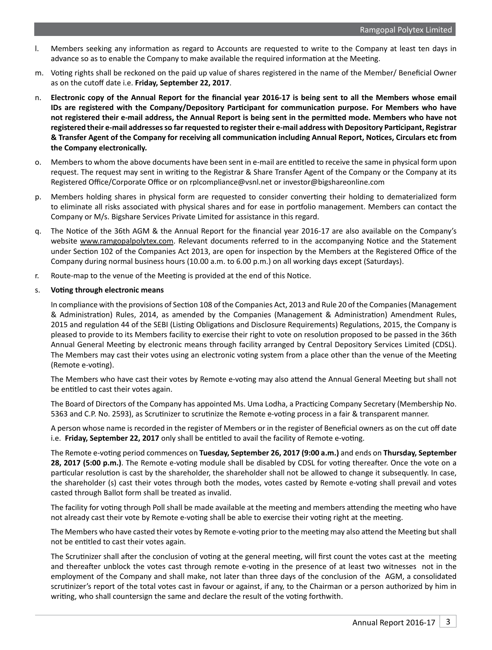- l. Members seeking any information as regard to Accounts are requested to write to the Company at least ten days in advance so as to enable the Company to make available the required information at the Meeting.
- m. Voting rights shall be reckoned on the paid up value of shares registered in the name of the Member/ Beneficial Owner as on the cutoff date i.e. **Friday, September 22, 2017**.
- n. **Electronic copy of the Annual Report for the financial year 2016-17 is being sent to all the Members whose email IDs are registered with the Company/Depository Participant for communication purpose. For Members who have not registered their e-mail address, the Annual Report is being sent in the permitted mode. Members who have not registered their e-mail addresses so far requested to register their e-mail address with Depository Participant, Registrar & Transfer Agent of the Company for receiving all communication including Annual Report, Notices, Circulars etc from the Company electronically.**
- o. Members to whom the above documents have been sent in e-mail are entitled to receive the same in physical form upon request. The request may sent in writing to the Registrar & Share Transfer Agent of the Company or the Company at its Registered Office/Corporate Office or on rplcompliance@vsnl.net or investor@bigshareonline.com
- p. Members holding shares in physical form are requested to consider converting their holding to dematerialized form to eliminate all risks associated with physical shares and for ease in portfolio management. Members can contact the Company or M/s. Bigshare Services Private Limited for assistance in this regard.
- q. The Notice of the 36th AGM & the Annual Report for the financial year 2016-17 are also available on the Company's website www.ramgopalpolytex.com. Relevant documents referred to in the accompanying Notice and the Statement under Section 102 of the Companies Act 2013, are open for inspection by the Members at the Registered Office of the Company during normal business hours (10.00 a.m. to 6.00 p.m.) on all working days except (Saturdays).
- r. Route-map to the venue of the Meeting is provided at the end of this Notice.

## s. **Voting through electronic means**

In compliance with the provisions of Section 108 of the Companies Act, 2013 and Rule 20 of the Companies (Management & Administration) Rules, 2014, as amended by the Companies (Management & Administration) Amendment Rules, 2015 and regulation 44 of the SEBI (Listing Obligations and Disclosure Requirements) Regulations, 2015, the Company is pleased to provide to its Members facility to exercise their right to vote on resolution proposed to be passed in the 36th Annual General Meeting by electronic means through facility arranged by Central Depository Services Limited (CDSL). The Members may cast their votes using an electronic voting system from a place other than the venue of the Meeting (Remote e-voting).

The Members who have cast their votes by Remote e-voting may also attend the Annual General Meeting but shall not be entitled to cast their votes again.

The Board of Directors of the Company has appointed Ms. Uma Lodha, a Practicing Company Secretary (Membership No. 5363 and C.P. No. 2593), as Scrutinizer to scrutinize the Remote e-voting process in a fair & transparent manner.

A person whose name is recorded in the register of Members or in the register of Beneficial owners as on the cut off date i.e. **Friday, September 22, 2017** only shall be entitled to avail the facility of Remote e-voting.

The Remote e-voting period commences on **Tuesday, September 26, 2017 (9:00 a.m.)** and ends on **Thursday, September 28, 2017 (5:00 p.m.)**. The Remote e-voting module shall be disabled by CDSL for voting thereafter. Once the vote on a particular resolution is cast by the shareholder, the shareholder shall not be allowed to change it subsequently. In case, the shareholder (s) cast their votes through both the modes, votes casted by Remote e-voting shall prevail and votes casted through Ballot form shall be treated as invalid.

The facility for voting through Poll shall be made available at the meeting and members attending the meeting who have not already cast their vote by Remote e-voting shall be able to exercise their voting right at the meeting.

The Members who have casted their votes by Remote e-voting prior to the meeting may also attend the Meeting but shall not be entitled to cast their votes again.

The Scrutinizer shall after the conclusion of voting at the general meeting, will first count the votes cast at the meeting and thereafter unblock the votes cast through remote e-voting in the presence of at least two witnesses not in the employment of the Company and shall make, not later than three days of the conclusion of the AGM, a consolidated scrutinizer's report of the total votes cast in favour or against, if any, to the Chairman or a person authorized by him in writing, who shall countersign the same and declare the result of the voting forthwith.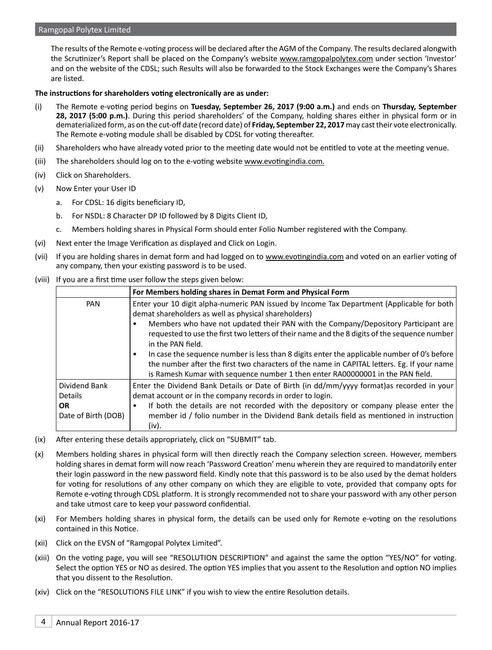The results of the Remote e-voting process will be declared after the AGM of the Company. The results declared alongwith the Scrutinizer's Report shall be placed on the Company's website www.ramgopalpolytex.com under section 'Investor' and on the website of the CDSL; such Results will also be forwarded to the Stock Exchanges were the Company's Shares are listed.

#### **The instructions for shareholders voting electronically are as under:**

- (i) The Remote e-voting period begins on **Tuesday, September 26, 2017 (9:00 a.m.)** and ends on **Thursday, September 28, 2017 (5:00 p.m.)**. During this period shareholders' of the Company, holding shares either in physical form or in dematerialized form, as on the cut-off date (record date) of **Friday, September 22, 2017** may cast their vote electronically. The Remote e-voting module shall be disabled by CDSL for voting thereafter.
- (ii) Shareholders who have already voted prior to the meeting date would not be entitled to vote at the meeting venue.
- (iii) The shareholders should log on to the e-voting website www.evotingindia.com.
- (iv) Click on Shareholders.
- (v) Now Enter your User ID
	- a. For CDSL: 16 digits beneficiary ID,
	- b. For NSDL: 8 Character DP ID followed by 8 Digits Client ID,
	- c. Members holding shares in Physical Form should enter Folio Number registered with the Company.
- (vi) Next enter the Image Verification as displayed and Click on Login.
- (vii) If you are holding shares in demat form and had logged on to www.evotingindia.com and voted on an earlier voting of any company, then your existing password is to be used.
- (viii) If you are a first time user follow the steps given below:

|                                                                     | For Members holding shares in Demat Form and Physical Form                                                                                                                                                                                                                                                                                                                                                                                                                                                                                                                                                                                   |
|---------------------------------------------------------------------|----------------------------------------------------------------------------------------------------------------------------------------------------------------------------------------------------------------------------------------------------------------------------------------------------------------------------------------------------------------------------------------------------------------------------------------------------------------------------------------------------------------------------------------------------------------------------------------------------------------------------------------------|
| PAN                                                                 | Enter your 10 digit alpha-numeric PAN issued by Income Tax Department (Applicable for both<br>demat shareholders as well as physical shareholders)<br>Members who have not updated their PAN with the Company/Depository Participant are<br>requested to use the first two letters of their name and the 8 digits of the sequence number<br>in the PAN field.<br>In case the sequence number is less than 8 digits enter the applicable number of 0's before<br>the number after the first two characters of the name in CAPITAL letters. Eg. If your name<br>is Ramesh Kumar with sequence number 1 then enter RA00000001 in the PAN field. |
| Dividend Bank<br><b>Details</b><br><b>OR</b><br>Date of Birth (DOB) | Enter the Dividend Bank Details or Date of Birth (in dd/mm/yyyy format) as recorded in your<br>demat account or in the company records in order to login.<br>If both the details are not recorded with the depository or company please enter the<br>member id / folio number in the Dividend Bank details field as mentioned in instruction<br>(iv).                                                                                                                                                                                                                                                                                        |

- (ix) After entering these details appropriately, click on "SUBMIT" tab.
- (x) Members holding shares in physical form will then directly reach the Company selection screen. However, members holding shares in demat form will now reach 'Password Creation' menu wherein they are required to mandatorily enter their login password in the new password field. Kindly note that this password is to be also used by the demat holders for voting for resolutions of any other company on which they are eligible to vote, provided that company opts for Remote e-voting through CDSL platform. It is strongly recommended not to share your password with any other person and take utmost care to keep your password confidential.
- (xi) For Members holding shares in physical form, the details can be used only for Remote e-voting on the resolutions contained in this Notice.
- (xii) Click on the EVSN of "Ramgopal Polytex Limited".
- (xiii) On the voting page, you will see "RESOLUTION DESCRIPTION" and against the same the option "YES/NO" for voting. Select the option YES or NO as desired. The option YES implies that you assent to the Resolution and option NO implies that you dissent to the Resolution.
- (xiv) Click on the "RESOLUTIONS FILE LINK" if you wish to view the entire Resolution details.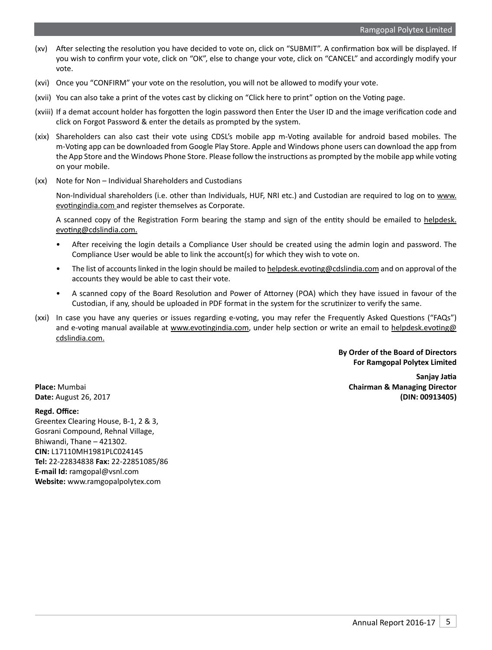- (xv) After selecting the resolution you have decided to vote on, click on "SUBMIT". A confirmation box will be displayed. If you wish to confirm your vote, click on "OK", else to change your vote, click on "CANCEL" and accordingly modify your vote.
- (xvi) Once you "CONFIRM" your vote on the resolution, you will not be allowed to modify your vote.
- (xvii) You can also take a print of the votes cast by clicking on "Click here to print" option on the Voting page.
- (xviii) If a demat account holder has forgotten the login password then Enter the User ID and the image verification code and click on Forgot Password & enter the details as prompted by the system.
- (xix) Shareholders can also cast their vote using CDSL's mobile app m-Voting available for android based mobiles. The m-Voting app can be downloaded from Google Play Store. Apple and Windows phone users can download the app from the App Store and the Windows Phone Store. Please follow the instructions as prompted by the mobile app while voting on your mobile.
- (xx) Note for Non Individual Shareholders and Custodians

Non-Individual shareholders (i.e. other than Individuals, HUF, NRI etc.) and Custodian are required to log on to www. evotingindia.com and register themselves as Corporate.

A scanned copy of the Registration Form bearing the stamp and sign of the entity should be emailed to helpdesk. evoting@cdslindia.com.

- After receiving the login details a Compliance User should be created using the admin login and password. The Compliance User would be able to link the account(s) for which they wish to vote on.
- The list of accounts linked in the login should be mailed to helpdesk.evoting@cdslindia.com and on approval of the accounts they would be able to cast their vote.
- A scanned copy of the Board Resolution and Power of Attorney (POA) which they have issued in favour of the Custodian, if any, should be uploaded in PDF format in the system for the scrutinizer to verify the same.
- (xxi) In case you have any queries or issues regarding e-voting, you may refer the Frequently Asked Questions ("FAQs") and e-voting manual available at www.evotingindia.com, under help section or write an email to helpdesk.evoting@ cdslindia.com.

**By Order of the Board of Directors For Ramgopal Polytex Limited**

**Sanjay Jatia Place:** Mumbai **Chairman & Managing Director Date:** August 26, 2017 **(DIN: 00913405)**

#### **Regd. Office:**

Greentex Clearing House, B-1, 2 & 3, Gosrani Compound, Rehnal Village, Bhiwandi, Thane – 421302. **CIN:** L17110MH1981PLC024145 **Tel:** 22-22834838 **Fax:** 22-22851085/86 **E-mail Id:** ramgopal@vsnl.com **Website:** www.ramgopalpolytex.com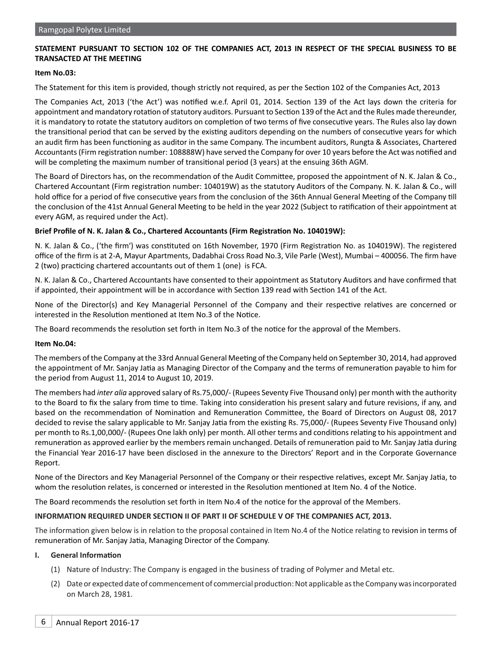# **STATEMENT PURSUANT TO SECTION 102 OF THE COMPANIES ACT, 2013 IN RESPECT OF THE SPECIAL BUSINESS TO BE TRANSACTED AT THE MEETING**

## **Item No.03:**

The Statement for this item is provided, though strictly not required, as per the Section 102 of the Companies Act, 2013

The Companies Act, 2013 ('the Act') was notified w.e.f. April 01, 2014. Section 139 of the Act lays down the criteria for appointment and mandatory rotation of statutory auditors. Pursuant to Section 139 of the Act and the Rules made thereunder, it is mandatory to rotate the statutory auditors on completion of two terms of five consecutive years. The Rules also lay down the transitional period that can be served by the existing auditors depending on the numbers of consecutive years for which an audit firm has been functioning as auditor in the same Company. The incumbent auditors, Rungta & Associates, Chartered Accountants (Firm registration number: 108888W) have served the Company for over 10 years before the Act was notified and will be completing the maximum number of transitional period (3 years) at the ensuing 36th AGM.

The Board of Directors has, on the recommendation of the Audit Committee, proposed the appointment of N. K. Jalan & Co., Chartered Accountant (Firm registration number: 104019W) as the statutory Auditors of the Company. N. K. Jalan & Co., will hold office for a period of five consecutive years from the conclusion of the 36th Annual General Meeting of the Company till the conclusion of the 41st Annual General Meeting to be held in the year 2022 (Subject to ratification of their appointment at every AGM, as required under the Act).

# **Brief Profile of N. K. Jalan & Co., Chartered Accountants (Firm Registration No. 104019W):**

N. K. Jalan & Co., ('the firm') was constituted on 16th November, 1970 (Firm Registration No. as 104019W). The registered office of the firm is at 2-A, Mayur Apartments, Dadabhai Cross Road No.3, Vile Parle (West), Mumbai – 400056. The firm have 2 (two) practicing chartered accountants out of them 1 (one) is FCA.

N. K. Jalan & Co., Chartered Accountants have consented to their appointment as Statutory Auditors and have confirmed that if appointed, their appointment will be in accordance with Section 139 read with Section 141 of the Act.

None of the Director(s) and Key Managerial Personnel of the Company and their respective relatives are concerned or interested in the Resolution mentioned at Item No.3 of the Notice.

The Board recommends the resolution set forth in Item No.3 of the notice for the approval of the Members.

#### **Item No.04:**

The members of the Company at the 33rd Annual General Meeting of the Company held on September 30, 2014, had approved the appointment of Mr. Sanjay Jatia as Managing Director of the Company and the terms of remuneration payable to him for the period from August 11, 2014 to August 10, 2019.

The members had *inter alia* approved salary of Rs.75,000/- (Rupees Seventy Five Thousand only) per month with the authority to the Board to fix the salary from time to time. Taking into consideration his present salary and future revisions, if any, and based on the recommendation of Nomination and Remuneration Committee, the Board of Directors on August 08, 2017 decided to revise the salary applicable to Mr. Sanjay Jatia from the existing Rs. 75,000/- (Rupees Seventy Five Thousand only) per month to Rs.1,00,000/- (Rupees One lakh only) per month. All other terms and conditions relating to his appointment and remuneration as approved earlier by the members remain unchanged. Details of remuneration paid to Mr. Sanjay Jatia during the Financial Year 2016-17 have been disclosed in the annexure to the Directors' Report and in the Corporate Governance Report.

None of the Directors and Key Managerial Personnel of the Company or their respective relatives, except Mr. Sanjay Jatia, to whom the resolution relates, is concerned or interested in the Resolution mentioned at Item No. 4 of the Notice.

The Board recommends the resolution set forth in Item No.4 of the notice for the approval of the Members.

# **INFORMATION REQUIRED UNDER SECTION II OF PART II OF SCHEDULE V OF THE COMPANIES ACT, 2013.**

The information given below is in relation to the proposal contained in Item No.4 of the Notice relating to revision in terms of remuneration of Mr. Sanjay Jatia, Managing Director of the Company.

# **I. General Information**

- (1) Nature of Industry: The Company is engaged in the business of trading of Polymer and Metal etc.
- (2) Date or expected date of commencement of commercial production: Not applicable as the Company was incorporated on March 28, 1981.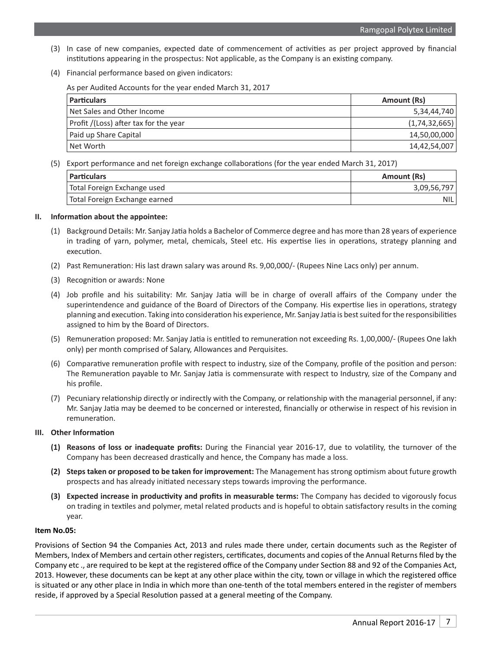- (3) In case of new companies, expected date of commencement of activities as per project approved by financial institutions appearing in the prospectus: Not applicable, as the Company is an existing company.
- (4) Financial performance based on given indicators:

As per Audited Accounts for the year ended March 31, 2017

| <b>Particulars</b>                    | Amount (Rs)   |
|---------------------------------------|---------------|
| Net Sales and Other Income            | 5,34,44,740   |
| Profit /(Loss) after tax for the year | (1,74,32,665) |
| Paid up Share Capital                 | 14,50,00,000  |
| Net Worth                             | 14,42,54,007  |

(5) Export performance and net foreign exchange collaborations (for the year ended March 31, 2017)

| <b>Particulars</b>            | Amount (Rs) |
|-------------------------------|-------------|
| Total Foreign Exchange used   | 3,09,56,797 |
| Total Foreign Exchange earned | <b>NIL</b>  |

## **II. Information about the appointee:**

- (1) Background Details: Mr. Sanjay Jatia holds a Bachelor of Commerce degree and has more than 28 years of experience in trading of yarn, polymer, metal, chemicals, Steel etc. His expertise lies in operations, strategy planning and execution.
- (2) Past Remuneration: His last drawn salary was around Rs. 9,00,000/- (Rupees Nine Lacs only) per annum.
- (3) Recognition or awards: None
- (4) Job profile and his suitability: Mr. Sanjay Jatia will be in charge of overall affairs of the Company under the superintendence and guidance of the Board of Directors of the Company. His expertise lies in operations, strategy planning and execution. Taking into consideration his experience, Mr. Sanjay Jatia is best suited for the responsibilities assigned to him by the Board of Directors.
- (5) Remuneration proposed: Mr. Sanjay Jatia is entitled to remuneration not exceeding Rs. 1,00,000/- (Rupees One lakh only) per month comprised of Salary, Allowances and Perquisites.
- (6) Comparative remuneration profile with respect to industry, size of the Company, profile of the position and person: The Remuneration payable to Mr. Sanjay Jatia is commensurate with respect to Industry, size of the Company and his profile.
- (7) Pecuniary relationship directly or indirectly with the Company, or relationship with the managerial personnel, if any: Mr. Sanjay Jatia may be deemed to be concerned or interested, financially or otherwise in respect of his revision in remuneration.

#### **III. Other Information**

- **(1) Reasons of loss or inadequate profits:** During the Financial year 2016-17, due to volatility, the turnover of the Company has been decreased drastically and hence, the Company has made a loss.
- **(2) Steps taken or proposed to be taken for improvement:** The Management has strong optimism about future growth prospects and has already initiated necessary steps towards improving the performance.
- **(3) Expected increase in productivity and profits in measurable terms:** The Company has decided to vigorously focus on trading in textiles and polymer, metal related products and is hopeful to obtain satisfactory results in the coming year.

#### **Item No.05:**

Provisions of Section 94 the Companies Act, 2013 and rules made there under, certain documents such as the Register of Members, Index of Members and certain other registers, certificates, documents and copies of the Annual Returns filed by the Company etc ., are required to be kept at the registered office of the Company under Section 88 and 92 of the Companies Act, 2013. However, these documents can be kept at any other place within the city, town or village in which the registered office is situated or any other place in India in which more than one-tenth of the total members entered in the register of members reside, if approved by a Special Resolution passed at a general meeting of the Company.

7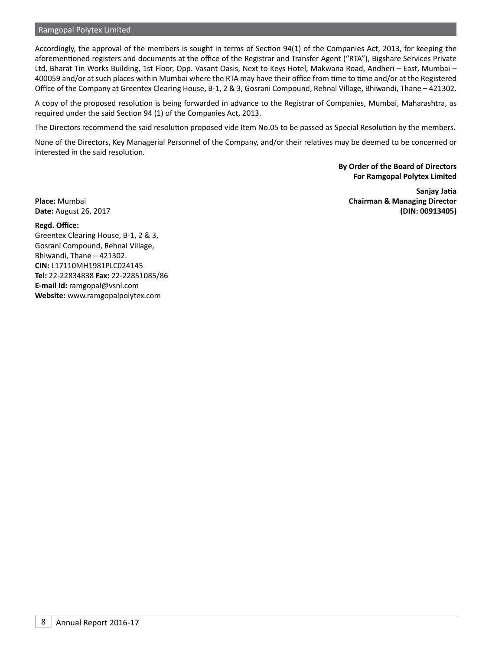## Ramgopal Polytex Limited

Accordingly, the approval of the members is sought in terms of Section 94(1) of the Companies Act, 2013, for keeping the aforementioned registers and documents at the office of the Registrar and Transfer Agent ("RTA"), Bigshare Services Private Ltd, Bharat Tin Works Building, 1st Floor, Opp. Vasant Oasis, Next to Keys Hotel, Makwana Road, Andheri – East, Mumbai – 400059 and/or at such places within Mumbai where the RTA may have their office from time to time and/or at the Registered Office of the Company at Greentex Clearing House, B-1, 2 & 3, Gosrani Compound, Rehnal Village, Bhiwandi, Thane – 421302.

A copy of the proposed resolution is being forwarded in advance to the Registrar of Companies, Mumbai, Maharashtra, as required under the said Section 94 (1) of the Companies Act, 2013.

The Directors recommend the said resolution proposed vide Item No.05 to be passed as Special Resolution by the members.

None of the Directors, Key Managerial Personnel of the Company, and/or their relatives may be deemed to be concerned or interested in the said resolution.

> **By Order of the Board of Directors For Ramgopal Polytex Limited**

**Sanjay Jatia Place:** Mumbai **Chairman & Managing Director Date:** August 26, 2017 **(DIN: 00913405)**

#### **Regd. Office:**

Greentex Clearing House, B-1, 2 & 3, Gosrani Compound, Rehnal Village, Bhiwandi, Thane – 421302. **CIN:** L17110MH1981PLC024145 **Tel:** 22-22834838 **Fax:** 22-22851085/86 **E-mail Id:** ramgopal@vsnl.com **Website:** www.ramgopalpolytex.com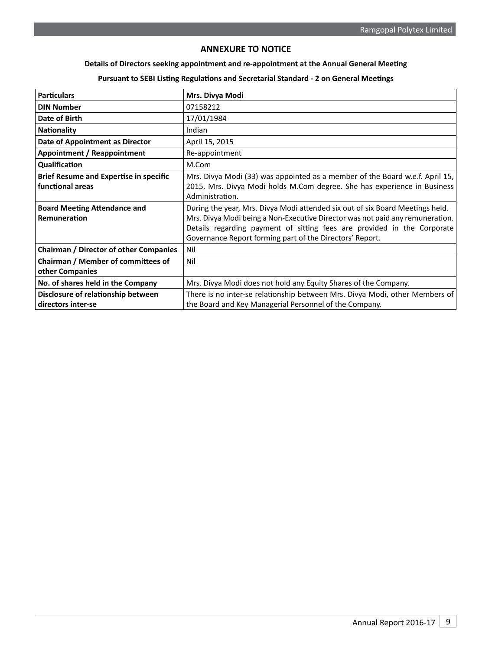# **ANNEXURE TO NOTICE**

# **Details of Directors seeking appointment and re-appointment at the Annual General Meeting**

# **Pursuant to SEBI Listing Regulations and Secretarial Standard - 2 on General Meetings**

| <b>Particulars</b>                                                | Mrs. Divya Modi                                                                                                                                          |
|-------------------------------------------------------------------|----------------------------------------------------------------------------------------------------------------------------------------------------------|
| <b>DIN Number</b>                                                 | 07158212                                                                                                                                                 |
| Date of Birth                                                     | 17/01/1984                                                                                                                                               |
| <b>Nationality</b>                                                | Indian                                                                                                                                                   |
| Date of Appointment as Director                                   | April 15, 2015                                                                                                                                           |
| <b>Appointment / Reappointment</b>                                | Re-appointment                                                                                                                                           |
| Qualification                                                     | M.Com                                                                                                                                                    |
| <b>Brief Resume and Expertise in specific</b><br>functional areas | Mrs. Divya Modi (33) was appointed as a member of the Board w.e.f. April 15,<br>2015. Mrs. Divya Modi holds M.Com degree. She has experience in Business |
|                                                                   | Administration.                                                                                                                                          |
| <b>Board Meeting Attendance and</b>                               | During the year, Mrs. Divya Modi attended six out of six Board Meetings held.                                                                            |
| Remuneration                                                      | Mrs. Divya Modi being a Non-Executive Director was not paid any remuneration.                                                                            |
|                                                                   | Details regarding payment of sitting fees are provided in the Corporate                                                                                  |
|                                                                   | Governance Report forming part of the Directors' Report.                                                                                                 |
| <b>Chairman / Director of other Companies</b>                     | Nil                                                                                                                                                      |
| Chairman / Member of committees of                                | Nil                                                                                                                                                      |
| other Companies                                                   |                                                                                                                                                          |
| No. of shares held in the Company                                 | Mrs. Divya Modi does not hold any Equity Shares of the Company.                                                                                          |
| Disclosure of relationship between                                | There is no inter-se relationship between Mrs. Divya Modi, other Members of                                                                              |
| directors inter-se                                                | the Board and Key Managerial Personnel of the Company.                                                                                                   |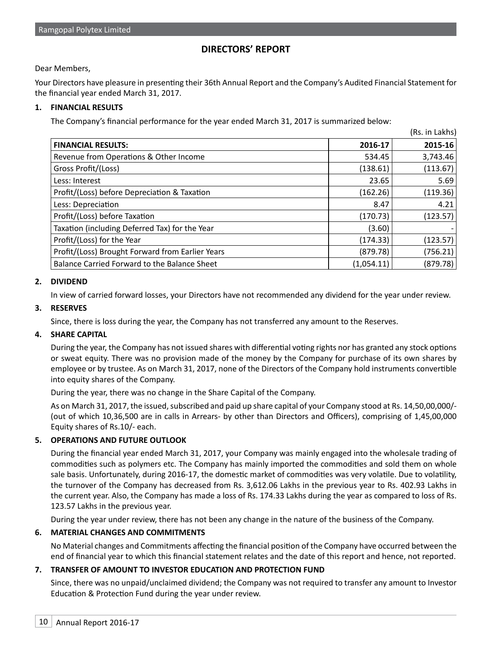# **DIRECTORS' REPORT**

Dear Members,

Your Directors have pleasure in presenting their 36th Annual Report and the Company's Audited Financial Statement for the financial year ended March 31, 2017.

(Rs. in Lakhs)

# **1. FINANCIAL RESULTS**

The Company's financial performance for the year ended March 31, 2017 is summarized below:

|                                                  |            | (RS. In Lakhs) |
|--------------------------------------------------|------------|----------------|
| <b>FINANCIAL RESULTS:</b>                        | 2016-17    | 2015-16        |
| Revenue from Operations & Other Income           | 534.45     | 3,743.46       |
| Gross Profit/(Loss)                              | (138.61)   | (113.67)       |
| Less: Interest                                   | 23.65      | 5.69           |
| Profit/(Loss) before Depreciation & Taxation     | (162.26)   | (119.36)       |
| Less: Depreciation                               | 8.47       | 4.21           |
| Profit/(Loss) before Taxation                    | (170.73)   | (123.57)       |
| Taxation (including Deferred Tax) for the Year   | (3.60)     |                |
| Profit/(Loss) for the Year                       | (174.33)   | (123.57)       |
| Profit/(Loss) Brought Forward from Earlier Years | (879.78)   | (756.21)       |
| Balance Carried Forward to the Balance Sheet     | (1,054.11) | (879.78)       |

# **2. DIVIDEND**

In view of carried forward losses, your Directors have not recommended any dividend for the year under review.

# **3. RESERVES**

Since, there is loss during the year, the Company has not transferred any amount to the Reserves.

# **4. SHARE CAPITAL**

During the year, the Company has not issued shares with differential voting rights nor has granted any stock options or sweat equity. There was no provision made of the money by the Company for purchase of its own shares by employee or by trustee. As on March 31, 2017, none of the Directors of the Company hold instruments convertible into equity shares of the Company.

During the year, there was no change in the Share Capital of the Company.

As on March 31, 2017, the issued, subscribed and paid up share capital of your Company stood at Rs. 14,50,00,000/- (out of which 10,36,500 are in calls in Arrears- by other than Directors and Officers), comprising of 1,45,00,000 Equity shares of Rs.10/- each.

# **5. OPERATIONS AND FUTURE OUTLOOK**

During the financial year ended March 31, 2017, your Company was mainly engaged into the wholesale trading of commodities such as polymers etc. The Company has mainly imported the commodities and sold them on whole sale basis. Unfortunately, during 2016-17, the domestic market of commodities was very volatile. Due to volatility, the turnover of the Company has decreased from Rs. 3,612.06 Lakhs in the previous year to Rs. 402.93 Lakhs in the current year. Also, the Company has made a loss of Rs. 174.33 Lakhs during the year as compared to loss of Rs. 123.57 Lakhs in the previous year.

During the year under review, there has not been any change in the nature of the business of the Company.

# **6. MATERIAL CHANGES AND COMMITMENTS**

No Material changes and Commitments affecting the financial position of the Company have occurred between the end of financial year to which this financial statement relates and the date of this report and hence, not reported.

# **7. TRANSFER OF AMOUNT TO INVESTOR EDUCATION AND PROTECTION FUND**

Since, there was no unpaid/unclaimed dividend; the Company was not required to transfer any amount to Investor Education & Protection Fund during the year under review.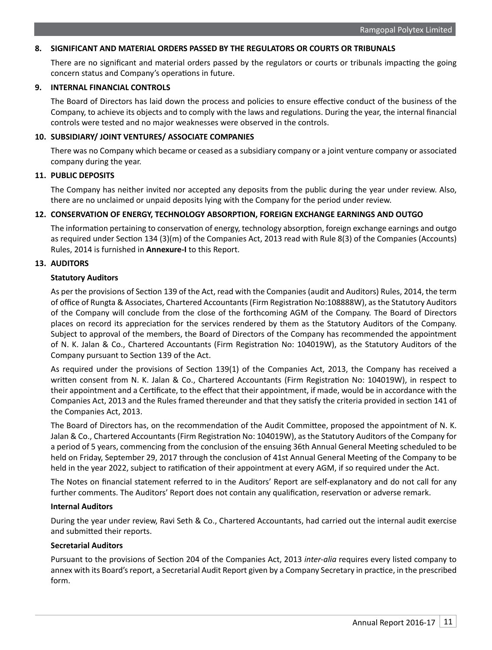## **8. SIGNIFICANT AND MATERIAL ORDERS PASSED BY THE REGULATORS OR COURTS OR TRIBUNALS**

There are no significant and material orders passed by the regulators or courts or tribunals impacting the going concern status and Company's operations in future.

## **9. INTERNAL FINANCIAL CONTROLS**

The Board of Directors has laid down the process and policies to ensure effective conduct of the business of the Company, to achieve its objects and to comply with the laws and regulations. During the year, the internal financial controls were tested and no major weaknesses were observed in the controls.

## **10. SUBSIDIARY/ JOINT VENTURES/ ASSOCIATE COMPANIES**

There was no Company which became or ceased as a subsidiary company or a joint venture company or associated company during the year.

## **11. PUBLIC DEPOSITS**

The Company has neither invited nor accepted any deposits from the public during the year under review. Also, there are no unclaimed or unpaid deposits lying with the Company for the period under review.

# **12. CONSERVATION OF ENERGY, TECHNOLOGY ABSORPTION, FOREIGN EXCHANGE EARNINGS AND OUTGO**

The information pertaining to conservation of energy, technology absorption, foreign exchange earnings and outgo as required under Section 134 (3)(m) of the Companies Act, 2013 read with Rule 8(3) of the Companies (Accounts) Rules, 2014 is furnished in **Annexure-I** to this Report.

# **13. AUDITORS**

# **Statutory Auditors**

As per the provisions of Section 139 of the Act, read with the Companies (audit and Auditors) Rules, 2014, the term of office of Rungta & Associates, Chartered Accountants (Firm Registration No:108888W), as the Statutory Auditors of the Company will conclude from the close of the forthcoming AGM of the Company. The Board of Directors places on record its appreciation for the services rendered by them as the Statutory Auditors of the Company. Subject to approval of the members, the Board of Directors of the Company has recommended the appointment of N. K. Jalan & Co., Chartered Accountants (Firm Registration No: 104019W), as the Statutory Auditors of the Company pursuant to Section 139 of the Act.

As required under the provisions of Section 139(1) of the Companies Act, 2013, the Company has received a written consent from N. K. Jalan & Co., Chartered Accountants (Firm Registration No: 104019W), in respect to their appointment and a Certificate, to the effect that their appointment, if made, would be in accordance with the Companies Act, 2013 and the Rules framed thereunder and that they satisfy the criteria provided in section 141 of the Companies Act, 2013.

The Board of Directors has, on the recommendation of the Audit Committee, proposed the appointment of N. K. Jalan & Co., Chartered Accountants (Firm Registration No: 104019W), as the Statutory Auditors of the Company for a period of 5 years, commencing from the conclusion of the ensuing 36th Annual General Meeting scheduled to be held on Friday, September 29, 2017 through the conclusion of 41st Annual General Meeting of the Company to be held in the year 2022, subject to ratification of their appointment at every AGM, if so required under the Act.

The Notes on financial statement referred to in the Auditors' Report are self-explanatory and do not call for any further comments. The Auditors' Report does not contain any qualification, reservation or adverse remark.

## **Internal Auditors**

During the year under review, Ravi Seth & Co., Chartered Accountants, had carried out the internal audit exercise and submitted their reports.

#### **Secretarial Auditors**

Pursuant to the provisions of Section 204 of the Companies Act, 2013 *inter-alia* requires every listed company to annex with its Board's report, a Secretarial Audit Report given by a Company Secretary in practice, in the prescribed form.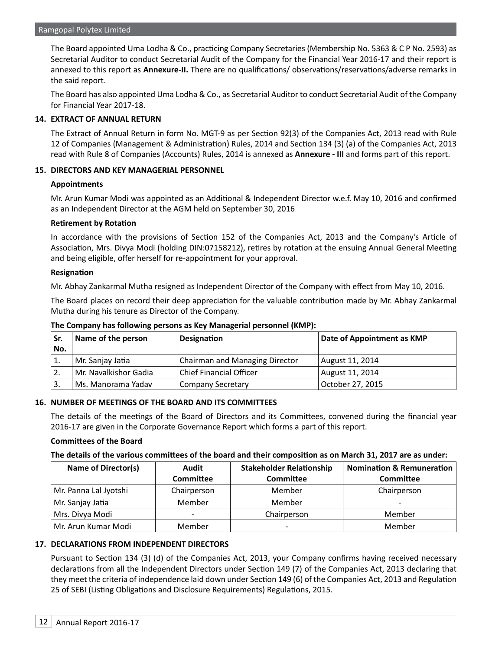The Board appointed Uma Lodha & Co., practicing Company Secretaries (Membership No. 5363 & C P No. 2593) as Secretarial Auditor to conduct Secretarial Audit of the Company for the Financial Year 2016-17 and their report is annexed to this report as **Annexure-II.** There are no qualifications/ observations/reservations/adverse remarks in the said report.

The Board has also appointed Uma Lodha & Co., as Secretarial Auditor to conduct Secretarial Audit of the Company for Financial Year 2017-18.

# **14. EXTRACT OF ANNUAL RETURN**

The Extract of Annual Return in form No. MGT-9 as per Section 92(3) of the Companies Act, 2013 read with Rule 12 of Companies (Management & Administration) Rules, 2014 and Section 134 (3) (a) of the Companies Act, 2013 read with Rule 8 of Companies (Accounts) Rules, 2014 is annexed as **Annexure - III** and forms part of this report.

# **15. DIRECTORS AND KEY MANAGERIAL PERSONNEL**

# **Appointments**

Mr. Arun Kumar Modi was appointed as an Additional & Independent Director w.e.f. May 10, 2016 and confirmed as an Independent Director at the AGM held on September 30, 2016

# **Retirement by Rotation**

In accordance with the provisions of Section 152 of the Companies Act, 2013 and the Company's Article of Association, Mrs. Divya Modi (holding DIN:07158212), retires by rotation at the ensuing Annual General Meeting and being eligible, offer herself for re-appointment for your approval.

# **Resignation**

Mr. Abhay Zankarmal Mutha resigned as Independent Director of the Company with effect from May 10, 2016.

The Board places on record their deep appreciation for the valuable contribution made by Mr. Abhay Zankarmal Mutha during his tenure as Director of the Company.

| The Company has following persons as Key Managerial personnel (KMP): |  |  |  |
|----------------------------------------------------------------------|--|--|--|
|----------------------------------------------------------------------|--|--|--|

| Name of the person<br>Sr.<br>Designation |                       |                                | Date of Appointment as KMP |
|------------------------------------------|-----------------------|--------------------------------|----------------------------|
| No.                                      |                       |                                |                            |
| 1.                                       | Mr. Sanjay Jatia      | Chairman and Managing Director | August 11, 2014            |
|                                          | Mr. Navalkishor Gadia | <b>Chief Financial Officer</b> | August 11, 2014            |
| 3.                                       | Ms. Manorama Yaday    | <b>Company Secretary</b>       | October 27, 2015           |

# **16. NUMBER OF MEETINGS OF THE BOARD AND ITS COMMITTEES**

The details of the meetings of the Board of Directors and its Committees, convened during the financial year 2016-17 are given in the Corporate Governance Report which forms a part of this report.

# **Committees of the Board**

**The details of the various committees of the board and their composition as on March 31, 2017 are as under:**

| Name of Director(s)   | Audit                    | <b>Stakeholder Relationship</b> | <b>Nomination &amp; Remuneration</b> |
|-----------------------|--------------------------|---------------------------------|--------------------------------------|
|                       | <b>Committee</b>         | Committee                       | <b>Committee</b>                     |
| Mr. Panna Lal Jyotshi | Chairperson              | Member                          | Chairperson                          |
| Mr. Sanjay Jatia      | Member                   | Member                          | $\overline{\phantom{a}}$             |
| Mrs. Divya Modi       | $\overline{\phantom{a}}$ | Chairperson                     | Member                               |
| Mr. Arun Kumar Modi   | Member                   | -                               | Member                               |

# **17. DECLARATIONS FROM INDEPENDENT DIRECTORS**

Pursuant to Section 134 (3) (d) of the Companies Act, 2013, your Company confirms having received necessary declarations from all the Independent Directors under Section 149 (7) of the Companies Act, 2013 declaring that they meet the criteria of independence laid down under Section 149 (6) of the Companies Act, 2013 and Regulation 25 of SEBI (Listing Obligations and Disclosure Requirements) Regulations, 2015.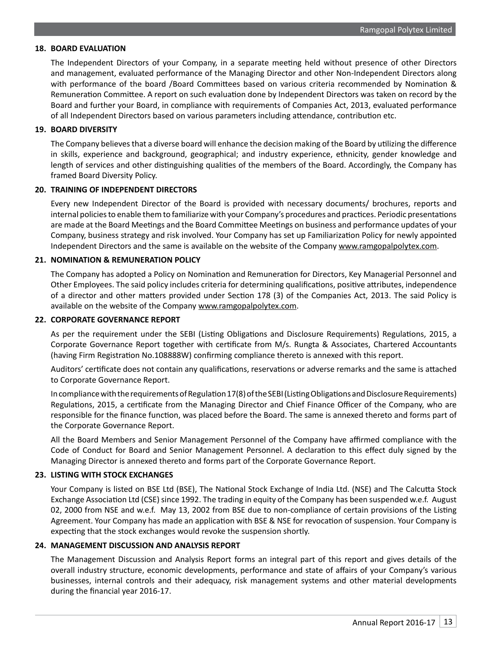## **18. BOARD EVALUATION**

The Independent Directors of your Company, in a separate meeting held without presence of other Directors and management, evaluated performance of the Managing Director and other Non-Independent Directors along with performance of the board /Board Committees based on various criteria recommended by Nomination & Remuneration Committee. A report on such evaluation done by Independent Directors was taken on record by the Board and further your Board, in compliance with requirements of Companies Act, 2013, evaluated performance of all Independent Directors based on various parameters including attendance, contribution etc.

## **19. BOARD DIVERSITY**

The Company believes that a diverse board will enhance the decision making of the Board by utilizing the difference in skills, experience and background, geographical; and industry experience, ethnicity, gender knowledge and length of services and other distinguishing qualities of the members of the Board. Accordingly, the Company has framed Board Diversity Policy.

## **20. TRAINING OF INDEPENDENT DIRECTORS**

Every new Independent Director of the Board is provided with necessary documents/ brochures, reports and internal policies to enable them to familiarize with your Company's procedures and practices. Periodic presentations are made at the Board Meetings and the Board Committee Meetings on business and performance updates of your Company, business strategy and risk involved. Your Company has set up Familiarization Policy for newly appointed Independent Directors and the same is available on the website of the Company www.ramgopalpolytex.com.

# **21. NOMINATION & REMUNERATION POLICY**

The Company has adopted a Policy on Nomination and Remuneration for Directors, Key Managerial Personnel and Other Employees. The said policy includes criteria for determining qualifications, positive attributes, independence of a director and other matters provided under Section 178 (3) of the Companies Act, 2013. The said Policy is available on the website of the Company www.ramgopalpolytex.com.

## **22. CORPORATE GOVERNANCE REPORT**

As per the requirement under the SEBI (Listing Obligations and Disclosure Requirements) Regulations, 2015, a Corporate Governance Report together with certificate from M/s. Rungta & Associates, Chartered Accountants (having Firm Registration No.108888W) confirming compliance thereto is annexed with this report.

Auditors' certificate does not contain any qualifications, reservations or adverse remarks and the same is attached to Corporate Governance Report.

In compliance with the requirements of Regulation 17(8) of the SEBI (Listing Obligations and Disclosure Requirements) Regulations, 2015, a certificate from the Managing Director and Chief Finance Officer of the Company, who are responsible for the finance function, was placed before the Board. The same is annexed thereto and forms part of the Corporate Governance Report.

All the Board Members and Senior Management Personnel of the Company have affirmed compliance with the Code of Conduct for Board and Senior Management Personnel. A declaration to this effect duly signed by the Managing Director is annexed thereto and forms part of the Corporate Governance Report.

# **23. LISTING WITH STOCK EXCHANGES**

Your Company is listed on BSE Ltd (BSE), The National Stock Exchange of India Ltd. (NSE) and The Calcutta Stock Exchange Association Ltd (CSE) since 1992. The trading in equity of the Company has been suspended w.e.f. August 02, 2000 from NSE and w.e.f. May 13, 2002 from BSE due to non-compliance of certain provisions of the Listing Agreement. Your Company has made an application with BSE & NSE for revocation of suspension. Your Company is expecting that the stock exchanges would revoke the suspension shortly.

# **24. MANAGEMENT DISCUSSION AND ANALYSIS REPORT**

The Management Discussion and Analysis Report forms an integral part of this report and gives details of the overall industry structure, economic developments, performance and state of affairs of your Company's various businesses, internal controls and their adequacy, risk management systems and other material developments during the financial year 2016-17.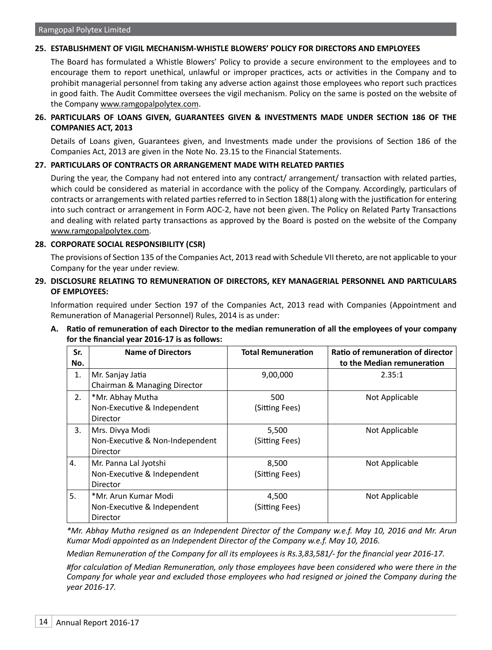# **25. ESTABLISHMENT OF VIGIL MECHANISM-WHISTLE BLOWERS' POLICY FOR DIRECTORS AND EMPLOYEES**

The Board has formulated a Whistle Blowers' Policy to provide a secure environment to the employees and to encourage them to report unethical, unlawful or improper practices, acts or activities in the Company and to prohibit managerial personnel from taking any adverse action against those employees who report such practices in good faith. The Audit Committee oversees the vigil mechanism. Policy on the same is posted on the website of the Company www.ramgopalpolytex.com.

# **26. PARTICULARS OF LOANS GIVEN, GUARANTEES GIVEN & INVESTMENTS MADE UNDER SECTION 186 OF THE COMPANIES ACT, 2013**

Details of Loans given, Guarantees given, and Investments made under the provisions of Section 186 of the Companies Act, 2013 are given in the Note No. 23.15 to the Financial Statements.

# **27. PARTICULARS OF CONTRACTS OR ARRANGEMENT MADE WITH RELATED PARTIES**

During the year, the Company had not entered into any contract/ arrangement/ transaction with related parties, which could be considered as material in accordance with the policy of the Company. Accordingly, particulars of contracts or arrangements with related parties referred to in Section 188(1) along with the justification for entering into such contract or arrangement in Form AOC-2, have not been given. The Policy on Related Party Transactions and dealing with related party transactions as approved by the Board is posted on the website of the Company www.ramgopalpolytex.com.

# **28. CORPORATE SOCIAL RESPONSIBILITY (CSR)**

The provisions of Section 135 of the Companies Act, 2013 read with Schedule VII thereto, are not applicable to your Company for the year under review.

# **29. DISCLOSURE RELATING TO REMUNERATION OF DIRECTORS, KEY MANAGERIAL PERSONNEL AND PARTICULARS OF EMPLOYEES:**

Information required under Section 197 of the Companies Act, 2013 read with Companies (Appointment and Remuneration of Managerial Personnel) Rules, 2014 is as under:

# **A. Ratio of remuneration of each Director to the median remuneration of all the employees of your company for the financial year 2016-17 is as follows:**

| Sr.<br>No. | <b>Name of Directors</b>                                                | <b>Total Remuneration</b> | Ratio of remuneration of director<br>to the Median remuneration |
|------------|-------------------------------------------------------------------------|---------------------------|-----------------------------------------------------------------|
| 1.         | Mr. Sanjay Jatia<br>Chairman & Managing Director                        | 9,00,000                  | 2.35:1                                                          |
| 2.         | *Mr. Abhay Mutha<br>Non-Executive & Independent<br>Director             | 500<br>(Sitting Fees)     | Not Applicable                                                  |
| 3.         | Mrs. Divya Modi<br>Non-Executive & Non-Independent<br>Director          | 5,500<br>(Sitting Fees)   | Not Applicable                                                  |
| 4.         | Mr. Panna Lal Jyotshi<br>Non-Executive & Independent<br><b>Director</b> | 8,500<br>(Sitting Fees)   | Not Applicable                                                  |
| 5.         | *Mr. Arun Kumar Modi<br>Non-Executive & Independent<br>Director         | 4,500<br>(Sitting Fees)   | Not Applicable                                                  |

*\*Mr. Abhay Mutha resigned as an Independent Director of the Company w.e.f. May 10, 2016 and Mr. Arun Kumar Modi appointed as an Independent Director of the Company w.e.f. May 10, 2016.* 

 *Median Remuneration of the Company for all its employees is Rs.3,83,581/- for the financial year 2016-17.*

 *#for calculation of Median Remuneration, only those employees have been considered who were there in the Company for whole year and excluded those employees who had resigned or joined the Company during the year 2016-17.*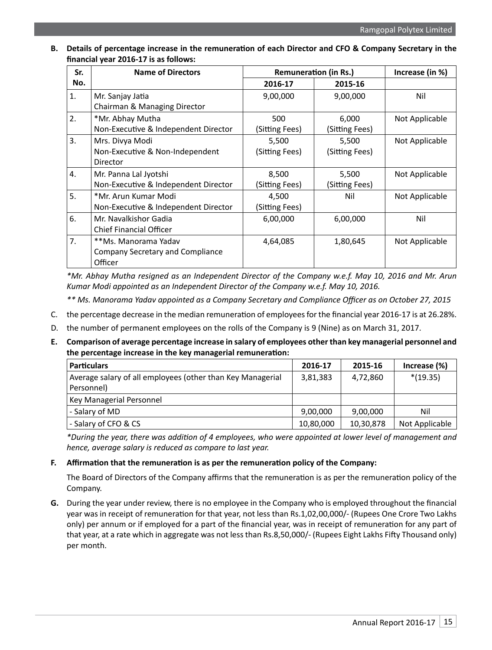**B. Details of percentage increase in the remuneration of each Director and CFO & Company Secretary in the financial year 2016-17 is as follows:**

| Sr. | <b>Name of Directors</b>                                            | <b>Remuneration (in Rs.)</b> |                         | Increase (in %) |
|-----|---------------------------------------------------------------------|------------------------------|-------------------------|-----------------|
| No. |                                                                     | 2016-17                      | 2015-16                 |                 |
| 1.  | Mr. Sanjay Jatia<br>Chairman & Managing Director                    | 9,00,000                     | 9,00,000                | Nil             |
| 2.  | *Mr. Abhay Mutha<br>Non-Executive & Independent Director            | 500<br>(Sitting Fees)        | 6,000<br>(Sitting Fees) | Not Applicable  |
| 3.  | Mrs. Divya Modi<br>Non-Executive & Non-Independent<br>Director      | 5,500<br>(Sitting Fees)      | 5,500<br>(Sitting Fees) | Not Applicable  |
| 4.  | Mr. Panna Lal Jyotshi<br>Non-Executive & Independent Director       | 8,500<br>(Sitting Fees)      | 5,500<br>(Sitting Fees) | Not Applicable  |
| 5.  | *Mr. Arun Kumar Modi<br>Non-Executive & Independent Director        | 4,500<br>(Sitting Fees)      | Nil                     | Not Applicable  |
| 6.  | Mr. Navalkishor Gadia<br><b>Chief Financial Officer</b>             | 6,00,000                     | 6,00,000                | Nil             |
| 7.  | **Ms. Manorama Yadav<br>Company Secretary and Compliance<br>Officer | 4,64,085                     | 1,80,645                | Not Applicable  |

*\*Mr. Abhay Mutha resigned as an Independent Director of the Company w.e.f. May 10, 2016 and Mr. Arun Kumar Modi appointed as an Independent Director of the Company w.e.f. May 10, 2016.* 

*\*\* Ms. Manorama Yadav appointed as a Company Secretary and Compliance Officer as on October 27, 2015*

- C. the percentage decrease in the median remuneration of employees for the financial year 2016-17 is at 26.28%.
- D. the number of permanent employees on the rolls of the Company is 9 (Nine) as on March 31, 2017.
- **E. Comparison of average percentage increase in salary of employees other than key managerial personnel and the percentage increase in the key managerial remuneration:**

| <b>Particulars</b>                                         | 2016-17   | 2015-16   | Increase (%)   |
|------------------------------------------------------------|-----------|-----------|----------------|
| Average salary of all employees (other than Key Managerial | 3,81,383  | 4,72,860  | $*(19.35)$     |
| Personnel)                                                 |           |           |                |
| Key Managerial Personnel                                   |           |           |                |
| - Salary of MD                                             | 9,00,000  | 9,00,000  | Nil            |
| - Salary of CFO & CS                                       | 10,80,000 | 10,30,878 | Not Applicable |

\*During the year, there was addition of 4 employees, who were appointed at lower level of management and *hence, average salary is reduced as compare to last year.*

# **F. Affirmation that the remuneration is as per the remuneration policy of the Company:**

The Board of Directors of the Company affirms that the remuneration is as per the remuneration policy of the Company.

**G.** During the year under review, there is no employee in the Company who is employed throughout the financial year was in receipt of remuneration for that year, not less than Rs.1,02,00,000/- (Rupees One Crore Two Lakhs only) per annum or if employed for a part of the financial year, was in receipt of remuneration for any part of that year, at a rate which in aggregate was not less than Rs.8,50,000/- (Rupees Eight Lakhs Fifty Thousand only) per month.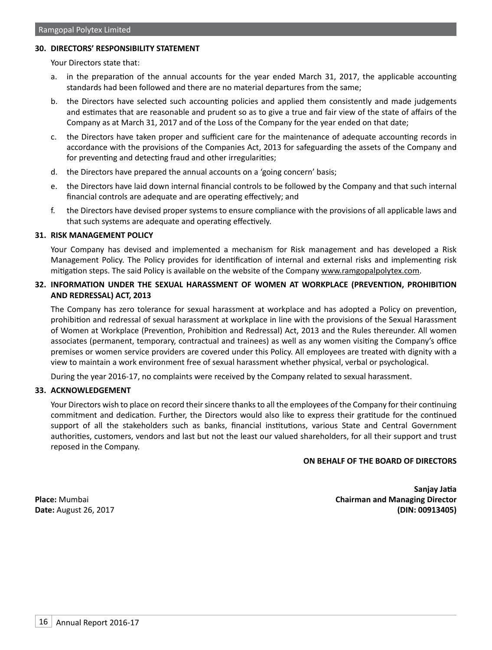# **30. DIRECTORS' RESPONSIBILITY STATEMENT**

Your Directors state that:

- a. in the preparation of the annual accounts for the year ended March 31, 2017, the applicable accounting standards had been followed and there are no material departures from the same;
- b. the Directors have selected such accounting policies and applied them consistently and made judgements and estimates that are reasonable and prudent so as to give a true and fair view of the state of affairs of the Company as at March 31, 2017 and of the Loss of the Company for the year ended on that date;
- c. the Directors have taken proper and sufficient care for the maintenance of adequate accounting records in accordance with the provisions of the Companies Act, 2013 for safeguarding the assets of the Company and for preventing and detecting fraud and other irregularities;
- d. the Directors have prepared the annual accounts on a 'going concern' basis;
- e. the Directors have laid down internal financial controls to be followed by the Company and that such internal financial controls are adequate and are operating effectively; and
- f. the Directors have devised proper systems to ensure compliance with the provisions of all applicable laws and that such systems are adequate and operating effectively.

# **31. RISK MANAGEMENT POLICY**

Your Company has devised and implemented a mechanism for Risk management and has developed a Risk Management Policy. The Policy provides for identification of internal and external risks and implementing risk mitigation steps. The said Policy is available on the website of the Company www.ramgopalpolytex.com.

# **32. INFORMATION UNDER THE SEXUAL HARASSMENT OF WOMEN AT WORKPLACE (PREVENTION, PROHIBITION AND REDRESSAL) ACT, 2013**

The Company has zero tolerance for sexual harassment at workplace and has adopted a Policy on prevention, prohibition and redressal of sexual harassment at workplace in line with the provisions of the Sexual Harassment of Women at Workplace (Prevention, Prohibition and Redressal) Act, 2013 and the Rules thereunder. All women associates (permanent, temporary, contractual and trainees) as well as any women visiting the Company's office premises or women service providers are covered under this Policy. All employees are treated with dignity with a view to maintain a work environment free of sexual harassment whether physical, verbal or psychological.

During the year 2016-17, no complaints were received by the Company related to sexual harassment.

# **33. ACKNOWLEDGEMENT**

Your Directors wish to place on record their sincere thanks to all the employees of the Company for their continuing commitment and dedication. Further, the Directors would also like to express their gratitude for the continued support of all the stakeholders such as banks, financial institutions, various State and Central Government authorities, customers, vendors and last but not the least our valued shareholders, for all their support and trust reposed in the Company.

# **ON BEHALF OF THE BOARD OF DIRECTORS**

**Sanjay Jatia Place:** Mumbai **Chairman and Managing Director Date:** August 26, 2017 **(DIN: 00913405)**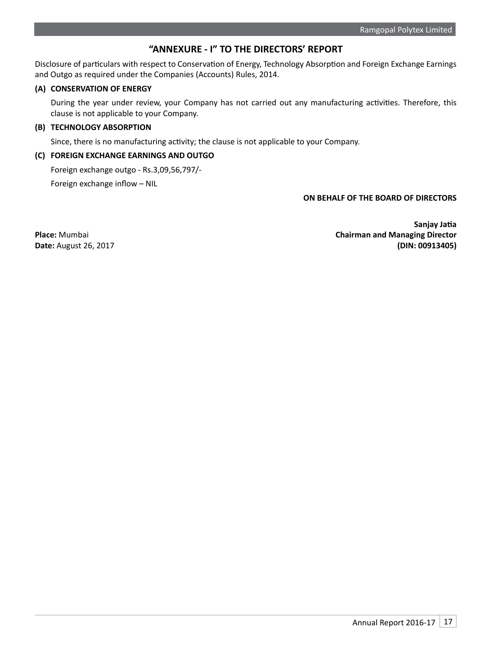# **"ANNEXURE - I" TO THE DIRECTORS' REPORT**

Disclosure of particulars with respect to Conservation of Energy, Technology Absorption and Foreign Exchange Earnings and Outgo as required under the Companies (Accounts) Rules, 2014.

# **(A) CONSERVATION OF ENERGY**

During the year under review, your Company has not carried out any manufacturing activities. Therefore, this clause is not applicable to your Company.

# **(B) TECHNOLOGY ABSORPTION**

Since, there is no manufacturing activity; the clause is not applicable to your Company.

# **(C) FOREIGN EXCHANGE EARNINGS AND OUTGO**

Foreign exchange outgo - Rs.3,09,56,797/-

Foreign exchange inflow – NIL

# **ON BEHALF OF THE BOARD OF DIRECTORS**

**Sanjay Jatia Place:** Mumbai **Chairman and Managing Director Date:** August 26, 2017 **(DIN: 00913405)**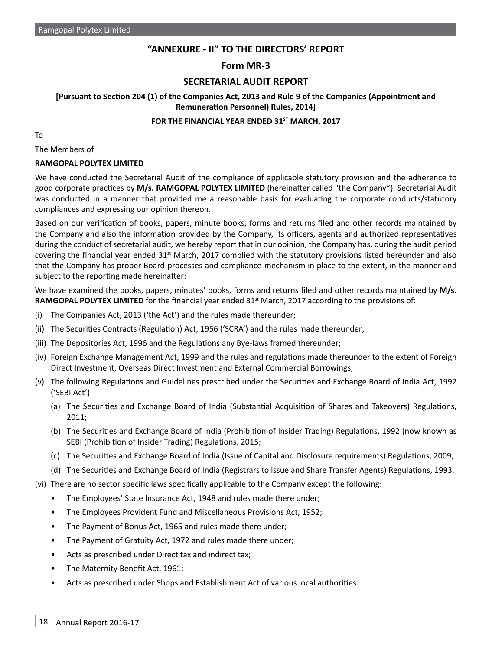# **"ANNEXURE - II" TO THE DIRECTORS' REPORT**

# **Form MR-3**

# **SECRETARIAL AUDIT REPORT**

# **[Pursuant to Section 204 (1) of the Companies Act, 2013 and Rule 9 of the Companies (Appointment and Remuneration Personnel) Rules, 2014]**

# FOR THE FINANCIAL YEAR ENDED 31<sup>ST</sup> MARCH, 2017

To

The Members of

# **RAMGOPAL POLYTEX LIMITED**

We have conducted the Secretarial Audit of the compliance of applicable statutory provision and the adherence to good corporate practices by **M/s. RAMGOPAL POLYTEX LIMITED** (hereinafter called "the Company"). Secretarial Audit was conducted in a manner that provided me a reasonable basis for evaluating the corporate conducts/statutory compliances and expressing our opinion thereon.

Based on our verification of books, papers, minute books, forms and returns filed and other records maintained by the Company and also the information provided by the Company, its officers, agents and authorized representatives during the conduct of secretarial audit, we hereby report that in our opinion, the Company has, during the audit period covering the financial year ended  $31<sup>st</sup>$  March, 2017 complied with the statutory provisions listed hereunder and also that the Company has proper Board-processes and compliance-mechanism in place to the extent, in the manner and subject to the reporting made hereinafter:

We have examined the books, papers, minutes' books, forms and returns filed and other records maintained by **M/s. RAMGOPAL POLYTEX LIMITED** for the financial year ended 31<sup>st</sup> March, 2017 according to the provisions of:

- (i) The Companies Act, 2013 ('the Act') and the rules made thereunder;
- (ii) The Securities Contracts (Regulation) Act, 1956 ('SCRA') and the rules made thereunder;
- (iii) The Depositories Act, 1996 and the Regulations any Bye-laws framed thereunder;
- (iv) Foreign Exchange Management Act, 1999 and the rules and regulations made thereunder to the extent of Foreign Direct Investment, Overseas Direct Investment and External Commercial Borrowings;
- (v) The following Regulations and Guidelines prescribed under the Securities and Exchange Board of India Act, 1992 ('SEBI Act')
	- (a) The Securities and Exchange Board of India (Substantial Acquisition of Shares and Takeovers) Regulations, 2011;
	- (b) The Securities and Exchange Board of India (Prohibition of Insider Trading) Regulations, 1992 (now known as SEBI (Prohibition of Insider Trading) Regulations, 2015;
	- (c) The Securities and Exchange Board of India (Issue of Capital and Disclosure requirements) Regulations, 2009;
	- (d) The Securities and Exchange Board of India (Registrars to issue and Share Transfer Agents) Regulations, 1993.
- (vi) There are no sector specific laws specifically applicable to the Company except the following:
	- The Employees' State Insurance Act, 1948 and rules made there under;
	- The Employees Provident Fund and Miscellaneous Provisions Act, 1952;
	- The Payment of Bonus Act, 1965 and rules made there under;
	- The Payment of Gratuity Act, 1972 and rules made there under;
	- Acts as prescribed under Direct tax and indirect tax;
	- The Maternity Benefit Act, 1961;
	- Acts as prescribed under Shops and Establishment Act of various local authorities.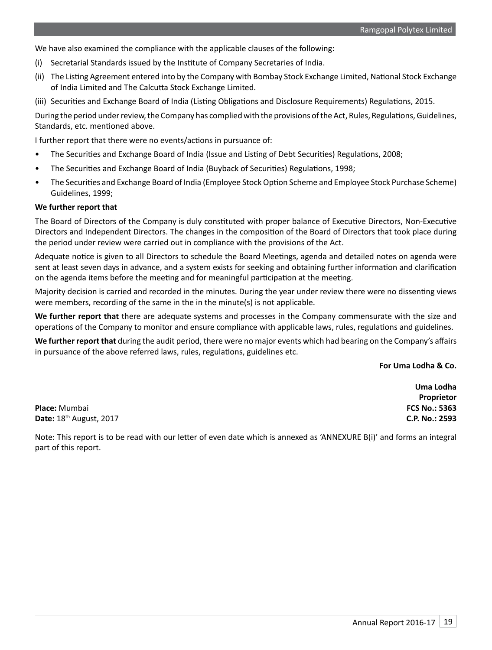We have also examined the compliance with the applicable clauses of the following:

- (i) Secretarial Standards issued by the Institute of Company Secretaries of India.
- (ii) The Listing Agreement entered into by the Company with Bombay Stock Exchange Limited, National Stock Exchange of India Limited and The Calcutta Stock Exchange Limited.
- (iii) Securities and Exchange Board of India (Listing Obligations and Disclosure Requirements) Regulations, 2015.

During the period under review, the Company has complied with the provisions of the Act, Rules, Regulations, Guidelines, Standards, etc. mentioned above.

I further report that there were no events/actions in pursuance of:

- The Securities and Exchange Board of India (Issue and Listing of Debt Securities) Regulations, 2008;
- The Securities and Exchange Board of India (Buyback of Securities) Regulations, 1998;
- The Securities and Exchange Board of India (Employee Stock Option Scheme and Employee Stock Purchase Scheme) Guidelines, 1999;

#### **We further report that**

The Board of Directors of the Company is duly constituted with proper balance of Executive Directors, Non-Executive Directors and Independent Directors. The changes in the composition of the Board of Directors that took place during the period under review were carried out in compliance with the provisions of the Act.

Adequate notice is given to all Directors to schedule the Board Meetings, agenda and detailed notes on agenda were sent at least seven days in advance, and a system exists for seeking and obtaining further information and clarification on the agenda items before the meeting and for meaningful participation at the meeting.

Majority decision is carried and recorded in the minutes. During the year under review there were no dissenting views were members, recording of the same in the in the minute(s) is not applicable.

**We further report that** there are adequate systems and processes in the Company commensurate with the size and operations of the Company to monitor and ensure compliance with applicable laws, rules, regulations and guidelines.

**We further report that** during the audit period, there were no major events which had bearing on the Company's affairs in pursuance of the above referred laws, rules, regulations, guidelines etc.

# **For Uma Lodha & Co.**

| Uma Lodha            |
|----------------------|
| Proprietor           |
| <b>FCS No.: 5363</b> |
| C.P. No.: 2593       |
|                      |

Note: This report is to be read with our letter of even date which is annexed as 'ANNEXURE B(i)' and forms an integral part of this report.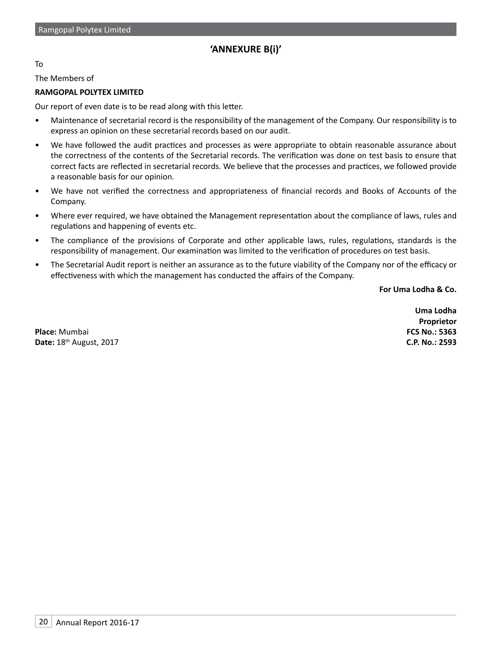# **'ANNEXURE B(i)'**

To

The Members of

# **RAMGOPAL POLYTEX LIMITED**

Our report of even date is to be read along with this letter.

- Maintenance of secretarial record is the responsibility of the management of the Company. Our responsibility is to express an opinion on these secretarial records based on our audit.
- We have followed the audit practices and processes as were appropriate to obtain reasonable assurance about the correctness of the contents of the Secretarial records. The verification was done on test basis to ensure that correct facts are reflected in secretarial records. We believe that the processes and practices, we followed provide a reasonable basis for our opinion.
- We have not verified the correctness and appropriateness of financial records and Books of Accounts of the Company.
- Where ever required, we have obtained the Management representation about the compliance of laws, rules and regulations and happening of events etc.
- The compliance of the provisions of Corporate and other applicable laws, rules, regulations, standards is the responsibility of management. Our examination was limited to the verification of procedures on test basis.
- The Secretarial Audit report is neither an assurance as to the future viability of the Company nor of the efficacy or effectiveness with which the management has conducted the affairs of the Company.

**For Uma Lodha & Co.**

**Place:** Mumbai **FCS No.: 5363 Date:**  $18^{th}$  August, 2017 **C.P. No.: 2593** 

**Uma Lodha Proprietor**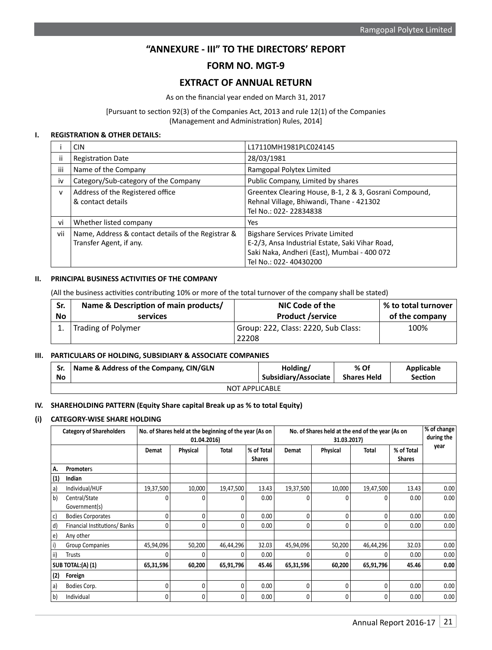# **"ANNEXURE - III" TO THE DIRECTORS' REPORT**

# **FORM NO. MGT-9**

# **EXTRACT OF ANNUAL RETURN**

As on the financial year ended on March 31, 2017

[Pursuant to section 92(3) of the Companies Act, 2013 and rule 12(1) of the Companies (Management and Administration) Rules, 2014]

#### **I. REGISTRATION & OTHER DETAILS:**

|              | <b>CIN</b>                                                                    | L17110MH1981PLC024145                                                                                                                                               |
|--------------|-------------------------------------------------------------------------------|---------------------------------------------------------------------------------------------------------------------------------------------------------------------|
| ĨÎ.          | <b>Registration Date</b>                                                      | 28/03/1981                                                                                                                                                          |
| iii          | Name of the Company                                                           | Ramgopal Polytex Limited                                                                                                                                            |
| iv           | Category/Sub-category of the Company                                          | Public Company, Limited by shares                                                                                                                                   |
| $\mathsf{v}$ | Address of the Registered office<br>& contact details                         | Greentex Clearing House, B-1, 2 & 3, Gosrani Compound,<br>Rehnal Village, Bhiwandi, Thane - 421302<br>Tel No.: 022-22834838                                         |
| vi           | Whether listed company                                                        | Yes                                                                                                                                                                 |
| vii          | Name, Address & contact details of the Registrar &<br>Transfer Agent, if any. | <b>Bigshare Services Private Limited</b><br>E-2/3, Ansa Industrial Estate, Saki Vihar Road,<br>Saki Naka, Andheri (East), Mumbai - 400 072<br>Tel No.: 022-40430200 |

#### **II. PRINCIPAL BUSINESS ACTIVITIES OF THE COMPANY**

(All the business activities contributing 10% or more of the total turnover of the company shall be stated)

| Sr. | Name & Description of main products/ | NIC Code of the                              | ∣% to total turnover |
|-----|--------------------------------------|----------------------------------------------|----------------------|
| No  | services                             | <b>Product /service</b>                      | of the company       |
|     | Trading of Polymer                   | Group: 222, Class: 2220, Sub Class:<br>22208 | 100%                 |

#### **III. PARTICULARS OF HOLDING, SUBSIDIARY & ASSOCIATE COMPANIES**

| Sr.<br>No | Name & Address of the Company, CIN/GLN | Holding/<br>Subsidiary/Associate | % Of<br><b>Shares Held</b> | Applicable<br><b>Section</b> |
|-----------|----------------------------------------|----------------------------------|----------------------------|------------------------------|
|           |                                        |                                  |                            |                              |
|           |                                        | <b>NOT APPLICABLE</b>            |                            |                              |

## **IV. SHAREHOLDING PATTERN (Equity Share capital Break up as % to total Equity)**

# **(i) CATEGORY-WISE SHARE HOLDING**

|                   | <b>Category of Shareholders</b> |           | 01.04.2016)  | No. of Shares held at the beginning of the year (As on |                             | No. of Shares held at the end of the year (As on<br>31.03.2017) |              |              | % of change<br>during the   |      |
|-------------------|---------------------------------|-----------|--------------|--------------------------------------------------------|-----------------------------|-----------------------------------------------------------------|--------------|--------------|-----------------------------|------|
|                   |                                 | Demat     | Physical     | Total                                                  | % of Total<br><b>Shares</b> | Demat                                                           | Physical     | <b>Total</b> | % of Total<br><b>Shares</b> | year |
| Α.                | <b>Promoters</b>                |           |              |                                                        |                             |                                                                 |              |              |                             |      |
| (1)               | Indian                          |           |              |                                                        |                             |                                                                 |              |              |                             |      |
| $\vert a \rangle$ | Individual/HUF                  | 19,37,500 | 10,000       | 19,47,500                                              | 13.43                       | 19,37,500                                                       | 10,000       | 19,47,500    | 13.43                       | 0.00 |
| b)                | Central/State<br>Government(s)  |           | 0            | $\Omega$                                               | 0.00                        | <sup>0</sup>                                                    | U            | $\Omega$     | 0.00                        | 0.00 |
| C)                | <b>Bodies Corporates</b>        | C         | $\mathbf 0$  | $\Omega$                                               | 0.00                        | 0                                                               | <sup>0</sup> | $\Omega$     | 0.00                        | 0.00 |
| d)                | Financial Institutions/ Banks   | O         | 0            | $\Omega$                                               | 0.00                        | 0                                                               | 0            | $\Omega$     | 0.00                        | 0.00 |
| e)                | Any other                       |           |              |                                                        |                             |                                                                 |              |              |                             |      |
|                   | <b>Group Companies</b>          | 45,94,096 | 50,200       | 46,44,296                                              | 32.03                       | 45,94,096                                                       | 50,200       | 46,44,296    | 32.03                       | 0.00 |
| ii)               | <b>Trusts</b>                   |           | U            | U                                                      | 0.00                        | $\Omega$                                                        |              |              | 0.00                        | 0.00 |
|                   | SUB TOTAL:(A)(1)                | 65,31,596 | 60,200       | 65,91,796                                              | 45.46                       | 65,31,596<br>60,200<br>65,91,796                                |              | 45.46        | 0.00                        |      |
| (2)               | Foreign                         |           |              |                                                        |                             |                                                                 |              |              |                             |      |
| $\vert a \rangle$ | Bodies Corp.                    | O         | $\mathbf{0}$ | $\mathbf{0}$                                           | 0.00                        | 0                                                               | 0            | $\Omega$     | 0.00                        | 0.00 |
| $\mathsf{b}$      | Individual                      | U         | 0            | 0                                                      | 0.00                        | 0                                                               | 0            | 0            | 0.00                        | 0.00 |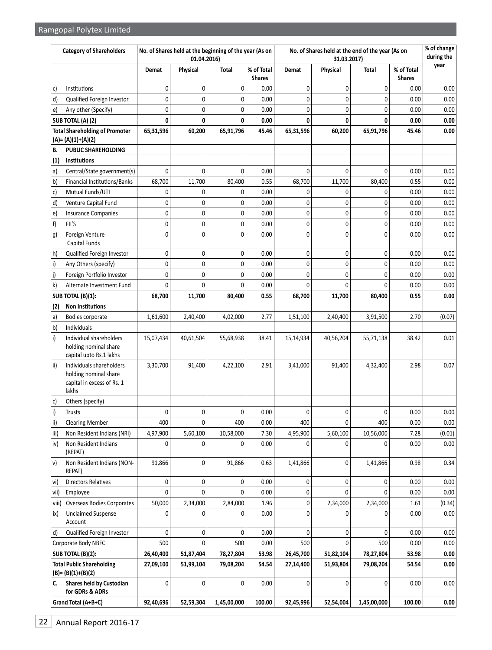| <b>Category of Shareholders</b> |                                                                                          |              | No. of Shares held at the beginning of the year (As on<br>01.04.2016) |             |                             |              | No. of Shares held at the end of the year (As on<br>31.03.2017) |              |                             | % of change<br>during the |
|---------------------------------|------------------------------------------------------------------------------------------|--------------|-----------------------------------------------------------------------|-------------|-----------------------------|--------------|-----------------------------------------------------------------|--------------|-----------------------------|---------------------------|
|                                 |                                                                                          | <b>Demat</b> | Physical                                                              | Total       | % of Total<br><b>Shares</b> | Demat        | Physical                                                        | <b>Total</b> | % of Total<br><b>Shares</b> | year                      |
| c)                              | Institutions                                                                             | 0            | 0                                                                     | 0           | 0.00                        | $\pmb{0}$    | 0                                                               | $\mathbf 0$  | 0.00                        | 0.00                      |
| d)                              | Qualified Foreign Investor                                                               | 0            | $\mathbf{0}$                                                          | 0           | 0.00                        | 0            | 0                                                               | $\mathbf 0$  | 0.00                        | 0.00                      |
| e)                              | Any other (Specify)                                                                      | 0            | 0                                                                     | 0           | 0.00                        | 0            | 0                                                               | $\mathbf 0$  | 0.00                        | 0.00                      |
|                                 | SUB TOTAL (A) (2)                                                                        | 0            | 0                                                                     | 0           | 0.00                        | 0            | 0                                                               | 0            | 0.00                        | 0.00                      |
|                                 | <b>Total Shareholding of Promoter</b>                                                    | 65,31,596    | 60,200                                                                | 65,91,796   | 45.46                       | 65,31,596    | 60,200                                                          | 65,91,796    | 45.46                       | 0.00                      |
|                                 | (A)= (A)(1)+(A)(2)                                                                       |              |                                                                       |             |                             |              |                                                                 |              |                             |                           |
| В.                              | PUBLIC SHAREHOLDING                                                                      |              |                                                                       |             |                             |              |                                                                 |              |                             |                           |
| (1)                             | <b>Institutions</b>                                                                      |              |                                                                       |             |                             |              |                                                                 |              |                             |                           |
| a)                              | Central/State government(s)                                                              | 0            | 0                                                                     | 0           | 0.00                        | 0            | 0                                                               | $\mathbf{0}$ | 0.00                        | 0.00                      |
| b)                              | Financial Institutions/Banks                                                             | 68,700       | 11,700                                                                | 80,400      | 0.55                        | 68,700       | 11,700                                                          | 80,400       | 0.55                        | 0.00                      |
| c)                              | Mutual Funds/UTI                                                                         | 0            | 0                                                                     | 0           | 0.00                        | 0            | 0                                                               | $\mathbf{0}$ | 0.00                        | 0.00                      |
| d)                              | Venture Capital Fund                                                                     | 0            | 0                                                                     | 0           | 0.00                        | $\pmb{0}$    | 0                                                               | $\mathbf{0}$ | 0.00                        | 0.00                      |
| e)                              | <b>Insurance Companies</b>                                                               | 0            | $\mathbf{0}$                                                          | 0           | 0.00                        | $\pmb{0}$    | 0                                                               | $\mathbf{0}$ | 0.00                        | 0.00                      |
| f)                              | FII'S                                                                                    | 0            | $\mathbf{0}$                                                          | 0           | 0.00                        | $\pmb{0}$    | 0                                                               | $\mathbf{0}$ | 0.00                        | 0.00                      |
| g)                              | Foreign Venture<br>Capital Funds                                                         | 0            | 0                                                                     | 0           | 0.00                        | $\mathbf 0$  | 0                                                               | 0            | 0.00                        | 0.00                      |
| h)                              | Qualified Foreign Investor                                                               | 0            | 0                                                                     | $\pmb{0}$   | 0.00                        | 0            | 0                                                               | $\mathbf 0$  | 0.00                        | 0.00                      |
| i)                              | Any Others (specify)                                                                     | 0            | $\mathbf 0$                                                           | 0           | 0.00                        | $\mathbf 0$  | 0                                                               | $\mathbf{0}$ | 0.00                        | 0.00                      |
| j)                              | Foreign Portfolio Investor                                                               | 0            | 0                                                                     | 0           | 0.00                        | $\pmb{0}$    | 0                                                               | 0            | 0.00                        | 0.00                      |
| $\mathsf{k}$                    | Alternate Investment Fund                                                                | 0            | $\overline{0}$                                                        | 0           | 0.00                        | $\mathbf{0}$ | $\mathbf{0}$                                                    | $\mathbf{0}$ | 0.00                        | 0.00                      |
|                                 | SUB TOTAL (B)(1):                                                                        | 68,700       | 11,700                                                                | 80,400      | 0.55                        | 68,700       | 11,700                                                          | 80,400       | 0.55                        | 0.00                      |
| (2)                             | <b>Non Institutions</b>                                                                  |              |                                                                       |             |                             |              |                                                                 |              |                             |                           |
| a)                              | Bodies corporate                                                                         | 1,61,600     | 2,40,400                                                              | 4,02,000    | 2.77                        | 1,51,100     | 2,40,400                                                        | 3,91,500     | 2.70                        | (0.07)                    |
| $\vert b \rangle$               | Individuals                                                                              |              |                                                                       |             |                             |              |                                                                 |              |                             |                           |
| i)                              | Individual shareholders<br>holding nominal share<br>capital upto Rs.1 lakhs              | 15,07,434    | 40,61,504                                                             | 55,68,938   | 38.41                       | 15,14,934    | 40,56,204                                                       | 55,71,138    | 38.42                       | 0.01                      |
| ii)                             | Individuals shareholders<br>holding nominal share<br>capital in excess of Rs. 1<br>lakhs | 3,30,700     | 91,400                                                                | 4,22,100    | 2.91                        | 3,41,000     | 91,400                                                          | 4,32,400     | 2.98                        | 0.07                      |
| c)                              | Others (specify)                                                                         |              |                                                                       |             |                             |              |                                                                 |              |                             |                           |
| i)                              | <b>Trusts</b>                                                                            | 0            | 0                                                                     | 0           | 0.00                        | 0            | 0                                                               | $\mathbf{0}$ | 0.00                        | 0.00                      |
| ii)                             | <b>Clearing Member</b>                                                                   | 400          | 0                                                                     | 400         | 0.00                        | 400          | 0                                                               | 400          | 0.00                        | 0.00                      |
| iii)                            | Non Resident Indians (NRI)                                                               | 4,97,900     | 5,60,100                                                              | 10,58,000   | 7.30                        | 4,95,900     | 5,60,100                                                        | 10,56,000    | 7.28                        | (0.01)                    |
| iv)                             | Non Resident Indians<br>(REPAT)                                                          | 0            | 0                                                                     | 0           | 0.00                        | $\pmb{0}$    | 0                                                               | $\pmb{0}$    | 0.00                        | 0.00                      |
| v)                              | Non Resident Indians (NON-<br>REPAT)                                                     | 91,866       | 0                                                                     | 91,866      | 0.63                        | 1,41,866     | 0                                                               | 1,41,866     | 0.98                        | 0.34                      |
| vi)                             | <b>Directors Relatives</b>                                                               | 0            | 0                                                                     | 0           | 0.00                        | 0            | 0                                                               | 0            | 0.00                        | 0.00                      |
| vii)                            | Employee                                                                                 | 0            | 0                                                                     | 0           | 0.00                        | 0            | 0                                                               | 0            | 0.00                        | 0.00                      |
| viii)                           | <b>Overseas Bodies Corporates</b>                                                        | 50,000       | 2,34,000                                                              | 2,84,000    | 1.96                        | 0            | 2,34,000                                                        | 2,34,000     | 1.61                        | (0.34)                    |
| ix)                             | <b>Unclaimed Suspense</b><br>Account                                                     | 0            | 0                                                                     | 0           | 0.00                        | 0            | 0                                                               | 0            | 0.00                        | 0.00                      |
| d)                              | Qualified Foreign Investor                                                               | 0            | 0                                                                     | 0           | 0.00                        | 0            | 0                                                               | $\mathbf 0$  | 0.00                        | 0.00                      |
|                                 | Corporate Body NBFC                                                                      | 500          | $\Omega$                                                              | 500         | 0.00                        | 500          | 0                                                               | 500          | 0.00                        | 0.00                      |
|                                 | SUB TOTAL (B)(2):                                                                        | 26,40,400    | 51,87,404                                                             | 78,27,804   | 53.98                       | 26,45,700    | 51,82,104                                                       | 78,27,804    | 53.98                       | 0.00                      |
|                                 | <b>Total Public Shareholding</b><br>$(B)=(B)(1)+(B)(2)$                                  | 27,09,100    | 51,99,104                                                             | 79,08,204   | 54.54                       | 27,14,400    | 51,93,804                                                       | 79,08,204    | 54.54                       | 0.00                      |
| C.                              | Shares held by Custodian<br>for GDRs & ADRs                                              | 0            | 0                                                                     | 0           | 0.00                        | $\mathbf{0}$ | 0                                                               | 0            | 0.00                        | 0.00                      |
|                                 | Grand Total (A+B+C)                                                                      | 92,40,696    | 52,59,304                                                             | 1,45,00,000 | 100.00                      | 92,45,996    | 52,54,004                                                       | 1,45,00,000  | 100.00                      | 0.00                      |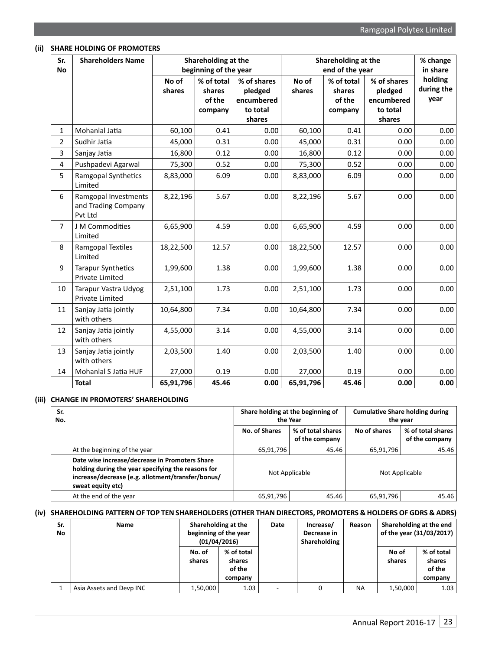## **(ii) SHARE HOLDING OF PROMOTERS**

| Sr.<br><b>No</b> | <b>Shareholders Name</b>                               |                 | Shareholding at the<br>beginning of the year |                                                            | Shareholding at the<br>end of the year |                                           |                                                            | % change<br>in share          |
|------------------|--------------------------------------------------------|-----------------|----------------------------------------------|------------------------------------------------------------|----------------------------------------|-------------------------------------------|------------------------------------------------------------|-------------------------------|
|                  |                                                        | No of<br>shares | % of total<br>shares<br>of the<br>company    | % of shares<br>pledged<br>encumbered<br>to total<br>shares | No of<br>shares                        | % of total<br>shares<br>of the<br>company | % of shares<br>pledged<br>encumbered<br>to total<br>shares | holding<br>during the<br>year |
| 1                | Mohanlal Jatia                                         | 60,100          | 0.41                                         | 0.00                                                       | 60,100                                 | 0.41                                      | 0.00                                                       | 0.00                          |
| $\overline{2}$   | Sudhir Jatia                                           | 45,000          | 0.31                                         | 0.00                                                       | 45,000                                 | 0.31                                      | 0.00                                                       | 0.00                          |
| 3                | Sanjay Jatia                                           | 16,800          | 0.12                                         | 0.00                                                       | 16,800                                 | 0.12                                      | 0.00                                                       | 0.00                          |
| $\overline{4}$   | Pushpadevi Agarwal                                     | 75,300          | 0.52                                         | 0.00                                                       | 75,300                                 | 0.52                                      | 0.00                                                       | 0.00                          |
| 5                | <b>Ramgopal Synthetics</b><br>Limited                  | 8,83,000        | 6.09                                         | 0.00                                                       | 8,83,000                               | 6.09                                      | 0.00                                                       | 0.00                          |
| 6                | Ramgopal Investments<br>and Trading Company<br>Pvt Ltd | 8,22,196        | 5.67                                         | 0.00                                                       | 8,22,196                               | 5.67                                      | 0.00                                                       | 0.00                          |
| $\overline{7}$   | J M Commodities<br>Limited                             | 6,65,900        | 4.59                                         | 0.00                                                       | 6,65,900                               | 4.59                                      | 0.00                                                       | 0.00                          |
| 8                | Ramgopal Textiles<br>Limited                           | 18,22,500       | 12.57                                        | 0.00                                                       | 18,22,500                              | 12.57                                     | 0.00                                                       | 0.00                          |
| 9                | Tarapur Synthetics<br><b>Private Limited</b>           | 1,99,600        | 1.38                                         | 0.00                                                       | 1,99,600                               | 1.38                                      | 0.00                                                       | 0.00                          |
| 10               | Tarapur Vastra Udyog<br>Private Limited                | 2,51,100        | 1.73                                         | 0.00                                                       | 2,51,100                               | 1.73                                      | 0.00                                                       | 0.00                          |
| 11               | Sanjay Jatia jointly<br>with others                    | 10,64,800       | 7.34                                         | 0.00                                                       | 10,64,800                              | 7.34                                      | 0.00                                                       | 0.00                          |
| 12               | Sanjay Jatia jointly<br>with others                    | 4,55,000        | 3.14                                         | 0.00                                                       | 4,55,000                               | 3.14                                      | 0.00                                                       | 0.00                          |
| 13               | Sanjay Jatia jointly<br>with others                    | 2,03,500        | 1.40                                         | 0.00                                                       | 2,03,500                               | 1.40                                      | 0.00                                                       | 0.00                          |
| 14               | Mohanlal S Jatia HUF                                   | 27,000          | 0.19                                         | 0.00                                                       | 27,000                                 | 0.19                                      | 0.00                                                       | 0.00                          |
|                  | <b>Total</b>                                           | 65,91,796       | 45.46                                        | 0.00                                                       | 65,91,796                              | 45.46                                     | 0.00                                                       | 0.00                          |

## **(iii) CHANGE IN PROMOTERS' SHAREHOLDING**

| Sr.<br>No. |                                                                                                                                                                                | the Year      | Share holding at the beginning of   | <b>Cumulative Share holding during</b><br>the year |                                     |  |
|------------|--------------------------------------------------------------------------------------------------------------------------------------------------------------------------------|---------------|-------------------------------------|----------------------------------------------------|-------------------------------------|--|
|            |                                                                                                                                                                                | No. of Shares | % of total shares<br>of the company | No of shares                                       | % of total shares<br>of the company |  |
|            | At the beginning of the year                                                                                                                                                   | 65,91,796     | 45.46                               | 65,91,796                                          | 45.46                               |  |
|            | Date wise increase/decrease in Promoters Share<br>holding during the year specifying the reasons for<br>increase/decrease (e.g. allotment/transfer/bonus/<br>sweat equity etc) |               | Not Applicable                      |                                                    | Not Applicable                      |  |
|            | At the end of the year                                                                                                                                                         | 65,91,796     | 45.46                               | 65,91,796                                          | 45.46                               |  |

# **(iv) SHAREHOLDING PATTERN OF TOP TEN SHAREHOLDERS (OTHER THAN DIRECTORS, PROMOTERS & HOLDERS OF GDRS & ADRS)**

| Sr.<br>No. | <b>Name</b>              | Shareholding at the<br>beginning of the year<br>(01/04/2016) |         | Date<br>Increase/<br>Decrease in<br>Shareholding |  | Reason    | Shareholding at the end<br>of the year (31/03/2017) |                                |
|------------|--------------------------|--------------------------------------------------------------|---------|--------------------------------------------------|--|-----------|-----------------------------------------------------|--------------------------------|
|            |                          | % of total<br>No. of<br>shares<br>shares<br>of the           |         |                                                  |  |           | No of<br>shares                                     | % of total<br>shares<br>of the |
|            |                          |                                                              | company |                                                  |  |           |                                                     | company                        |
|            | Asia Assets and Devp INC | 1,50,000                                                     | 1.03    |                                                  |  | <b>NA</b> | 1,50,000                                            | 1.03                           |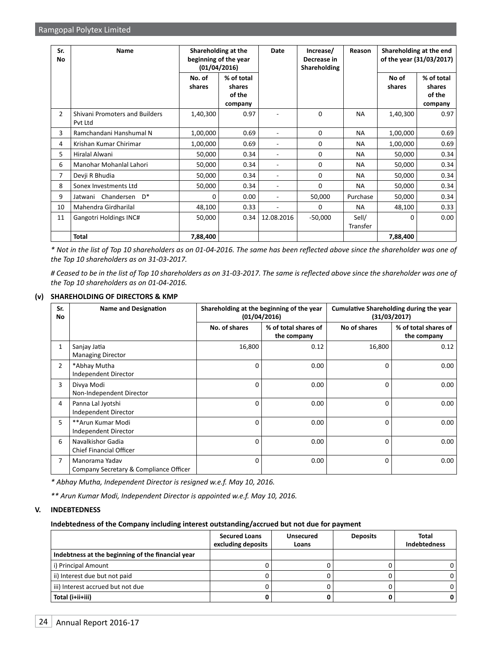| Sr.<br><b>No</b> | Name                                             | Shareholding at the<br>beginning of the year<br>(01/04/2016) |                                           | Date       | Increase/<br>Decrease in<br><b>Shareholding</b> | Reason            | Shareholding at the end<br>of the year (31/03/2017) |                                           |
|------------------|--------------------------------------------------|--------------------------------------------------------------|-------------------------------------------|------------|-------------------------------------------------|-------------------|-----------------------------------------------------|-------------------------------------------|
|                  |                                                  | No. of<br>shares                                             | % of total<br>shares<br>of the<br>company |            |                                                 |                   | No of<br>shares                                     | % of total<br>shares<br>of the<br>company |
| $\overline{2}$   | <b>Shivani Promoters and Builders</b><br>Pvt Ltd | 1,40,300                                                     | 0.97                                      |            | $\Omega$                                        | <b>NA</b>         | 1,40,300                                            | 0.97                                      |
| 3                | Ramchandani Hanshumal N                          | 1,00,000                                                     | 0.69                                      |            | $\Omega$                                        | <b>NA</b>         | 1,00,000                                            | 0.69                                      |
| 4                | Krishan Kumar Chirimar                           | 1,00,000                                                     | 0.69                                      |            | 0                                               | <b>NA</b>         | 1,00,000                                            | 0.69                                      |
| 5.               | Hiralal Alwani                                   | 50,000                                                       | 0.34                                      |            | 0                                               | <b>NA</b>         | 50,000                                              | 0.34                                      |
| 6                | Manohar Mohanlal Lahori                          | 50,000                                                       | 0.34                                      |            | 0                                               | <b>NA</b>         | 50,000                                              | 0.34                                      |
| 7                | Devji R Bhudia                                   | 50,000                                                       | 0.34                                      |            | 0                                               | <b>NA</b>         | 50,000                                              | 0.34                                      |
| 8                | Sonex Investments Ltd                            | 50,000                                                       | 0.34                                      |            | $\Omega$                                        | <b>NA</b>         | 50,000                                              | 0.34                                      |
| 9                | D <sup>*</sup><br>Chandersen<br>Jatwani          | 0                                                            | 0.00                                      |            | 50,000                                          | Purchase          | 50,000                                              | 0.34                                      |
| 10               | Mahendra Girdharilal                             | 48,100                                                       | 0.33                                      |            | $\Omega$                                        | <b>NA</b>         | 48,100                                              | 0.33                                      |
| 11               | Gangotri Holdings INC#                           | 50,000                                                       | 0.34                                      | 12.08.2016 | $-50,000$                                       | Sell/<br>Transfer | $\Omega$                                            | 0.00                                      |
|                  | <b>Total</b>                                     | 7,88,400                                                     |                                           |            |                                                 |                   | 7,88,400                                            |                                           |

\* Not in the list of Top 10 shareholders as on 01-04-2016. The same has been reflected above since the shareholder was one of *the Top 10 shareholders as on 31-03-2017.*

# Ceased to be in the list of Top 10 shareholders as on 31-03-2017. The same is reflected above since the shareholder was one of *the Top 10 shareholders as on 01-04-2016.*

#### **(v) SHAREHOLDING OF DIRECTORS & KMP**

| Sr.<br>No      | <b>Name and Designation</b>                              |               | Shareholding at the beginning of the year<br>(01/04/2016) | Cumulative Shareholding during the year<br>(31/03/2017) |                                     |  |
|----------------|----------------------------------------------------------|---------------|-----------------------------------------------------------|---------------------------------------------------------|-------------------------------------|--|
|                |                                                          | No. of shares | % of total shares of<br>the company                       | No of shares                                            | % of total shares of<br>the company |  |
| $\mathbf{1}$   | Sanjay Jatia<br><b>Managing Director</b>                 | 16,800        | 0.12                                                      | 16,800                                                  | 0.12                                |  |
| $\overline{2}$ | *Abhay Mutha<br>Independent Director                     | 0             | 0.00                                                      | 0                                                       | 0.00                                |  |
| 3              | Divya Modi<br>Non-Independent Director                   | 0             | 0.00                                                      | $\Omega$                                                | 0.00                                |  |
| 4              | Panna Lal Jyotshi<br>Independent Director                | $\Omega$      | 0.00                                                      | $\Omega$                                                | 0.00                                |  |
| 5              | **Arun Kumar Modi<br>Independent Director                | $\Omega$      | 0.00                                                      | $\Omega$                                                | 0.00                                |  |
| 6              | Navalkishor Gadia<br><b>Chief Financial Officer</b>      | 0             | 0.00                                                      | $\Omega$                                                | 0.00                                |  |
| $\overline{7}$ | Manorama Yadav<br>Company Secretary & Compliance Officer | 0             | 0.00                                                      | $\Omega$                                                | 0.00                                |  |

*\* Abhay Mutha, Independent Director is resigned w.e.f. May 10, 2016.*

*\*\* Arun Kumar Modi, Independent Director is appointed w.e.f. May 10, 2016.*

# **V. INDEBTEDNESS**

#### **Indebtedness of the Company including interest outstanding/accrued but not due for payment**

|                                                   | <b>Secured Loans</b><br>excluding deposits | <b>Unsecured</b><br>Loans | <b>Deposits</b> | Total<br><b>Indebtedness</b> |
|---------------------------------------------------|--------------------------------------------|---------------------------|-----------------|------------------------------|
| Indebtness at the beginning of the financial year |                                            |                           |                 |                              |
| i) Principal Amount                               |                                            |                           |                 |                              |
| ii) Interest due but not paid                     |                                            |                           |                 |                              |
| iii) Interest accrued but not due                 |                                            |                           |                 |                              |
| Total (i+ii+iii)                                  |                                            |                           |                 |                              |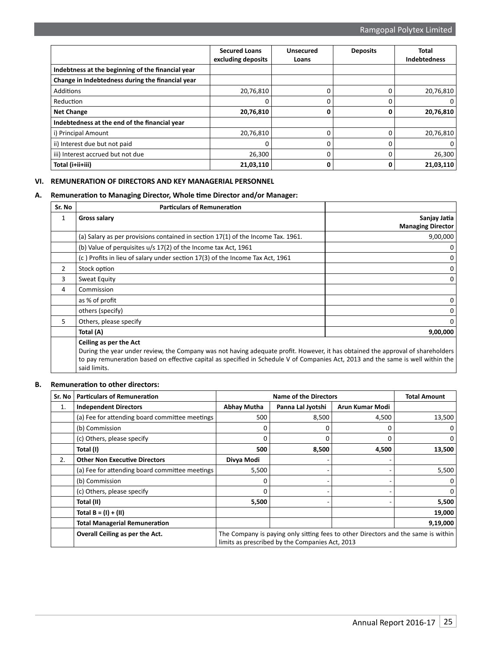|                                                   | <b>Secured Loans</b><br>excluding deposits | <b>Unsecured</b><br>Loans | <b>Deposits</b> | Total<br><b>Indebtedness</b> |
|---------------------------------------------------|--------------------------------------------|---------------------------|-----------------|------------------------------|
| Indebtness at the beginning of the financial year |                                            |                           |                 |                              |
| Change in Indebtedness during the financial year  |                                            |                           |                 |                              |
| Additions                                         | 20,76,810                                  |                           |                 | 20,76,810                    |
| Reduction                                         | 0                                          |                           |                 | $\Omega$                     |
| <b>Net Change</b>                                 | 20,76,810                                  |                           | 0               | 20,76,810                    |
| Indebtedness at the end of the financial year     |                                            |                           |                 |                              |
| i) Principal Amount                               | 20,76,810                                  |                           |                 | 20,76,810                    |
| ii) Interest due but not paid                     |                                            |                           |                 | 0                            |
| iii) Interest accrued but not due                 | 26,300                                     |                           |                 | 26,300                       |
| Total (i+ii+iii)                                  | 21,03,110                                  |                           | 0               | 21,03,110                    |

## **VI. REMUNERATION OF DIRECTORS AND KEY MANAGERIAL PERSONNEL**

## **A. Remuneration to Managing Director, Whole time Director and/or Manager:**

| Sr. No         | <b>Particulars of Remuneration</b>                                                                                                                                                                                                                                                                            |                                          |
|----------------|---------------------------------------------------------------------------------------------------------------------------------------------------------------------------------------------------------------------------------------------------------------------------------------------------------------|------------------------------------------|
| 1              | Gross salary                                                                                                                                                                                                                                                                                                  | Sanjay Jatia<br><b>Managing Director</b> |
|                | (a) Salary as per provisions contained in section $17(1)$ of the Income Tax. 1961.                                                                                                                                                                                                                            | 9,00,000                                 |
|                | (b) Value of perquisites u/s 17(2) of the Income tax Act, 1961                                                                                                                                                                                                                                                | 0                                        |
|                | (c) Profits in lieu of salary under section 17(3) of the Income Tax Act, 1961                                                                                                                                                                                                                                 | 0                                        |
| $\overline{2}$ | Stock option                                                                                                                                                                                                                                                                                                  | $\overline{0}$                           |
| 3              | Sweat Equity                                                                                                                                                                                                                                                                                                  | 0                                        |
| 4              | Commission                                                                                                                                                                                                                                                                                                    |                                          |
|                | as % of profit                                                                                                                                                                                                                                                                                                | $\mathbf{0}$                             |
|                | others (specify)                                                                                                                                                                                                                                                                                              | $\Omega$                                 |
| 5.             | Others, please specify                                                                                                                                                                                                                                                                                        | $\Omega$                                 |
|                | Total (A)                                                                                                                                                                                                                                                                                                     | 9,00,000                                 |
|                | Ceiling as per the Act<br>During the year under review, the Company was not having adequate profit. However, it has obtained the approval of shareholders<br>to pay remuneration based on effective capital as specified in Schedule V of Companies Act, 2013 and the same is well within the<br>said limits. |                                          |

## **B. Remuneration to other directors:**

| Sr. No | <b>Particulars of Remuneration</b>             |                                                                                   | <b>Total Amount</b> |                 |          |  |
|--------|------------------------------------------------|-----------------------------------------------------------------------------------|---------------------|-----------------|----------|--|
| 1.     | <b>Independent Directors</b>                   | Abhay Mutha                                                                       | Panna Lal Jyotshi   | Arun Kumar Modi |          |  |
|        | (a) Fee for attending board committee meetings | 500                                                                               | 8,500               | 4,500           | 13,500   |  |
|        | (b) Commission                                 |                                                                                   |                     | 0               | $\Omega$ |  |
|        | (c) Others, please specify                     |                                                                                   |                     |                 | 0        |  |
|        | Total (I)                                      | 500                                                                               | 8,500               | 4,500           | 13,500   |  |
| 2.     | <b>Other Non Executive Directors</b>           | Divya Modi                                                                        |                     |                 |          |  |
|        | (a) Fee for attending board committee meetings | 5,500                                                                             |                     |                 | 5,500    |  |
|        | (b) Commission                                 |                                                                                   |                     |                 | 0        |  |
|        | (c) Others, please specify                     |                                                                                   |                     |                 | $\Omega$ |  |
|        | Total (II)                                     | 5,500                                                                             |                     |                 | 5,500    |  |
|        | Total B = $(1) + (11)$                         |                                                                                   |                     |                 | 19,000   |  |
|        | <b>Total Managerial Remuneration</b>           |                                                                                   |                     |                 | 9,19,000 |  |
|        | Overall Ceiling as per the Act.                | The Company is paying only sitting fees to other Directors and the same is within |                     |                 |          |  |
|        |                                                | limits as prescribed by the Companies Act, 2013                                   |                     |                 |          |  |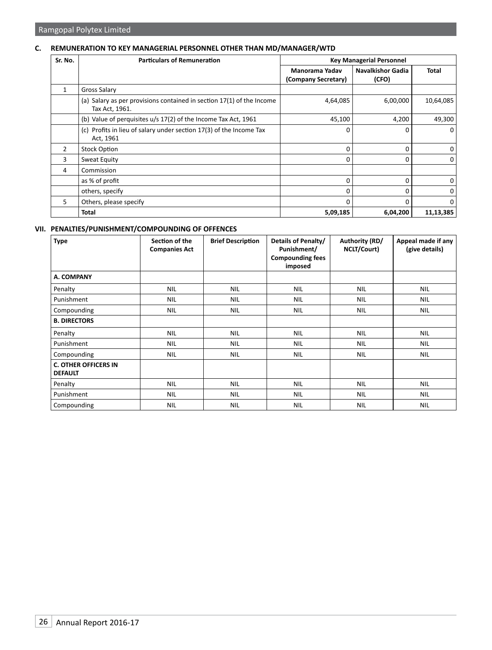# **C. REMUNERATION TO KEY MANAGERIAL PERSONNEL OTHER THAN MD/MANAGER/WTD**

| Sr. No.        | <b>Particulars of Remuneration</b>                                                      | <b>Key Managerial Personnel</b>       |                                   |              |
|----------------|-----------------------------------------------------------------------------------------|---------------------------------------|-----------------------------------|--------------|
|                |                                                                                         | Manorama Yadav<br>(Company Secretary) | <b>Navalkishor Gadia</b><br>(CFO) | <b>Total</b> |
| $\mathbf{1}$   | Gross Salary                                                                            |                                       |                                   |              |
|                | (a) Salary as per provisions contained in section 17(1) of the Income<br>Tax Act, 1961. | 4,64,085                              | 6,00,000                          | 10,64,085    |
|                | (b) Value of perquisites u/s 17(2) of the Income Tax Act, 1961                          | 45,100                                | 4,200                             | 49,300       |
|                | (c) Profits in lieu of salary under section 17(3) of the Income Tax<br>Act, 1961        | 0                                     | n                                 | $\Omega$     |
| $\overline{2}$ | Stock Option                                                                            | U                                     | በ                                 | 0            |
| 3              | Sweat Equity                                                                            | 0                                     | ŋ                                 | 0            |
| 4              | Commission                                                                              |                                       |                                   |              |
|                | as % of profit                                                                          | 0                                     | 0                                 | $\mathbf{0}$ |
|                | others, specify                                                                         | U                                     | O                                 | $\Omega$     |
| 5              | Others, please specify                                                                  | 0                                     | ŋ                                 | $\Omega$     |
|                | <b>Total</b>                                                                            | 5,09,185                              | 6,04,200                          | 11,13,385    |

# **VII. PENALTIES/PUNISHMENT/COMPOUNDING OF OFFENCES**

| <b>Type</b>                                   | Section of the<br><b>Companies Act</b> | <b>Brief Description</b> | Details of Penalty/<br>Punishment/<br><b>Compounding fees</b><br>imposed | Authority (RD/<br>NCLT/Court) | Appeal made if any<br>(give details) |
|-----------------------------------------------|----------------------------------------|--------------------------|--------------------------------------------------------------------------|-------------------------------|--------------------------------------|
| A. COMPANY                                    |                                        |                          |                                                                          |                               |                                      |
| Penalty                                       | <b>NIL</b>                             | <b>NIL</b>               | <b>NIL</b>                                                               | <b>NIL</b>                    | <b>NIL</b>                           |
| Punishment                                    | <b>NIL</b>                             | <b>NIL</b>               | <b>NIL</b>                                                               | <b>NIL</b>                    | NIL                                  |
| Compounding                                   | <b>NIL</b>                             | <b>NIL</b>               | <b>NIL</b>                                                               | NIL                           | <b>NIL</b>                           |
| <b>B. DIRECTORS</b>                           |                                        |                          |                                                                          |                               |                                      |
| Penalty                                       | <b>NIL</b>                             | <b>NIL</b>               | <b>NIL</b>                                                               | <b>NIL</b>                    | <b>NIL</b>                           |
| Punishment                                    | <b>NIL</b>                             | <b>NIL</b>               | <b>NIL</b>                                                               | <b>NIL</b>                    | <b>NIL</b>                           |
| Compounding                                   | <b>NIL</b>                             | <b>NIL</b>               | <b>NIL</b>                                                               | <b>NIL</b>                    | <b>NIL</b>                           |
| <b>C. OTHER OFFICERS IN</b><br><b>DEFAULT</b> |                                        |                          |                                                                          |                               |                                      |
| Penalty                                       | <b>NIL</b>                             | <b>NIL</b>               | <b>NIL</b>                                                               | <b>NIL</b>                    | <b>NIL</b>                           |
| Punishment                                    | <b>NIL</b>                             | <b>NIL</b>               | <b>NIL</b>                                                               | <b>NIL</b>                    | <b>NIL</b>                           |
| Compounding                                   | <b>NIL</b>                             | <b>NIL</b>               | <b>NIL</b>                                                               | NIL                           | <b>NIL</b>                           |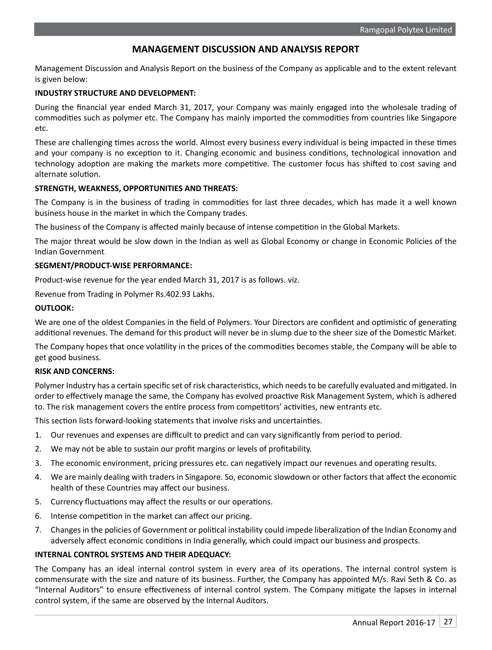# **MANAGEMENT DISCUSSION AND ANALYSIS REPORT**

Management Discussion and Analysis Report on the business of the Company as applicable and to the extent relevant is given below:

## **INDUSTRY STRUCTURE AND DEVELOPMENT:**

During the financial year ended March 31, 2017, your Company was mainly engaged into the wholesale trading of commodities such as polymer etc. The Company has mainly imported the commodities from countries like Singapore etc.

These are challenging times across the world. Almost every business every individual is being impacted in these times and your company is no exception to it. Changing economic and business conditions, technological innovation and technology adoption are making the markets more competitive. The customer focus has shifted to cost saving and alternate solution.

## **STRENGTH, WEAKNESS, OPPORTUNITIES AND THREATS:**

The Company is in the business of trading in commodities for last three decades, which has made it a well known business house in the market in which the Company trades.

The business of the Company is affected mainly because of intense competition in the Global Markets.

The major threat would be slow down in the Indian as well as Global Economy or change in Economic Policies of the Indian Government.

## **SEGMENT/PRODUCT-WISE PERFORMANCE:**

Product-wise revenue for the year ended March 31, 2017 is as follows. viz.

Revenue from Trading in Polymer Rs.402.93 Lakhs.

## **OUTLOOK:**

We are one of the oldest Companies in the field of Polymers. Your Directors are confident and optimistic of generating additional revenues. The demand for this product will never be in slump due to the sheer size of the Domestic Market.

The Company hopes that once volatility in the prices of the commodities becomes stable, the Company will be able to get good business.

## **RISK AND CONCERNS:**

Polymer Industry has a certain specific set of risk characteristics, which needs to be carefully evaluated and mitigated. In order to effectively manage the same, the Company has evolved proactive Risk Management System, which is adhered to. The risk management covers the entire process from competitors' activities, new entrants etc.

This section lists forward-looking statements that involve risks and uncertainties.

- 1. Our revenues and expenses are difficult to predict and can vary significantly from period to period.
- 2. We may not be able to sustain our profit margins or levels of profitability.
- 3. The economic environment, pricing pressures etc. can negatively impact our revenues and operating results.
- 4. We are mainly dealing with traders in Singapore. So, economic slowdown or other factors that affect the economic health of these Countries may affect our business.
- 5. Currency fluctuations may affect the results or our operations.
- 6. Intense competition in the market can affect our pricing.
- 7. Changes in the policies of Government or political instability could impede liberalization of the Indian Economy and adversely affect economic conditions in India generally, which could impact our business and prospects.

# **INTERNAL CONTROL SYSTEMS AND THEIR ADEQUACY:**

The Company has an ideal internal control system in every area of its operations. The internal control system is commensurate with the size and nature of its business. Further, the Company has appointed M/s. Ravi Seth & Co. as "Internal Auditors" to ensure effectiveness of internal control system. The Company mitigate the lapses in internal control system, if the same are observed by the Internal Auditors.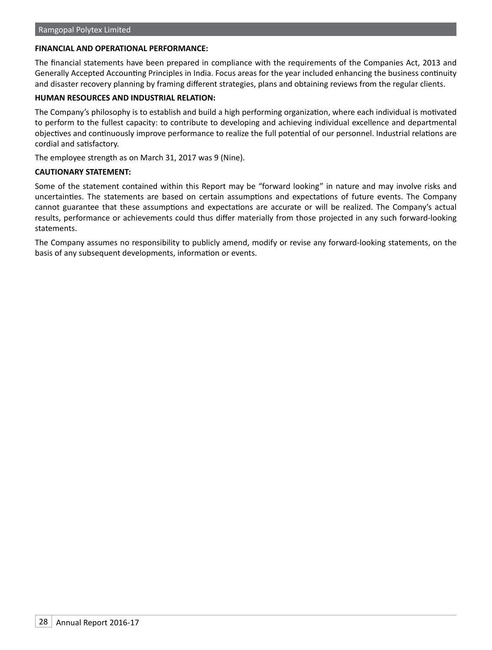# **FINANCIAL AND OPERATIONAL PERFORMANCE:**

The financial statements have been prepared in compliance with the requirements of the Companies Act, 2013 and Generally Accepted Accounting Principles in India. Focus areas for the year included enhancing the business continuity and disaster recovery planning by framing different strategies, plans and obtaining reviews from the regular clients.

# **HUMAN RESOURCES AND INDUSTRIAL RELATION:**

The Company's philosophy is to establish and build a high performing organization, where each individual is motivated to perform to the fullest capacity: to contribute to developing and achieving individual excellence and departmental objectives and continuously improve performance to realize the full potential of our personnel. Industrial relations are cordial and satisfactory.

The employee strength as on March 31, 2017 was 9 (Nine).

## **CAUTIONARY STATEMENT:**

Some of the statement contained within this Report may be "forward looking" in nature and may involve risks and uncertainties. The statements are based on certain assumptions and expectations of future events. The Company cannot guarantee that these assumptions and expectations are accurate or will be realized. The Company's actual results, performance or achievements could thus differ materially from those projected in any such forward-looking statements.

The Company assumes no responsibility to publicly amend, modify or revise any forward-looking statements, on the basis of any subsequent developments, information or events.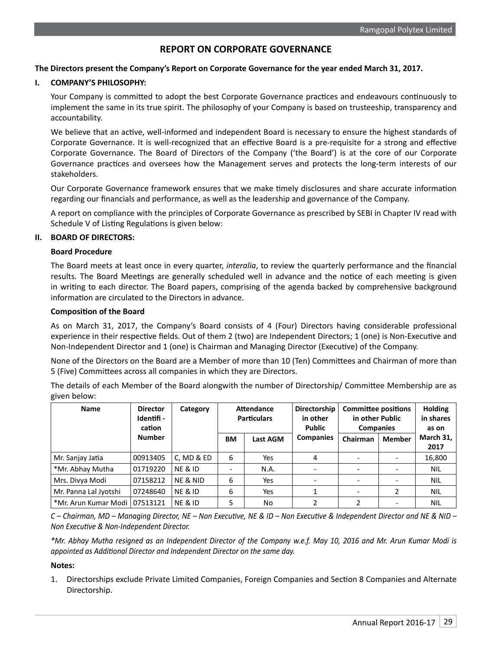# **REPORT ON CORPORATE GOVERNANCE**

# **The Directors present the Company's Report on Corporate Governance for the year ended March 31, 2017.**

# **I. COMPANY'S PHILOSOPHY:**

Your Company is committed to adopt the best Corporate Governance practices and endeavours continuously to implement the same in its true spirit. The philosophy of your Company is based on trusteeship, transparency and accountability.

We believe that an active, well-informed and independent Board is necessary to ensure the highest standards of Corporate Governance. It is well-recognized that an effective Board is a pre-requisite for a strong and effective Corporate Governance. The Board of Directors of the Company ('the Board') is at the core of our Corporate Governance practices and oversees how the Management serves and protects the long-term interests of our stakeholders.

Our Corporate Governance framework ensures that we make timely disclosures and share accurate information regarding our financials and performance, as well as the leadership and governance of the Company.

A report on compliance with the principles of Corporate Governance as prescribed by SEBI in Chapter IV read with Schedule V of Listing Regulations is given below:

# **II. BOARD OF DIRECTORS:**

# **Board Procedure**

The Board meets at least once in every quarter, *interalia*, to review the quarterly performance and the financial results. The Board Meetings are generally scheduled well in advance and the notice of each meeting is given in writing to each director. The Board papers, comprising of the agenda backed by comprehensive background information are circulated to the Directors in advance.

## **Composition of the Board**

As on March 31, 2017, the Company's Board consists of 4 (Four) Directors having considerable professional experience in their respective fields. Out of them 2 (two) are Independent Directors; 1 (one) is Non-Executive and Non-Independent Director and 1 (one) is Chairman and Managing Director (Executive) of the Company.

None of the Directors on the Board are a Member of more than 10 (Ten) Committees and Chairman of more than 5 (Five) Committees across all companies in which they are Directors.

The details of each Member of the Board alongwith the number of Directorship/ Committee Membership are as given below:

| <b>Name</b>           | <b>Director</b><br>Identifi -<br>cation | Category           |                          | Attendance<br><b>Particulars</b> | Directorship<br>in other<br><b>Public</b> | <b>Committee positions</b><br>in other Public<br><b>Companies</b> |               | <b>Holding</b><br>in shares<br>as on |
|-----------------------|-----------------------------------------|--------------------|--------------------------|----------------------------------|-------------------------------------------|-------------------------------------------------------------------|---------------|--------------------------------------|
|                       | <b>Number</b>                           |                    | ВM                       | Last AGM                         | <b>Companies</b>                          | Chairman                                                          | <b>Member</b> | March 31,<br>2017                    |
| Mr. Sanjay Jatia      | 00913405                                | C, MD & ED         | 6                        | Yes                              | 4                                         |                                                                   |               | 16,800                               |
| *Mr. Abhay Mutha      | 01719220                                | <b>NE &amp; ID</b> | $\overline{\phantom{0}}$ | N.A.                             | $\overline{\phantom{a}}$                  |                                                                   |               | <b>NIL</b>                           |
| Mrs. Divya Modi       | 07158212                                | NE & NID           | 6                        | Yes                              | $\overline{\phantom{a}}$                  |                                                                   |               | <b>NIL</b>                           |
| Mr. Panna Lal Jyotshi | 07248640                                | <b>NE &amp; ID</b> | 6                        | Yes                              | 1                                         |                                                                   | $\mathcal{P}$ | <b>NIL</b>                           |
| *Mr. Arun Kumar Modi  | 07513121                                | <b>NE &amp; ID</b> | 5                        | No                               | 2                                         | 2                                                                 |               | <b>NIL</b>                           |

C - Chairman, MD - Managing Director, NE - Non Executive, NE & ID - Non Executive & Independent Director and NE & NID -*Non Executive & Non-Independent Director.*

*\*Mr. Abhay Mutha resigned as an Independent Director of the Company w.e.f. May 10, 2016 and Mr. Arun Kumar Modi is appointed as Additional Director and Independent Director on the same day.*

# **Notes:**

1. Directorships exclude Private Limited Companies, Foreign Companies and Section 8 Companies and Alternate Directorship.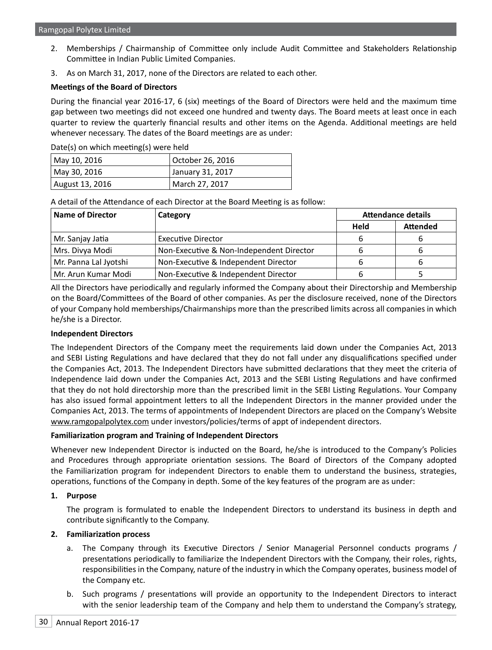- 2. Memberships / Chairmanship of Committee only include Audit Committee and Stakeholders Relationship Committee in Indian Public Limited Companies.
- 3. As on March 31, 2017, none of the Directors are related to each other.

# **Meetings of the Board of Directors**

During the financial year 2016-17, 6 (six) meetings of the Board of Directors were held and the maximum time gap between two meetings did not exceed one hundred and twenty days. The Board meets at least once in each quarter to review the quarterly financial results and other items on the Agenda. Additional meetings are held whenever necessary. The dates of the Board meetings are as under:

Date(s) on which meeting(s) were held

| May 10, 2016    | October 26, 2016 |
|-----------------|------------------|
| May 30, 2016    | January 31, 2017 |
| August 13, 2016 | March 27, 2017   |

A detail of the Attendance of each Director at the Board Meeting is as follow:

| <b>Name of Director</b> | Category                                 | <b>Attendance details</b> |                 |
|-------------------------|------------------------------------------|---------------------------|-----------------|
|                         |                                          | Held                      | <b>Attended</b> |
| Mr. Sanjay Jatia        | Executive Director                       |                           |                 |
| Mrs. Divya Modi         | Non-Executive & Non-Independent Director |                           | b               |
| Mr. Panna Lal Jyotshi   | Non-Executive & Independent Director     |                           | b               |
| Mr. Arun Kumar Modi     | Non-Executive & Independent Director     |                           |                 |

All the Directors have periodically and regularly informed the Company about their Directorship and Membership on the Board/Committees of the Board of other companies. As per the disclosure received, none of the Directors of your Company hold memberships/Chairmanships more than the prescribed limits across all companies in which he/she is a Director.

# **Independent Directors**

The Independent Directors of the Company meet the requirements laid down under the Companies Act, 2013 and SEBI Listing Regulations and have declared that they do not fall under any disqualifications specified under the Companies Act, 2013. The Independent Directors have submitted declarations that they meet the criteria of Independence laid down under the Companies Act, 2013 and the SEBI Listing Regulations and have confirmed that they do not hold directorship more than the prescribed limit in the SEBI Listing Regulations. Your Company has also issued formal appointment letters to all the Independent Directors in the manner provided under the Companies Act, 2013. The terms of appointments of Independent Directors are placed on the Company's Website www.ramgopalpolytex.com under investors/policies/terms of appt of independent directors.

# **Familiarization program and Training of Independent Directors**

Whenever new Independent Director is inducted on the Board, he/she is introduced to the Company's Policies and Procedures through appropriate orientation sessions. The Board of Directors of the Company adopted the Familiarization program for independent Directors to enable them to understand the business, strategies, operations, functions of the Company in depth. Some of the key features of the program are as under:

# **1. Purpose**

The program is formulated to enable the Independent Directors to understand its business in depth and contribute significantly to the Company.

# **2. Familiarization process**

- a. The Company through its Executive Directors / Senior Managerial Personnel conducts programs / presentations periodically to familiarize the Independent Directors with the Company, their roles, rights, responsibilities in the Company, nature of the industry in which the Company operates, business model of the Company etc.
- b. Such programs / presentations will provide an opportunity to the Independent Directors to interact with the senior leadership team of the Company and help them to understand the Company's strategy,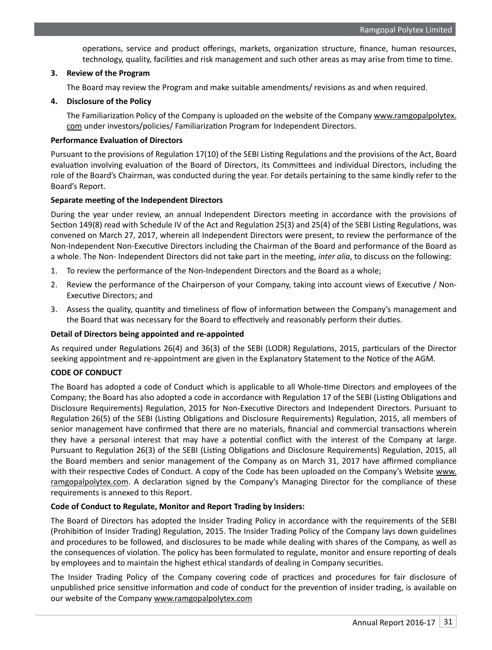operations, service and product offerings, markets, organization structure, finance, human resources, technology, quality, facilities and risk management and such other areas as may arise from time to time.

## **3. Review of the Program**

The Board may review the Program and make suitable amendments/ revisions as and when required.

## **4. Disclosure of the Policy**

The Familiarization Policy of the Company is uploaded on the website of the Company www.ramgopalpolytex. com under investors/policies/ Familiarization Program for Independent Directors.

## **Performance Evaluation of Directors**

Pursuant to the provisions of Regulation 17(10) of the SEBI Listing Regulations and the provisions of the Act, Board evaluation involving evaluation of the Board of Directors, its Committees and individual Directors, including the role of the Board's Chairman, was conducted during the year. For details pertaining to the same kindly refer to the Board's Report.

## **Separate meeting of the Independent Directors**

During the year under review, an annual Independent Directors meeting in accordance with the provisions of Section 149(8) read with Schedule IV of the Act and Regulation 25(3) and 25(4) of the SEBI Listing Regulations, was convened on March 27, 2017, wherein all Independent Directors were present, to review the performance of the Non-Independent Non-Executive Directors including the Chairman of the Board and performance of the Board as a whole. The Non- Independent Directors did not take part in the meeting, *inter alia*, to discuss on the following:

- 1. To review the performance of the Non-Independent Directors and the Board as a whole;
- 2. Review the performance of the Chairperson of your Company, taking into account views of Executive / Non-Executive Directors; and
- 3. Assess the quality, quantity and timeliness of flow of information between the Company's management and the Board that was necessary for the Board to effectively and reasonably perform their duties.

# **Detail of Directors being appointed and re-appointed**

As required under Regulations 26(4) and 36(3) of the SEBI (LODR) Regulations, 2015, particulars of the Director seeking appointment and re-appointment are given in the Explanatory Statement to the Notice of the AGM.

# **CODE OF CONDUCT**

The Board has adopted a code of Conduct which is applicable to all Whole-time Directors and employees of the Company; the Board has also adopted a code in accordance with Regulation 17 of the SEBI (Listing Obligations and Disclosure Requirements) Regulation, 2015 for Non-Executive Directors and Independent Directors. Pursuant to Regulation 26(5) of the SEBI (Listing Obligations and Disclosure Requirements) Regulation, 2015, all members of senior management have confirmed that there are no materials, financial and commercial transactions wherein they have a personal interest that may have a potential conflict with the interest of the Company at large. Pursuant to Regulation 26(3) of the SEBI (Listing Obligations and Disclosure Requirements) Regulation, 2015, all the Board members and senior management of the Company as on March 31, 2017 have affirmed compliance with their respective Codes of Conduct. A copy of the Code has been uploaded on the Company's Website www. ramgopalpolytex.com. A declaration signed by the Company's Managing Director for the compliance of these requirements is annexed to this Report.

# **Code of Conduct to Regulate, Monitor and Report Trading by Insiders:**

The Board of Directors has adopted the Insider Trading Policy in accordance with the requirements of the SEBI (Prohibition of Insider Trading) Regulation, 2015. The Insider Trading Policy of the Company lays down guidelines and procedures to be followed, and disclosures to be made while dealing with shares of the Company, as well as the consequences of violation. The policy has been formulated to regulate, monitor and ensure reporting of deals by employees and to maintain the highest ethical standards of dealing in Company securities.

The Insider Trading Policy of the Company covering code of practices and procedures for fair disclosure of unpublished price sensitive information and code of conduct for the prevention of insider trading, is available on our website of the Company www.ramgopalpolytex.com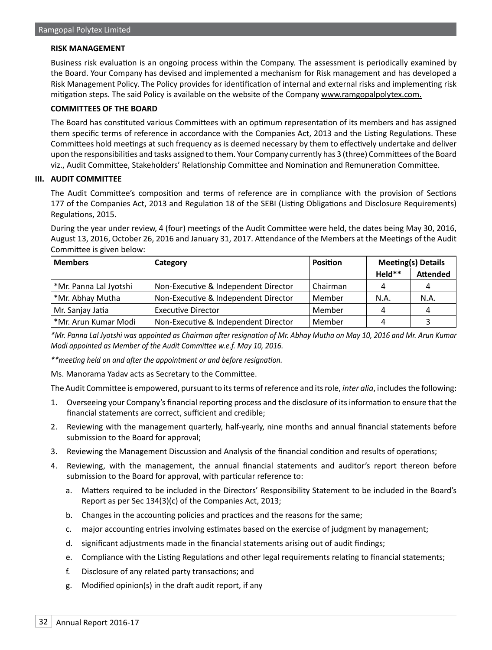## **RISK MANAGEMENT**

Business risk evaluation is an ongoing process within the Company. The assessment is periodically examined by the Board. Your Company has devised and implemented a mechanism for Risk management and has developed a Risk Management Policy. The Policy provides for identification of internal and external risks and implementing risk mitigation steps. The said Policy is available on the website of the Company www.ramgopalpolytex.com.

## **COMMITTEES OF THE BOARD**

The Board has constituted various Committees with an optimum representation of its members and has assigned them specific terms of reference in accordance with the Companies Act, 2013 and the Listing Regulations. These Committees hold meetings at such frequency as is deemed necessary by them to effectively undertake and deliver upon the responsibilities and tasks assigned to them. Your Company currently has 3 (three) Committees of the Board viz., Audit Committee, Stakeholders' Relationship Committee and Nomination and Remuneration Committee.

# **III. AUDIT COMMITTEE**

The Audit Committee's composition and terms of reference are in compliance with the provision of Sections 177 of the Companies Act, 2013 and Regulation 18 of the SEBI (Listing Obligations and Disclosure Requirements) Regulations, 2015.

During the year under review, 4 (four) meetings of the Audit Committee were held, the dates being May 30, 2016, August 13, 2016, October 26, 2016 and January 31, 2017. Attendance of the Members at the Meetings of the Audit Committee is given below:

| <b>Members</b>         | Category                             | <b>Position</b> | <b>Meeting(s) Details</b> |                 |
|------------------------|--------------------------------------|-----------------|---------------------------|-----------------|
|                        |                                      |                 | Held**                    | <b>Attended</b> |
| *Mr. Panna Lal Jyotshi | Non-Executive & Independent Director | Chairman        |                           | 4               |
| *Mr. Abhay Mutha       | Non-Executive & Independent Director | Member          | N.A.                      | N.A.            |
| Mr. Sanjay Jatia       | <b>Executive Director</b>            | Member          | Δ                         |                 |
| *Mr. Arun Kumar Modi   | Non-Executive & Independent Director | Member          | 4                         |                 |

\*Mr. Panna Lal Jyotshi was appointed as Chairman after resignation of Mr. Abhay Mutha on May 10, 2016 and Mr. Arun Kumar *Modi appointed as Member of the Audit Committee w.e.f. May 10, 2016.*

 *\*\*meeting held on and after the appointment or and before resignation.*

Ms. Manorama Yadav acts as Secretary to the Committee.

The Audit Committee is empowered, pursuant to its terms of reference and its role, *inter alia*, includes the following:

- 1. Overseeing your Company's financial reporting process and the disclosure of its information to ensure that the financial statements are correct, sufficient and credible;
- 2. Reviewing with the management quarterly, half-yearly, nine months and annual financial statements before submission to the Board for approval;
- 3. Reviewing the Management Discussion and Analysis of the financial condition and results of operations;
- 4. Reviewing, with the management, the annual financial statements and auditor's report thereon before submission to the Board for approval, with particular reference to:
	- a. Matters required to be included in the Directors' Responsibility Statement to be included in the Board's Report as per Sec 134(3)(c) of the Companies Act, 2013;
	- b. Changes in the accounting policies and practices and the reasons for the same;
	- c. major accounting entries involving estimates based on the exercise of judgment by management;
	- d. significant adjustments made in the financial statements arising out of audit findings;
	- e. Compliance with the Listing Regulations and other legal requirements relating to financial statements;
	- f. Disclosure of any related party transactions; and
	- g. Modified opinion(s) in the draft audit report, if any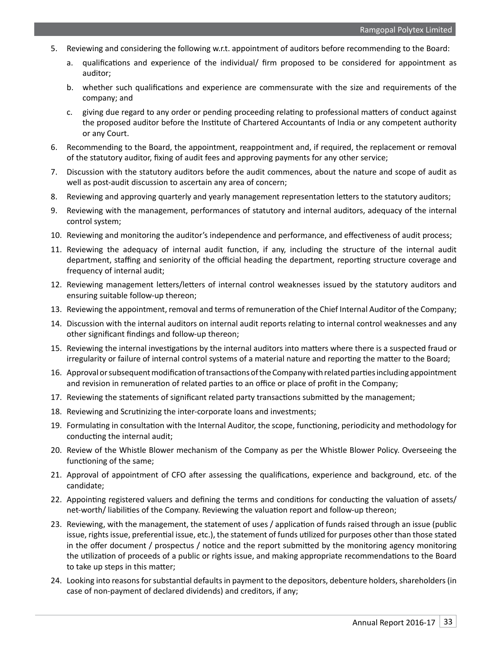- 5. Reviewing and considering the following w.r.t. appointment of auditors before recommending to the Board:
	- qualifications and experience of the individual/ firm proposed to be considered for appointment as auditor;
	- b. whether such qualifications and experience are commensurate with the size and requirements of the company; and
	- c. giving due regard to any order or pending proceeding relating to professional matters of conduct against the proposed auditor before the Institute of Chartered Accountants of India or any competent authority or any Court.
- 6. Recommending to the Board, the appointment, reappointment and, if required, the replacement or removal of the statutory auditor, fixing of audit fees and approving payments for any other service;
- 7. Discussion with the statutory auditors before the audit commences, about the nature and scope of audit as well as post-audit discussion to ascertain any area of concern;
- 8. Reviewing and approving quarterly and yearly management representation letters to the statutory auditors;
- 9. Reviewing with the management, performances of statutory and internal auditors, adequacy of the internal control system;
- 10. Reviewing and monitoring the auditor's independence and performance, and effectiveness of audit process;
- 11. Reviewing the adequacy of internal audit function, if any, including the structure of the internal audit department, staffing and seniority of the official heading the department, reporting structure coverage and frequency of internal audit;
- 12. Reviewing management letters/letters of internal control weaknesses issued by the statutory auditors and ensuring suitable follow-up thereon;
- 13. Reviewing the appointment, removal and terms of remuneration of the Chief Internal Auditor of the Company;
- 14. Discussion with the internal auditors on internal audit reports relating to internal control weaknesses and any other significant findings and follow-up thereon;
- 15. Reviewing the internal investigations by the internal auditors into matters where there is a suspected fraud or irregularity or failure of internal control systems of a material nature and reporting the matter to the Board;
- 16. Approval or subsequent modification of transactions of the Company with related parties including appointment and revision in remuneration of related parties to an office or place of profit in the Company;
- 17. Reviewing the statements of significant related party transactions submitted by the management;
- 18. Reviewing and Scrutinizing the inter-corporate loans and investments;
- 19. Formulating in consultation with the Internal Auditor, the scope, functioning, periodicity and methodology for conducting the internal audit;
- 20. Review of the Whistle Blower mechanism of the Company as per the Whistle Blower Policy. Overseeing the functioning of the same;
- 21. Approval of appointment of CFO after assessing the qualifications, experience and background, etc. of the candidate;
- 22. Appointing registered valuers and defining the terms and conditions for conducting the valuation of assets/ net-worth/ liabilities of the Company. Reviewing the valuation report and follow-up thereon;
- 23. Reviewing, with the management, the statement of uses / application of funds raised through an issue (public issue, rights issue, preferential issue, etc.), the statement of funds utilized for purposes other than those stated in the offer document / prospectus / notice and the report submitted by the monitoring agency monitoring the utilization of proceeds of a public or rights issue, and making appropriate recommendations to the Board to take up steps in this matter;
- 24. Looking into reasons for substantial defaults in payment to the depositors, debenture holders, shareholders (in case of non-payment of declared dividends) and creditors, if any;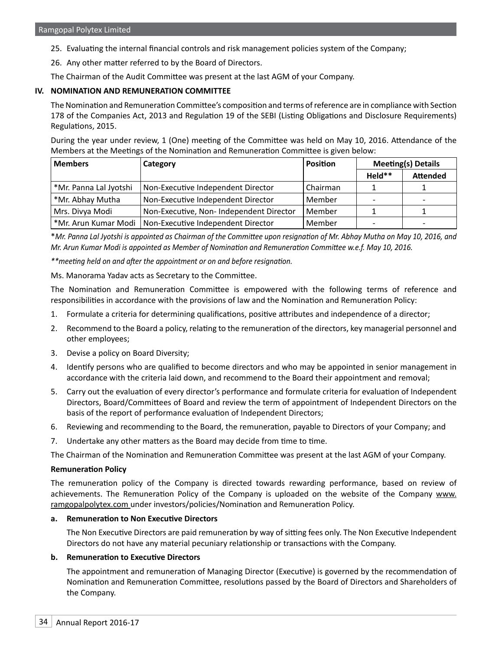25. Evaluating the internal financial controls and risk management policies system of the Company;

26. Any other matter referred to by the Board of Directors.

The Chairman of the Audit Committee was present at the last AGM of your Company.

#### **IV. NOMINATION AND REMUNERATION COMMITTEE**

The Nomination and Remuneration Committee's composition and terms of reference are in compliance with Section 178 of the Companies Act, 2013 and Regulation 19 of the SEBI (Listing Obligations and Disclosure Requirements) Regulations, 2015.

During the year under review, 1 (One) meeting of the Committee was held on May 10, 2016. Attendance of the Members at the Meetings of the Nomination and Remuneration Committee is given below:

| <b>Members</b>                                            | Category                                 | <b>Position</b> | <b>Meeting(s) Details</b> |                 |
|-----------------------------------------------------------|------------------------------------------|-----------------|---------------------------|-----------------|
|                                                           |                                          |                 | Held**                    | <b>Attended</b> |
| *Mr. Panna Lal Jyotshi                                    | Non-Executive Independent Director       | Chairman        |                           |                 |
| *Mr. Abhay Mutha                                          | Non-Executive Independent Director       | Member          | $\overline{\phantom{a}}$  |                 |
| Mrs. Divya Modi                                           | Non-Executive, Non- Independent Director | Member          |                           |                 |
| *Mr. Arun Kumar Modi   Non-Executive Independent Director |                                          | Member          | $\overline{\phantom{0}}$  |                 |

\*Mr. Panna Lal Jyotshi is appointed as Chairman of the Committee upon resignation of Mr. Abhay Mutha on May 10, 2016, and *Mr. Arun Kumar Modi is appointed as Member of Nomination and Remuneration Committee w.e.f. May 10, 2016.*

 *\*\*meeting held on and after the appointment or on and before resignation.*

Ms. Manorama Yadav acts as Secretary to the Committee.

The Nomination and Remuneration Committee is empowered with the following terms of reference and responsibilities in accordance with the provisions of law and the Nomination and Remuneration Policy:

- 1. Formulate a criteria for determining qualifications, positive attributes and independence of a director;
- 2. Recommend to the Board a policy, relating to the remuneration of the directors, key managerial personnel and other employees;
- 3. Devise a policy on Board Diversity;
- 4. Identify persons who are qualified to become directors and who may be appointed in senior management in accordance with the criteria laid down, and recommend to the Board their appointment and removal;
- 5. Carry out the evaluation of every director's performance and formulate criteria for evaluation of Independent Directors, Board/Committees of Board and review the term of appointment of Independent Directors on the basis of the report of performance evaluation of Independent Directors;
- 6. Reviewing and recommending to the Board, the remuneration, payable to Directors of your Company; and
- 7. Undertake any other matters as the Board may decide from time to time.

The Chairman of the Nomination and Remuneration Committee was present at the last AGM of your Company.

#### **Remuneration Policy**

The remuneration policy of the Company is directed towards rewarding performance, based on review of achievements. The Remuneration Policy of the Company is uploaded on the website of the Company www. ramgopalpolytex.com under investors/policies/Nomination and Remuneration Policy.

#### **a. Remuneration to Non Executive Directors**

The Non Executive Directors are paid remuneration by way of sitting fees only. The Non Executive Independent Directors do not have any material pecuniary relationship or transactions with the Company.

#### **b. Remuneration to Executive Directors**

The appointment and remuneration of Managing Director (Executive) is governed by the recommendation of Nomination and Remuneration Committee, resolutions passed by the Board of Directors and Shareholders of the Company.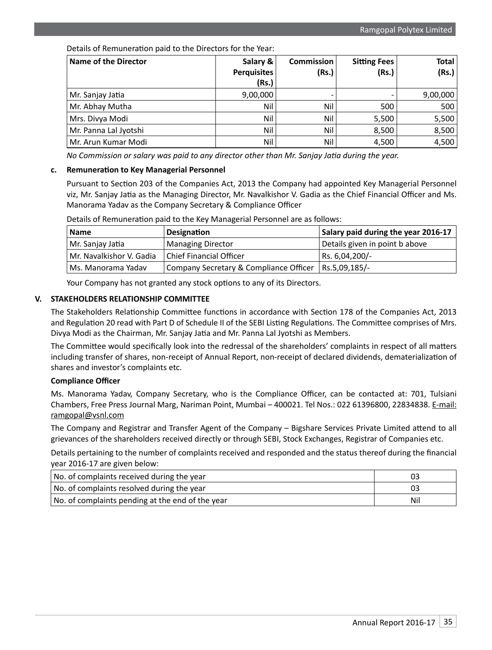Details of Remuneration paid to the Directors for the Year:

| Name of the Director  | Salary &<br><b>Perquisites</b><br>(Rs.) | <b>Commission</b><br>(Rs.) | <b>Sitting Fees</b><br>(Rs.) | Total<br>(Rs.) |
|-----------------------|-----------------------------------------|----------------------------|------------------------------|----------------|
| Mr. Sanjay Jatia      | 9,00,000                                |                            |                              | 9,00,000       |
| Mr. Abhay Mutha       | Nil                                     | Nil                        | 500                          | 500            |
| Mrs. Divya Modi       | Nil                                     | Nil                        | 5,500                        | 5,500          |
| Mr. Panna Lal Jyotshi | Nil                                     | Nil                        | 8,500                        | 8,500          |
| Mr. Arun Kumar Modi   | Nil                                     | Nil                        | 4,500                        | 4,500          |

 *No Commission or salary was paid to any director other than Mr. Sanjay Jatia during the year.*

#### **c. Remuneration to Key Managerial Personnel**

Pursuant to Section 203 of the Companies Act, 2013 the Company had appointed Key Managerial Personnel viz, Mr. Sanjay Jatia as the Managing Director, Mr. Navalkishor V. Gadia as the Chief Financial Officer and Ms. Manorama Yadav as the Company Secretary & Compliance Officer

Details of Remuneration paid to the Key Managerial Personnel are as follows:

| <b>Name</b>              | Designation                                            | Salary paid during the year 2016-17 |
|--------------------------|--------------------------------------------------------|-------------------------------------|
| Mr. Sanjay Jatia         | <b>Managing Director</b>                               | Details given in point b above      |
| Mr. Navalkishor V. Gadia | Chief Financial Officer                                | Rs. 6,04,200/-                      |
| Ms. Manorama Yaday       | Company Secretary & Compliance Officer   Rs.5,09,185/- |                                     |

Your Company has not granted any stock options to any of its Directors.

## **V. STAKEHOLDERS RELATIONSHIP COMMITTEE**

The Stakeholders Relationship Committee functions in accordance with Section 178 of the Companies Act, 2013 and Regulation 20 read with Part D of Schedule II of the SEBI Listing Regulations. The Committee comprises of Mrs. Divya Modi as the Chairman, Mr. Sanjay Jatia and Mr. Panna Lal Jyotshi as Members.

The Committee would specifically look into the redressal of the shareholders' complaints in respect of all matters including transfer of shares, non-receipt of Annual Report, non-receipt of declared dividends, dematerialization of shares and investor's complaints etc.

#### **Compliance Officer**

Ms. Manorama Yadav, Company Secretary, who is the Compliance Officer, can be contacted at: 701, Tulsiani Chambers, Free Press Journal Marg, Nariman Point, Mumbai – 400021. Tel Nos.: 022 61396800, 22834838. E-mail: ramgopal@vsnl.com

The Company and Registrar and Transfer Agent of the Company – Bigshare Services Private Limited attend to all grievances of the shareholders received directly or through SEBI, Stock Exchanges, Registrar of Companies etc.

Details pertaining to the number of complaints received and responded and the status thereof during the financial year 2016-17 are given below:

| No. of complaints received during the year       |     |
|--------------------------------------------------|-----|
| No. of complaints resolved during the year       |     |
| No. of complaints pending at the end of the year | Nil |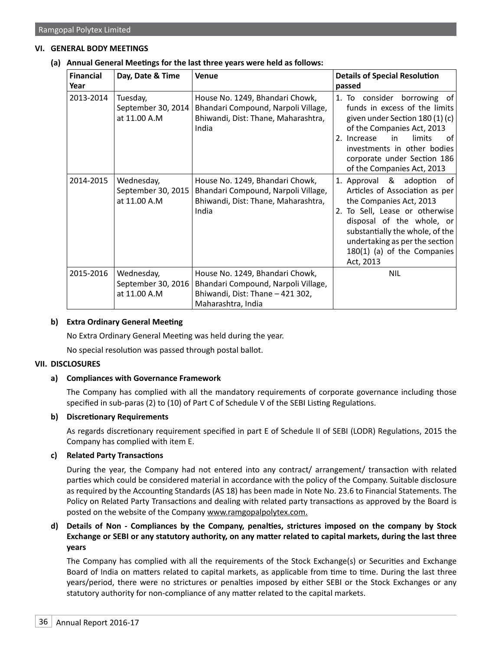#### **VI. GENERAL BODY MEETINGS**

**(a) Annual General Meetings for the last three years were held as follows:**

| <b>Financial</b><br>Year | Day, Date & Time                                 | Venue                                                                                                                            | <b>Details of Special Resolution</b><br>passed                                                                                                                                                                                                                              |
|--------------------------|--------------------------------------------------|----------------------------------------------------------------------------------------------------------------------------------|-----------------------------------------------------------------------------------------------------------------------------------------------------------------------------------------------------------------------------------------------------------------------------|
| 2013-2014                | Tuesday,<br>September 30, 2014<br>at 11.00 A.M   | House No. 1249, Bhandari Chowk,<br>Bhandari Compound, Narpoli Village,<br>Bhiwandi, Dist: Thane, Maharashtra,<br>India           | 1. To consider borrowing of<br>funds in excess of the limits<br>given under Section 180 $(1)(c)$<br>of the Companies Act, 2013<br>2. Increase<br>in<br>limits<br>nt.<br>investments in other bodies<br>corporate under Section 186<br>of the Companies Act, 2013            |
| 2014-2015                | Wednesday,<br>September 30, 2015<br>at 11.00 A.M | House No. 1249, Bhandari Chowk,<br>Bhandari Compound, Narpoli Village,<br>Bhiwandi, Dist: Thane, Maharashtra,<br>India           | 1. Approval & adoption<br>of l<br>Articles of Association as per<br>the Companies Act, 2013<br>2. To Sell, Lease or otherwise<br>disposal of the whole, or<br>substantially the whole, of the<br>undertaking as per the section<br>180(1) (a) of the Companies<br>Act, 2013 |
| 2015-2016                | Wednesday,<br>September 30, 2016<br>at 11.00 A.M | House No. 1249, Bhandari Chowk,<br>Bhandari Compound, Narpoli Village,<br>Bhiwandi, Dist: Thane - 421 302,<br>Maharashtra, India | <b>NIL</b>                                                                                                                                                                                                                                                                  |

#### **b) Extra Ordinary General Meeting**

No Extra Ordinary General Meeting was held during the year.

No special resolution was passed through postal ballot.

#### **VII. DISCLOSURES**

## **a) Compliances with Governance Framework**

The Company has complied with all the mandatory requirements of corporate governance including those specified in sub-paras (2) to (10) of Part C of Schedule V of the SEBI Listing Regulations.

#### **b) Discretionary Requirements**

As regards discretionary requirement specified in part E of Schedule II of SEBI (LODR) Regulations, 2015 the Company has complied with item E.

## **c) Related Party Transactions**

During the year, the Company had not entered into any contract/ arrangement/ transaction with related parties which could be considered material in accordance with the policy of the Company. Suitable disclosure as required by the Accounting Standards (AS 18) has been made in Note No. 23.6 to Financial Statements. The Policy on Related Party Transactions and dealing with related party transactions as approved by the Board is posted on the website of the Company www.ramgopalpolytex.com.

# **d) Details of Non - Compliances by the Company, penalties, strictures imposed on the company by Stock Exchange or SEBI or any statutory authority, on any matter related to capital markets, during the last three years**

The Company has complied with all the requirements of the Stock Exchange(s) or Securities and Exchange Board of India on matters related to capital markets, as applicable from time to time. During the last three years/period, there were no strictures or penalties imposed by either SEBI or the Stock Exchanges or any statutory authority for non-compliance of any matter related to the capital markets.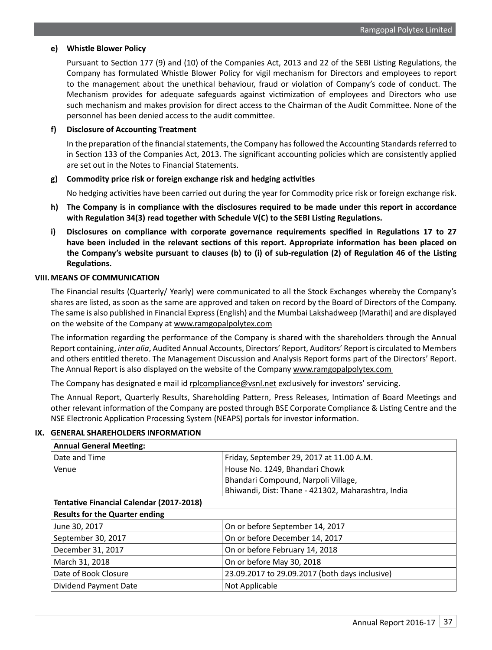#### **e) Whistle Blower Policy**

Pursuant to Section 177 (9) and (10) of the Companies Act, 2013 and 22 of the SEBI Listing Regulations, the Company has formulated Whistle Blower Policy for vigil mechanism for Directors and employees to report to the management about the unethical behaviour, fraud or violation of Company's code of conduct. The Mechanism provides for adequate safeguards against victimization of employees and Directors who use such mechanism and makes provision for direct access to the Chairman of the Audit Committee. None of the personnel has been denied access to the audit committee.

#### **f) Disclosure of Accounting Treatment**

In the preparation of the financial statements, the Company has followed the Accounting Standards referred to in Section 133 of the Companies Act, 2013. The significant accounting policies which are consistently applied are set out in the Notes to Financial Statements.

#### **g) Commodity price risk or foreign exchange risk and hedging activities**

No hedging activities have been carried out during the year for Commodity price risk or foreign exchange risk.

- **h) The Company is in compliance with the disclosures required to be made under this report in accordance with Regulation 34(3) read together with Schedule V(C) to the SEBI Listing Regulations.**
- **i) Disclosures on compliance with corporate governance requirements specified in Regulations 17 to 27 have been included in the relevant sections of this report. Appropriate information has been placed on the Company's website pursuant to clauses (b) to (i) of sub-regulation (2) of Regulation 46 of the Listing Regulations.**

#### **VIII.MEANS OF COMMUNICATION**

The Financial results (Quarterly/ Yearly) were communicated to all the Stock Exchanges whereby the Company's shares are listed, as soon as the same are approved and taken on record by the Board of Directors of the Company. The same is also published in Financial Express (English) and the Mumbai Lakshadweep (Marathi) and are displayed on the website of the Company at www.ramgopalpolytex.com

The information regarding the performance of the Company is shared with the shareholders through the Annual Report containing, *inter alia*, Audited Annual Accounts, Directors' Report, Auditors' Report is circulated to Members and others entitled thereto. The Management Discussion and Analysis Report forms part of the Directors' Report. The Annual Report is also displayed on the website of the Company www.ramgopalpolytex.com

The Company has designated e mail id rplcompliance@vsnl.net exclusively for investors' servicing.

The Annual Report, Quarterly Results, Shareholding Pattern, Press Releases, Intimation of Board Meetings and other relevant information of the Company are posted through BSE Corporate Compliance & Listing Centre and the NSE Electronic Application Processing System (NEAPS) portals for investor information.

## **IX. GENERAL SHAREHOLDERS INFORMATION**

| <b>Annual General Meeting:</b>                  |                                                    |
|-------------------------------------------------|----------------------------------------------------|
| Date and Time                                   | Friday, September 29, 2017 at 11.00 A.M.           |
| Venue                                           | House No. 1249, Bhandari Chowk                     |
|                                                 | Bhandari Compound, Narpoli Village,                |
|                                                 | Bhiwandi, Dist: Thane - 421302, Maharashtra, India |
| <b>Tentative Financial Calendar (2017-2018)</b> |                                                    |
| <b>Results for the Quarter ending</b>           |                                                    |
| June 30, 2017                                   | On or before September 14, 2017                    |
| September 30, 2017                              | On or before December 14, 2017                     |
| December 31, 2017                               | On or before February 14, 2018                     |
| March 31, 2018                                  | On or before May 30, 2018                          |
| Date of Book Closure                            | 23.09.2017 to 29.09.2017 (both days inclusive)     |
| Dividend Payment Date                           | Not Applicable                                     |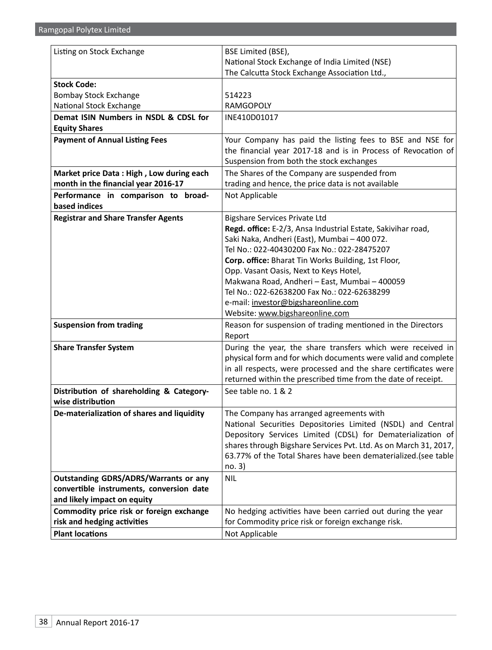| Listing on Stock Exchange                                     | BSE Limited (BSE),                                               |
|---------------------------------------------------------------|------------------------------------------------------------------|
|                                                               | National Stock Exchange of India Limited (NSE)                   |
|                                                               | The Calcutta Stock Exchange Association Ltd.,                    |
| <b>Stock Code:</b>                                            |                                                                  |
| <b>Bombay Stock Exchange</b>                                  | 514223                                                           |
| National Stock Exchange                                       | RAMGOPOLY                                                        |
| Demat ISIN Numbers in NSDL & CDSL for                         | INE410D01017                                                     |
| <b>Equity Shares</b>                                          |                                                                  |
| <b>Payment of Annual Listing Fees</b>                         | Your Company has paid the listing fees to BSE and NSE for        |
|                                                               | the financial year 2017-18 and is in Process of Revocation of    |
|                                                               | Suspension from both the stock exchanges                         |
| Market price Data: High, Low during each                      | The Shares of the Company are suspended from                     |
| month in the financial year 2016-17                           | trading and hence, the price data is not available               |
| Performance in comparison to broad-                           | Not Applicable                                                   |
| based indices                                                 |                                                                  |
| <b>Registrar and Share Transfer Agents</b>                    | <b>Bigshare Services Private Ltd</b>                             |
|                                                               | Regd. office: E-2/3, Ansa Industrial Estate, Sakivihar road,     |
|                                                               | Saki Naka, Andheri (East), Mumbai - 400 072.                     |
|                                                               | Tel No.: 022-40430200 Fax No.: 022-28475207                      |
|                                                               | Corp. office: Bharat Tin Works Building, 1st Floor,              |
|                                                               | Opp. Vasant Oasis, Next to Keys Hotel,                           |
|                                                               | Makwana Road, Andheri - East, Mumbai - 400059                    |
|                                                               | Tel No.: 022-62638200 Fax No.: 022-62638299                      |
|                                                               | e-mail: investor@bigshareonline.com                              |
|                                                               | Website: www.bigshareonline.com                                  |
| <b>Suspension from trading</b>                                | Reason for suspension of trading mentioned in the Directors      |
|                                                               | Report                                                           |
| <b>Share Transfer System</b>                                  | During the year, the share transfers which were received in      |
|                                                               | physical form and for which documents were valid and complete    |
|                                                               | in all respects, were processed and the share certificates were  |
|                                                               | returned within the prescribed time from the date of receipt.    |
| Distribution of shareholding & Category-<br>wise distribution | See table no. 1 & 2                                              |
| De-materialization of shares and liquidity                    | The Company has arranged agreements with                         |
|                                                               | National Securities Depositories Limited (NSDL) and Central      |
|                                                               | Depository Services Limited (CDSL) for Dematerialization of      |
|                                                               | shares through Bigshare Services Pvt. Ltd. As on March 31, 2017, |
|                                                               | 63.77% of the Total Shares have been dematerialized.(see table   |
|                                                               | no. 3)                                                           |
| <b>Outstanding GDRS/ADRS/Warrants or any</b>                  | <b>NIL</b>                                                       |
| convertible instruments, conversion date                      |                                                                  |
| and likely impact on equity                                   |                                                                  |
| Commodity price risk or foreign exchange                      | No hedging activities have been carried out during the year      |
| risk and hedging activities                                   | for Commodity price risk or foreign exchange risk.               |
| <b>Plant locations</b>                                        | Not Applicable                                                   |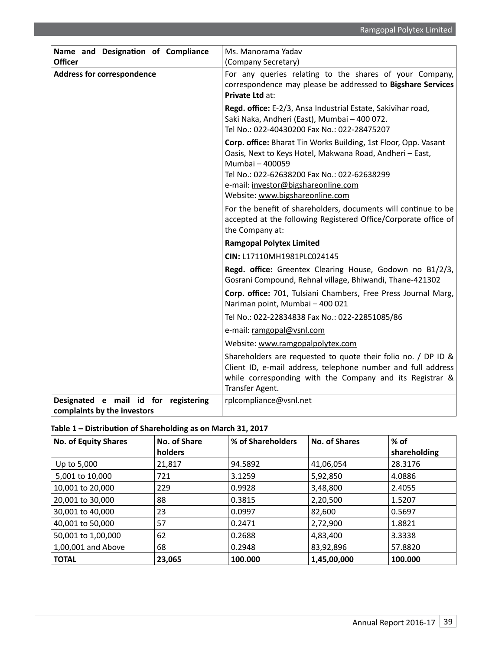| Name and Designation of Compliance                                  | Ms. Manorama Yadav                                                                                                                                                                                                                                                      |
|---------------------------------------------------------------------|-------------------------------------------------------------------------------------------------------------------------------------------------------------------------------------------------------------------------------------------------------------------------|
| <b>Officer</b>                                                      | (Company Secretary)                                                                                                                                                                                                                                                     |
| <b>Address for correspondence</b>                                   | For any queries relating to the shares of your Company,<br>correspondence may please be addressed to Bigshare Services<br><b>Private Ltd at:</b>                                                                                                                        |
|                                                                     | Regd. office: E-2/3, Ansa Industrial Estate, Sakivihar road,<br>Saki Naka, Andheri (East), Mumbai - 400 072.<br>Tel No.: 022-40430200 Fax No.: 022-28475207                                                                                                             |
|                                                                     | Corp. office: Bharat Tin Works Building, 1st Floor, Opp. Vasant<br>Oasis, Next to Keys Hotel, Makwana Road, Andheri - East,<br>Mumbai - 400059<br>Tel No.: 022-62638200 Fax No.: 022-62638299<br>e-mail: investor@bigshareonline.com<br>Website: www.bigshareonline.com |
|                                                                     | For the benefit of shareholders, documents will continue to be<br>accepted at the following Registered Office/Corporate office of<br>the Company at:                                                                                                                    |
|                                                                     | <b>Ramgopal Polytex Limited</b>                                                                                                                                                                                                                                         |
|                                                                     | CIN: L17110MH1981PLC024145                                                                                                                                                                                                                                              |
|                                                                     | Regd. office: Greentex Clearing House, Godown no B1/2/3,<br>Gosrani Compound, Rehnal village, Bhiwandi, Thane-421302                                                                                                                                                    |
|                                                                     | Corp. office: 701, Tulsiani Chambers, Free Press Journal Marg,<br>Nariman point, Mumbai - 400 021                                                                                                                                                                       |
|                                                                     | Tel No.: 022-22834838 Fax No.: 022-22851085/86                                                                                                                                                                                                                          |
|                                                                     | e-mail: ramgopal@vsnl.com                                                                                                                                                                                                                                               |
|                                                                     | Website: www.ramgopalpolytex.com                                                                                                                                                                                                                                        |
|                                                                     | Shareholders are requested to quote their folio no. / DP ID &<br>Client ID, e-mail address, telephone number and full address<br>while corresponding with the Company and its Registrar &<br>Transfer Agent.                                                            |
| Designated e mail id for registering<br>complaints by the investors | rplcompliance@vsnl.net                                                                                                                                                                                                                                                  |

# **Table 1 – Distribution of Shareholding as on March 31, 2017**

| <b>No. of Equity Shares</b> | No. of Share<br>holders | % of Shareholders | <b>No. of Shares</b> | $%$ of<br>shareholding |
|-----------------------------|-------------------------|-------------------|----------------------|------------------------|
| Up to 5,000                 | 21,817                  | 94.5892           | 41,06,054            | 28.3176                |
| 5,001 to 10,000             | 721                     | 3.1259            | 5,92,850             | 4.0886                 |
| 10,001 to 20,000            | 229                     | 0.9928            | 3,48,800             | 2.4055                 |
| 20,001 to 30,000            | 88                      | 0.3815            | 2,20,500             | 1.5207                 |
| 30,001 to 40,000            | 23                      | 0.0997            | 82,600               | 0.5697                 |
| 40,001 to 50,000            | 57                      | 0.2471            | 2,72,900             | 1.8821                 |
| 50,001 to 1,00,000          | 62                      | 0.2688            | 4,83,400             | 3.3338                 |
| 1,00,001 and Above          | 68                      | 0.2948            | 83,92,896            | 57.8820                |
| <b>TOTAL</b>                | 23,065                  | 100.000           | 1,45,00,000          | 100.000                |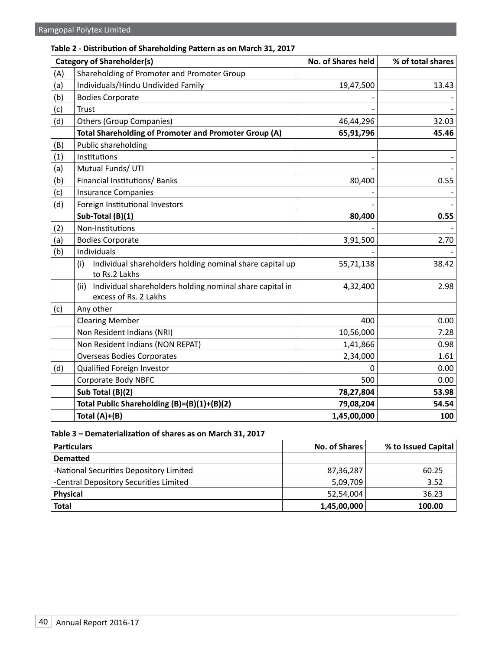|     | rable 2 - Distribution of Sharenolding Fattern as On March 31, 2017<br><b>Category of Shareholder(s)</b> | No. of Shares held | % of total shares |
|-----|----------------------------------------------------------------------------------------------------------|--------------------|-------------------|
| (A) | Shareholding of Promoter and Promoter Group                                                              |                    |                   |
| (a) | Individuals/Hindu Undivided Family                                                                       | 19,47,500          | 13.43             |
| (b) | <b>Bodies Corporate</b>                                                                                  |                    |                   |
| (c) | <b>Trust</b>                                                                                             |                    |                   |
| (d) | <b>Others (Group Companies)</b>                                                                          | 46,44,296          | 32.03             |
|     | Total Shareholding of Promoter and Promoter Group (A)                                                    | 65,91,796          | 45.46             |
| (B) | Public shareholding                                                                                      |                    |                   |
| (1) | Institutions                                                                                             |                    |                   |
| (a) | Mutual Funds/ UTI                                                                                        |                    |                   |
| (b) | Financial Institutions/ Banks                                                                            | 80,400             | 0.55              |
| (c) | <b>Insurance Companies</b>                                                                               |                    |                   |
| (d) | Foreign Institutional Investors                                                                          |                    |                   |
|     | Sub-Total (B)(1)                                                                                         | 80,400             | 0.55              |
| (2) | Non-Institutions                                                                                         |                    |                   |
| (a) | <b>Bodies Corporate</b>                                                                                  | 3,91,500           | 2.70              |
| (b) | Individuals                                                                                              |                    |                   |
|     | Individual shareholders holding nominal share capital up<br>(i)<br>to Rs.2 Lakhs                         | 55,71,138          | 38.42             |
|     | Individual shareholders holding nominal share capital in<br>(ii)<br>excess of Rs. 2 Lakhs                | 4,32,400           | 2.98              |
| (c) | Any other                                                                                                |                    |                   |
|     | <b>Clearing Member</b>                                                                                   | 400                | 0.00              |
|     | Non Resident Indians (NRI)                                                                               | 10,56,000          | 7.28              |
|     | Non Resident Indians (NON REPAT)                                                                         | 1,41,866           | 0.98              |
|     | <b>Overseas Bodies Corporates</b>                                                                        | 2,34,000           | 1.61              |
| (d) | Qualified Foreign Investor                                                                               | 0                  | 0.00              |
|     | Corporate Body NBFC                                                                                      | 500                | 0.00              |
|     | Sub Total (B)(2)                                                                                         | 78,27,804          | 53.98             |
|     | Total Public Shareholding (B)=(B)(1)+(B)(2)                                                              | 79,08,204          | 54.54             |
|     | Total $(A)+(B)$                                                                                          | 1,45,00,000        | 100               |

#### **Table 2 - Distribution of Shareholding Pattern as on March 31, 2017**

#### **Table 3 – Dematerialization of shares as on March 31, 2017**

| <b>Particulars</b>                      | No. of Shares | % to Issued Capital |
|-----------------------------------------|---------------|---------------------|
| <b>Dematted</b>                         |               |                     |
| -National Securities Depository Limited | 87,36,287     | 60.25               |
| -Central Depository Securities Limited  | 5,09,709      | 3.52                |
| <b>Physical</b>                         | 52,54,004     | 36.23               |
| <b>Total</b>                            | 1,45,00,000   | 100.00              |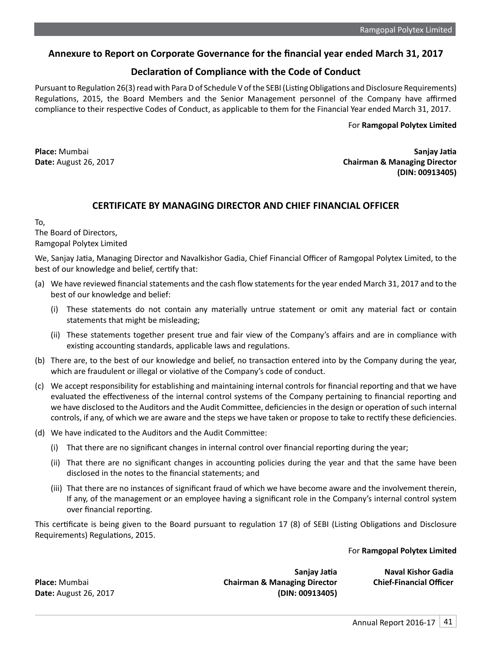## **Annexure to Report on Corporate Governance for the financial year ended March 31, 2017**

# **Declaration of Compliance with the Code of Conduct**

Pursuant to Regulation 26(3) read with Para D of Schedule V of the SEBI (Listing Obligations and Disclosure Requirements) Regulations, 2015, the Board Members and the Senior Management personnel of the Company have affirmed compliance to their respective Codes of Conduct, as applicable to them for the Financial Year ended March 31, 2017.

#### For **Ramgopal Polytex Limited**

**Place:** Mumbai **Sanjay Jatia Date:** August 26, 2017 **Chairman & Managing Director (DIN: 00913405)**

# **CERTIFICATE BY MANAGING DIRECTOR AND CHIEF FINANCIAL OFFICER**

To,

The Board of Directors, Ramgopal Polytex Limited

We, Sanjay Jatia, Managing Director and Navalkishor Gadia, Chief Financial Officer of Ramgopal Polytex Limited, to the best of our knowledge and belief, certify that:

- (a) We have reviewed financial statements and the cash flow statements for the year ended March 31, 2017 and to the best of our knowledge and belief:
	- (i) These statements do not contain any materially untrue statement or omit any material fact or contain statements that might be misleading;
	- (ii) These statements together present true and fair view of the Company's affairs and are in compliance with existing accounting standards, applicable laws and regulations.
- (b) There are, to the best of our knowledge and belief, no transaction entered into by the Company during the year, which are fraudulent or illegal or violative of the Company's code of conduct.
- (c) We accept responsibility for establishing and maintaining internal controls for financial reporting and that we have evaluated the effectiveness of the internal control systems of the Company pertaining to financial reporting and we have disclosed to the Auditors and the Audit Committee, deficiencies in the design or operation of such internal controls, if any, of which we are aware and the steps we have taken or propose to take to rectify these deficiencies.
- (d) We have indicated to the Auditors and the Audit Committee:
	- (i) That there are no significant changes in internal control over financial reporting during the year;
	- (ii) That there are no significant changes in accounting policies during the year and that the same have been disclosed in the notes to the financial statements; and
	- (iii) That there are no instances of significant fraud of which we have become aware and the involvement therein, If any, of the management or an employee having a significant role in the Company's internal control system over financial reporting.

This certificate is being given to the Board pursuant to regulation 17 (8) of SEBI (Listing Obligations and Disclosure Requirements) Regulations, 2015.

#### For **Ramgopal Polytex Limited**

**Place:** Mumbai **Chairman & Managing Director Chief-Financial Officer Date:** August 26, 2017 **(DIN: 00913405)**

**Sanjay Jatia Naval Kishor Gadia**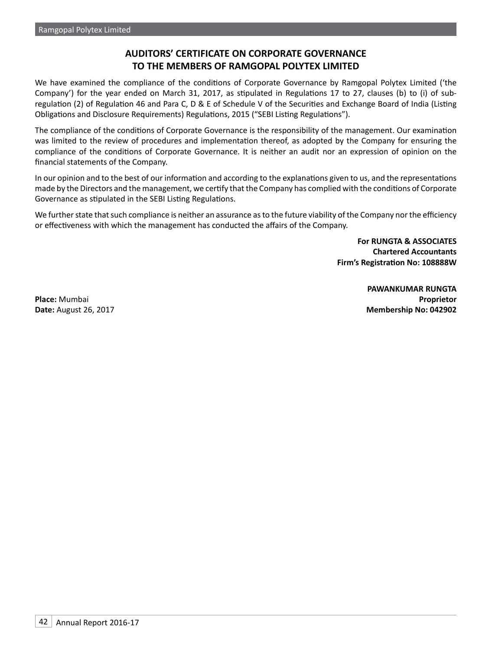# **AUDITORS' CERTIFICATE ON CORPORATE GOVERNANCE TO THE MEMBERS OF RAMGOPAL POLYTEX LIMITED**

We have examined the compliance of the conditions of Corporate Governance by Ramgopal Polytex Limited ('the Company') for the year ended on March 31, 2017, as stipulated in Regulations 17 to 27, clauses (b) to (i) of subregulation (2) of Regulation 46 and Para C, D & E of Schedule V of the Securities and Exchange Board of India (Listing Obligations and Disclosure Requirements) Regulations, 2015 ("SEBI Listing Regulations").

The compliance of the conditions of Corporate Governance is the responsibility of the management. Our examination was limited to the review of procedures and implementation thereof, as adopted by the Company for ensuring the compliance of the conditions of Corporate Governance. It is neither an audit nor an expression of opinion on the financial statements of the Company.

In our opinion and to the best of our information and according to the explanations given to us, and the representations made by the Directors and the management, we certify that the Company has complied with the conditions of Corporate Governance as stipulated in the SEBI Listing Regulations.

We further state that such compliance is neither an assurance as to the future viability of the Company nor the efficiency or effectiveness with which the management has conducted the affairs of the Company.

> **For RUNGTA & ASSOCIATES Chartered Accountants Firm's Registration No: 108888W**

**PAWANKUMAR RUNGTA Place:** Mumbai **Proprietor Date:** August 26, 2017 **Membership No: 042902**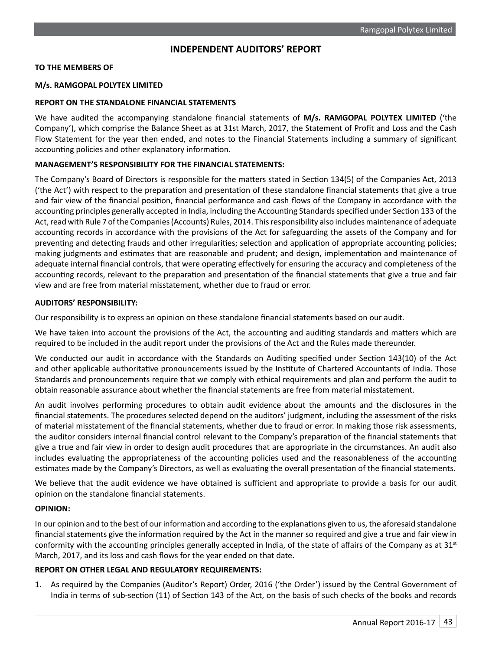# **INDEPENDENT AUDITORS' REPORT**

#### **TO THE MEMBERS OF**

#### **M/s. RAMGOPAL POLYTEX LIMITED**

#### **REPORT ON THE STANDALONE FINANCIAL STATEMENTS**

We have audited the accompanying standalone financial statements of **M/s. RAMGOPAL POLYTEX LIMITED** ('the Company'), which comprise the Balance Sheet as at 31st March, 2017, the Statement of Profit and Loss and the Cash Flow Statement for the year then ended, and notes to the Financial Statements including a summary of significant accounting policies and other explanatory information.

#### **MANAGEMENT'S RESPONSIBILITY FOR THE FINANCIAL STATEMENTS:**

The Company's Board of Directors is responsible for the matters stated in Section 134(5) of the Companies Act, 2013 ('the Act') with respect to the preparation and presentation of these standalone financial statements that give a true and fair view of the financial position, financial performance and cash flows of the Company in accordance with the accounting principles generally accepted in India, including the Accounting Standards specified under Section 133 of the Act, read with Rule 7 of the Companies (Accounts) Rules, 2014. This responsibility also includes maintenance of adequate accounting records in accordance with the provisions of the Act for safeguarding the assets of the Company and for preventing and detecting frauds and other irregularities; selection and application of appropriate accounting policies; making judgments and estimates that are reasonable and prudent; and design, implementation and maintenance of adequate internal financial controls, that were operating effectively for ensuring the accuracy and completeness of the accounting records, relevant to the preparation and presentation of the financial statements that give a true and fair view and are free from material misstatement, whether due to fraud or error.

#### **AUDITORS' RESPONSIBILITY:**

Our responsibility is to express an opinion on these standalone financial statements based on our audit.

We have taken into account the provisions of the Act, the accounting and auditing standards and matters which are required to be included in the audit report under the provisions of the Act and the Rules made thereunder.

We conducted our audit in accordance with the Standards on Auditing specified under Section 143(10) of the Act and other applicable authoritative pronouncements issued by the Institute of Chartered Accountants of India. Those Standards and pronouncements require that we comply with ethical requirements and plan and perform the audit to obtain reasonable assurance about whether the financial statements are free from material misstatement.

An audit involves performing procedures to obtain audit evidence about the amounts and the disclosures in the financial statements. The procedures selected depend on the auditors' judgment, including the assessment of the risks of material misstatement of the financial statements, whether due to fraud or error. In making those risk assessments, the auditor considers internal financial control relevant to the Company's preparation of the financial statements that give a true and fair view in order to design audit procedures that are appropriate in the circumstances. An audit also includes evaluating the appropriateness of the accounting policies used and the reasonableness of the accounting estimates made by the Company's Directors, as well as evaluating the overall presentation of the financial statements.

We believe that the audit evidence we have obtained is sufficient and appropriate to provide a basis for our audit opinion on the standalone financial statements.

#### **OPINION:**

In our opinion and to the best of our information and according to the explanations given to us, the aforesaid standalone financial statements give the information required by the Act in the manner so required and give a true and fair view in conformity with the accounting principles generally accepted in India, of the state of affairs of the Company as at  $31<sup>st</sup>$ March, 2017, and its loss and cash flows for the year ended on that date.

#### **REPORT ON OTHER LEGAL AND REGULATORY REQUIREMENTS:**

1. As required by the Companies (Auditor's Report) Order, 2016 ('the Order') issued by the Central Government of India in terms of sub-section (11) of Section 143 of the Act, on the basis of such checks of the books and records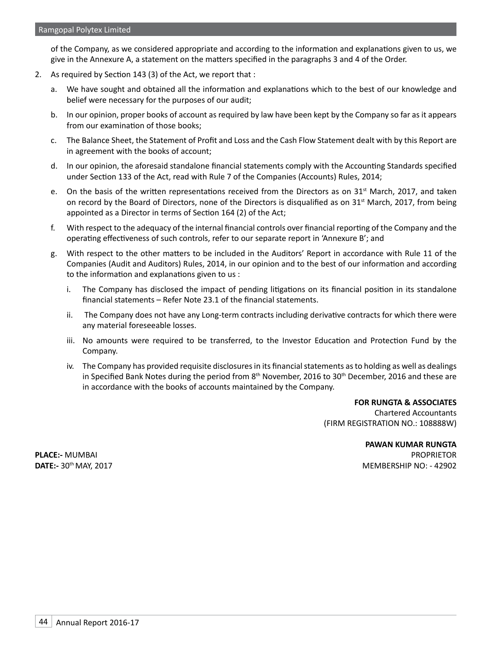of the Company, as we considered appropriate and according to the information and explanations given to us, we give in the Annexure A, a statement on the matters specified in the paragraphs 3 and 4 of the Order.

- 2. As required by Section 143 (3) of the Act, we report that :
	- a. We have sought and obtained all the information and explanations which to the best of our knowledge and belief were necessary for the purposes of our audit;
	- b. In our opinion, proper books of account as required by law have been kept by the Company so far as it appears from our examination of those books;
	- c. The Balance Sheet, the Statement of Profit and Loss and the Cash Flow Statement dealt with by this Report are in agreement with the books of account;
	- d. In our opinion, the aforesaid standalone financial statements comply with the Accounting Standards specified under Section 133 of the Act, read with Rule 7 of the Companies (Accounts) Rules, 2014;
	- e. On the basis of the written representations received from the Directors as on  $31<sup>st</sup>$  March, 2017, and taken on record by the Board of Directors, none of the Directors is disqualified as on  $31<sup>st</sup>$  March, 2017, from being appointed as a Director in terms of Section 164 (2) of the Act;
	- f. With respect to the adequacy of the internal financial controls over financial reporting of the Company and the operating effectiveness of such controls, refer to our separate report in 'Annexure B'; and
	- g. With respect to the other matters to be included in the Auditors' Report in accordance with Rule 11 of the Companies (Audit and Auditors) Rules, 2014, in our opinion and to the best of our information and according to the information and explanations given to us :
		- i. The Company has disclosed the impact of pending litigations on its financial position in its standalone financial statements – Refer Note 23.1 of the financial statements.
		- ii. The Company does not have any Long-term contracts including derivative contracts for which there were any material foreseeable losses.
		- iii. No amounts were required to be transferred, to the Investor Education and Protection Fund by the Company.
		- iv. The Company has provided requisite disclosures in its financial statements as to holding as well as dealings in Specified Bank Notes during the period from  $8<sup>th</sup>$  November, 2016 to 30<sup>th</sup> December, 2016 and these are in accordance with the books of accounts maintained by the Company.

#### **FOR RUNGTA & ASSOCIATES**

 Chartered Accountants (FIRM REGISTRATION NO.: 108888W)

> **PAWAN KUMAR RUNGTA** PROPRIETOR

MEMBERSHIP NO: - 42902

**PLACE:-** MUMBAI **DATE:-** 30th MAY, 2017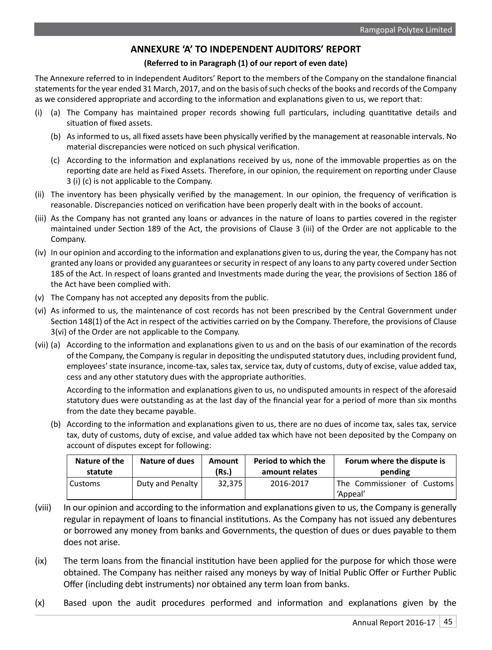# **ANNEXURE 'A' TO INDEPENDENT AUDITORS' REPORT**

## **(Referred to in Paragraph (1) of our report of even date)**

The Annexure referred to in Independent Auditors' Report to the members of the Company on the standalone financial statements for the year ended 31 March, 2017, and on the basis of such checks of the books and records of the Company as we considered appropriate and according to the information and explanations given to us, we report that:

- (i) (a) The Company has maintained proper records showing full particulars, including quantitative details and situation of fixed assets.
	- (b) As informed to us, all fixed assets have been physically verified by the management at reasonable intervals. No material discrepancies were noticed on such physical verification.
	- (c) According to the information and explanations received by us, none of the immovable properties as on the reporting date are held as Fixed Assets. Therefore, in our opinion, the requirement on reporting under Clause 3 (i) (c) is not applicable to the Company.
- (ii) The inventory has been physically verified by the management. In our opinion, the frequency of verification is reasonable. Discrepancies noticed on verification have been properly dealt with in the books of account.
- (iii) As the Company has not granted any loans or advances in the nature of loans to parties covered in the register maintained under Section 189 of the Act, the provisions of Clause 3 (iii) of the Order are not applicable to the Company.
- (iv) In our opinion and according to the information and explanations given to us, during the year, the Company has not granted any loans or provided any guarantees or security in respect of any loans to any party covered under Section 185 of the Act. In respect of loans granted and Investments made during the year, the provisions of Section 186 of the Act have been complied with.
- (v) The Company has not accepted any deposits from the public.
- (vi) As informed to us, the maintenance of cost records has not been prescribed by the Central Government under Section 148(1) of the Act in respect of the activities carried on by the Company. Therefore, the provisions of Clause 3(vi) of the Order are not applicable to the Company.
- (vii) (a) According to the information and explanations given to us and on the basis of our examination of the records of the Company, the Company is regular in depositing the undisputed statutory dues, including provident fund, employees' state insurance, income-tax, sales tax, service tax, duty of customs, duty of excise, value added tax, cess and any other statutory dues with the appropriate authorities.

According to the information and explanations given to us, no undisputed amounts in respect of the aforesaid statutory dues were outstanding as at the last day of the financial year for a period of more than six months from the date they became payable.

(b) According to the information and explanations given to us, there are no dues of income tax, sales tax, service tax, duty of customs, duty of excise, and value added tax which have not been deposited by the Company on account of disputes except for following:

| Nature of the | <b>Nature of dues</b> | Amount | Period to which the | Forum where the dispute is              |
|---------------|-----------------------|--------|---------------------|-----------------------------------------|
| statute       |                       | (Rs.)  | amount relates      | pending                                 |
| Customs       | Duty and Penalty      | 32.375 | 2016-2017           | The Commissioner of Customs<br>'Appeal' |

- (viii) In our opinion and according to the information and explanations given to us, the Company is generally regular in repayment of loans to financial institutions. As the Company has not issued any debentures or borrowed any money from banks and Governments, the question of dues or dues payable to them does not arise.
- (ix) The term loans from the financial institution have been applied for the purpose for which those were obtained. The Company has neither raised any moneys by way of Initial Public Offer or Further Public Offer (including debt instruments) nor obtained any term loan from banks.
- (x) Based upon the audit procedures performed and information and explanations given by the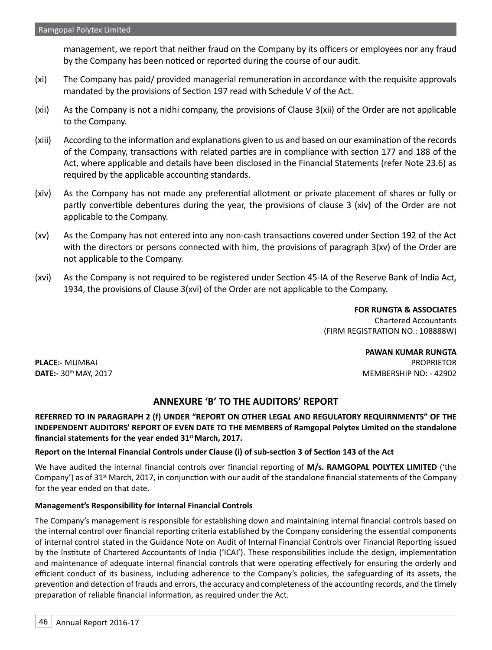management, we report that neither fraud on the Company by its officers or employees nor any fraud by the Company has been noticed or reported during the course of our audit.

- (xi) The Company has paid/ provided managerial remuneration in accordance with the requisite approvals mandated by the provisions of Section 197 read with Schedule V of the Act.
- (xii) As the Company is not a nidhi company, the provisions of Clause 3(xii) of the Order are not applicable to the Company.
- (xiii) According to the information and explanations given to us and based on our examination of the records of the Company, transactions with related parties are in compliance with section 177 and 188 of the Act, where applicable and details have been disclosed in the Financial Statements (refer Note 23.6) as required by the applicable accounting standards.
- (xiv) As the Company has not made any preferential allotment or private placement of shares or fully or partly convertible debentures during the year, the provisions of clause 3 (xiv) of the Order are not applicable to the Company.
- (xv) As the Company has not entered into any non-cash transactions covered under Section 192 of the Act with the directors or persons connected with him, the provisions of paragraph 3(xv) of the Order are not applicable to the Company.
- (xvi) As the Company is not required to be registered under Section 45-IA of the Reserve Bank of India Act, 1934, the provisions of Clause 3(xvi) of the Order are not applicable to the Company.

**FOR RUNGTA & ASSOCIATES** Chartered Accountants (FIRM REGISTRATION NO.: 108888W)

**PLACE:-** MUMBAI **DATE:-** 30th MAY, 2017

**PAWAN KUMAR RUNGTA** PROPRIETOR MEMBERSHIP NO: - 42902

# **ANNEXURE 'B' TO THE AUDITORS' REPORT**

# **REFERRED TO IN PARAGRAPH 2 (f) UNDER "REPORT ON OTHER LEGAL AND REGULATORY REQUIRNMENTS" OF THE INDEPENDENT AUDITORS' REPORT OF EVEN DATE TO THE MEMBERS of Ramgopal Polytex Limited on the standalone financial statements for the year ended 31st March, 2017.**

## **Report on the Internal Financial Controls under Clause (i) of sub-section 3 of Section 143 of the Act**

We have audited the internal financial controls over financial reporting of **M/s. RAMGOPAL POLYTEX LIMITED** ('the Company') as of 31<sup>st</sup> March, 2017, in conjunction with our audit of the standalone financial statements of the Company for the year ended on that date.

## **Management's Responsibility for Internal Financial Controls**

The Company's management is responsible for establishing down and maintaining internal financial controls based on the internal control over financial reporting criteria established by the Company considering the essential components of internal control stated in the Guidance Note on Audit of Internal Financial Controls over Financial Reporting issued by the Institute of Chartered Accountants of India ('ICAI'). These responsibilities include the design, implementation and maintenance of adequate internal financial controls that were operating effectively for ensuring the orderly and efficient conduct of its business, including adherence to the Company's policies, the safeguarding of its assets, the prevention and detection of frauds and errors, the accuracy and completeness of the accounting records, and the timely preparation of reliable financial information, as required under the Act.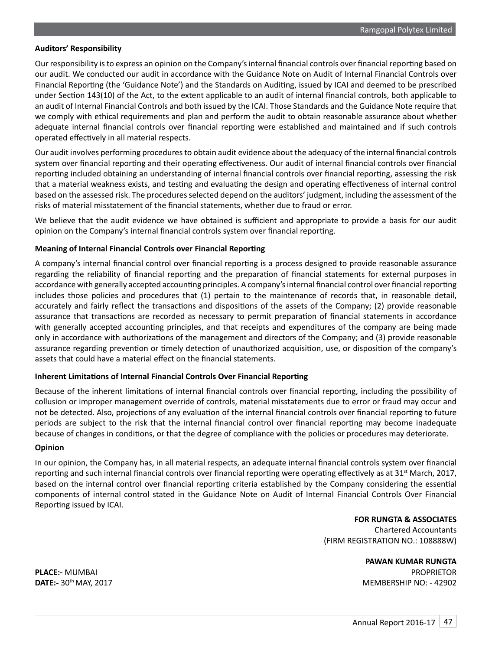#### **Auditors' Responsibility**

Our responsibility is to express an opinion on the Company's internal financial controls over financial reporting based on our audit. We conducted our audit in accordance with the Guidance Note on Audit of Internal Financial Controls over Financial Reporting (the 'Guidance Note') and the Standards on Auditing, issued by ICAI and deemed to be prescribed under Section 143(10) of the Act, to the extent applicable to an audit of internal financial controls, both applicable to an audit of Internal Financial Controls and both issued by the ICAI. Those Standards and the Guidance Note require that we comply with ethical requirements and plan and perform the audit to obtain reasonable assurance about whether adequate internal financial controls over financial reporting were established and maintained and if such controls operated effectively in all material respects.

Our audit involves performing procedures to obtain audit evidence about the adequacy of the internal financial controls system over financial reporting and their operating effectiveness. Our audit of internal financial controls over financial reporting included obtaining an understanding of internal financial controls over financial reporting, assessing the risk that a material weakness exists, and testing and evaluating the design and operating effectiveness of internal control based on the assessed risk. The procedures selected depend on the auditors' judgment, including the assessment of the risks of material misstatement of the financial statements, whether due to fraud or error.

We believe that the audit evidence we have obtained is sufficient and appropriate to provide a basis for our audit opinion on the Company's internal financial controls system over financial reporting.

#### **Meaning of Internal Financial Controls over Financial Reporting**

A company's internal financial control over financial reporting is a process designed to provide reasonable assurance regarding the reliability of financial reporting and the preparation of financial statements for external purposes in accordance with generally accepted accounting principles. A company's internal financial control over financial reporting includes those policies and procedures that (1) pertain to the maintenance of records that, in reasonable detail, accurately and fairly reflect the transactions and dispositions of the assets of the Company; (2) provide reasonable assurance that transactions are recorded as necessary to permit preparation of financial statements in accordance with generally accepted accounting principles, and that receipts and expenditures of the company are being made only in accordance with authorizations of the management and directors of the Company; and (3) provide reasonable assurance regarding prevention or timely detection of unauthorized acquisition, use, or disposition of the company's assets that could have a material effect on the financial statements.

#### **Inherent Limitations of Internal Financial Controls Over Financial Reporting**

Because of the inherent limitations of internal financial controls over financial reporting, including the possibility of collusion or improper management override of controls, material misstatements due to error or fraud may occur and not be detected. Also, projections of any evaluation of the internal financial controls over financial reporting to future periods are subject to the risk that the internal financial control over financial reporting may become inadequate because of changes in conditions, or that the degree of compliance with the policies or procedures may deteriorate.

#### **Opinion**

In our opinion, the Company has, in all material respects, an adequate internal financial controls system over financial reporting and such internal financial controls over financial reporting were operating effectively as at 31<sup>st</sup> March, 2017, based on the internal control over financial reporting criteria established by the Company considering the essential components of internal control stated in the Guidance Note on Audit of Internal Financial Controls Over Financial Reporting issued by ICAI.

**FOR RUNGTA & ASSOCIATES**

 Chartered Accountants (FIRM REGISTRATION NO.: 108888W)

**PAWAN KUMAR RUNGTA**

PROPRIETOR MEMBERSHIP NO: - 42902

**PLACE:-** MUMBAI **DATE:-** 30th MAY, 2017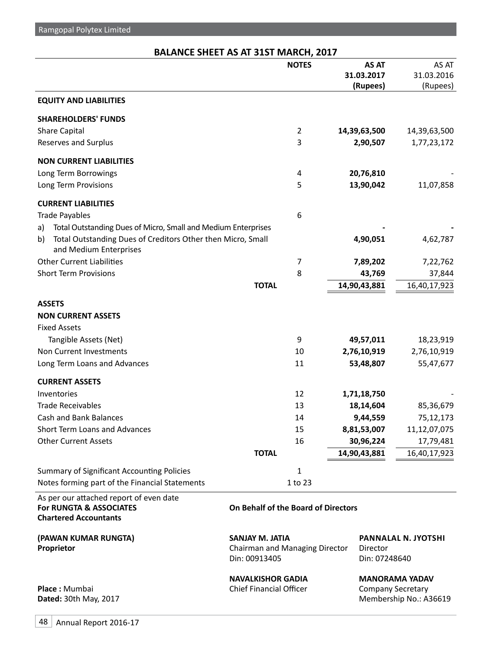|                                                                                             | <b>NOTES</b>   | <b>AS AT</b> | AS AT        |
|---------------------------------------------------------------------------------------------|----------------|--------------|--------------|
|                                                                                             |                | 31.03.2017   | 31.03.2016   |
|                                                                                             |                | (Rupees)     | (Rupees)     |
| <b>EQUITY AND LIABILITIES</b>                                                               |                |              |              |
| <b>SHAREHOLDERS' FUNDS</b>                                                                  |                |              |              |
| <b>Share Capital</b>                                                                        | 2              | 14,39,63,500 | 14,39,63,500 |
| <b>Reserves and Surplus</b>                                                                 | $\overline{3}$ | 2,90,507     | 1,77,23,172  |
| <b>NON CURRENT LIABILITIES</b>                                                              |                |              |              |
| Long Term Borrowings                                                                        | 4              | 20,76,810    |              |
| Long Term Provisions                                                                        | 5              | 13,90,042    | 11,07,858    |
| <b>CURRENT LIABILITIES</b>                                                                  |                |              |              |
| <b>Trade Payables</b>                                                                       | 6              |              |              |
| Total Outstanding Dues of Micro, Small and Medium Enterprises<br>a)                         |                |              |              |
| Total Outstanding Dues of Creditors Other then Micro, Small<br>b)<br>and Medium Enterprises |                | 4,90,051     | 4,62,787     |
| <b>Other Current Liabilities</b>                                                            | $\overline{7}$ | 7,89,202     | 7,22,762     |
| <b>Short Term Provisions</b>                                                                | 8              | 43,769       | 37,844       |
|                                                                                             | <b>TOTAL</b>   | 14,90,43,881 | 16,40,17,923 |
| <b>ASSETS</b>                                                                               |                |              |              |
| <b>NON CURRENT ASSETS</b>                                                                   |                |              |              |
| <b>Fixed Assets</b>                                                                         |                |              |              |
| Tangible Assets (Net)                                                                       | 9              | 49,57,011    | 18,23,919    |
| Non Current Investments                                                                     | 10             | 2,76,10,919  | 2,76,10,919  |
| Long Term Loans and Advances                                                                | 11             | 53,48,807    | 55,47,677    |
| <b>CURRENT ASSETS</b>                                                                       |                |              |              |
| Inventories                                                                                 | 12             | 1,71,18,750  |              |
| <b>Trade Receivables</b>                                                                    | 13             | 18,14,604    | 85,36,679    |
| Cash and Bank Balances                                                                      | 14             | 9,44,559     | 75,12,173    |
| <b>Short Term Loans and Advances</b>                                                        | 15             | 8,81,53,007  | 11,12,07,075 |
| <b>Other Current Assets</b>                                                                 | 16             | 30,96,224    | 17,79,481    |
|                                                                                             | <b>TOTAL</b>   | 14,90,43,881 | 16,40,17,923 |
| <b>Summary of Significant Accounting Policies</b>                                           | $\mathbf{1}$   |              |              |
| Notes forming part of the Financial Statements                                              | 1 to 23        |              |              |

# **BALANCE SHEET AS AT 31ST MARCH, 2017**

As per our attached report of even date **For RUNGTA & ASSOCIATES On Behalf of the Board of Directors Chartered Accountants**

Place : Mumbai **Chief Financial Officer** Company Secretary

**(PAWAN KUMAR RUNGTA) SANJAY M. JATIA PANNALAL N. JYOTSHI Proprietor Chairman and Managing Director Director** Din: 00913405 Din: 07248640

**NAVALKISHOR GADIA MANORAMA YADAV**

**Dated:** 30th May, 2017 Membership No.: A36619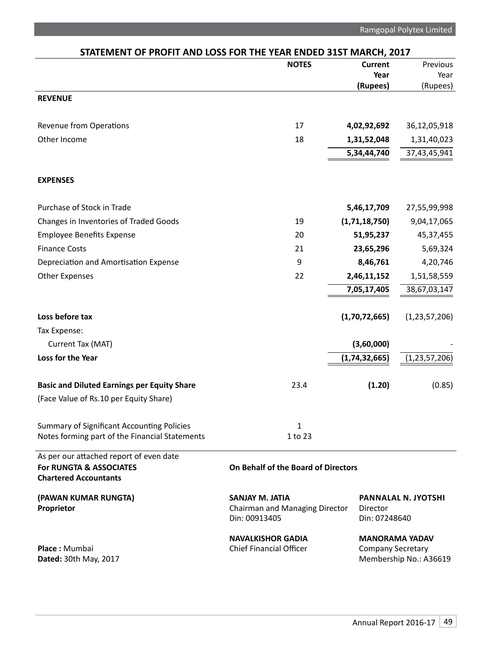| Ramgopal Polytex Limited |  |  |  |
|--------------------------|--|--|--|
|--------------------------|--|--|--|

| STATEMENT OF PROFIT AND LOSS FOR THE YEAR ENDED 31ST MARCH, 2017                                    |                                                                                                                               |                          |                                                 |
|-----------------------------------------------------------------------------------------------------|-------------------------------------------------------------------------------------------------------------------------------|--------------------------|-------------------------------------------------|
|                                                                                                     | <b>NOTES</b>                                                                                                                  | <b>Current</b>           | Previous                                        |
|                                                                                                     |                                                                                                                               | Year                     | Year                                            |
| <b>REVENUE</b>                                                                                      |                                                                                                                               | (Rupees)                 | (Rupees)                                        |
| <b>Revenue from Operations</b>                                                                      | 17                                                                                                                            | 4,02,92,692              | 36,12,05,918                                    |
| Other Income                                                                                        | 18                                                                                                                            | 1,31,52,048              | 1,31,40,023                                     |
|                                                                                                     |                                                                                                                               | 5,34,44,740              | 37,43,45,941                                    |
| <b>EXPENSES</b>                                                                                     |                                                                                                                               |                          |                                                 |
| Purchase of Stock in Trade                                                                          |                                                                                                                               | 5,46,17,709              | 27,55,99,998                                    |
| Changes in Inventories of Traded Goods                                                              | 19                                                                                                                            | (1,71,18,750)            | 9,04,17,065                                     |
| <b>Employee Benefits Expense</b>                                                                    | 20                                                                                                                            | 51,95,237                | 45,37,455                                       |
| <b>Finance Costs</b>                                                                                | 21                                                                                                                            | 23,65,296                | 5,69,324                                        |
| Depreciation and Amortisation Expense                                                               | 9                                                                                                                             | 8,46,761                 | 4,20,746                                        |
| <b>Other Expenses</b>                                                                               | 22                                                                                                                            | 2,46,11,152              | 1,51,58,559                                     |
|                                                                                                     |                                                                                                                               | 7,05,17,405              | 38,67,03,147                                    |
| Loss before tax                                                                                     |                                                                                                                               | (1,70,72,665)            | (1, 23, 57, 206)                                |
| Tax Expense:                                                                                        |                                                                                                                               |                          |                                                 |
| Current Tax (MAT)                                                                                   |                                                                                                                               | (3,60,000)               |                                                 |
| Loss for the Year                                                                                   |                                                                                                                               | (1,74,32,665)            | (1, 23, 57, 206)                                |
| <b>Basic and Diluted Earnings per Equity Share</b>                                                  | 23.4                                                                                                                          | (1.20)                   | (0.85)                                          |
| (Face Value of Rs.10 per Equity Share)                                                              |                                                                                                                               |                          |                                                 |
| <b>Summary of Significant Accounting Policies</b><br>Notes forming part of the Financial Statements | 1<br>1 to 23                                                                                                                  |                          |                                                 |
| As per our attached report of even date<br>For RUNGTA & ASSOCIATES<br><b>Chartered Accountants</b>  | On Behalf of the Board of Directors                                                                                           |                          |                                                 |
| (PAWAN KUMAR RUNGTA)<br>Proprietor                                                                  | SANJAY M. JATIA<br><b>PANNALAL N. JYOTSHI</b><br>Chairman and Managing Director<br>Director<br>Din: 00913405<br>Din: 07248640 |                          |                                                 |
| Place: Mumbai<br>Dated: 30th May, 2017                                                              | <b>NAVALKISHOR GADIA</b><br><b>Chief Financial Officer</b>                                                                    | <b>Company Secretary</b> | <b>MANORAMA YADAV</b><br>Membership No.: A36619 |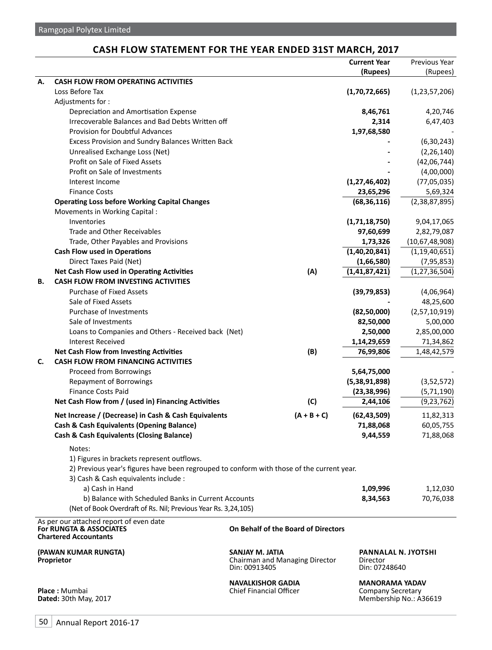# **CASH FLOW STATEMENT FOR THE YEAR ENDED 31ST MARCH, 2017**

|    |                                                                                           |                                                            |                                     | <b>Current Year</b>                               | Previous Year          |
|----|-------------------------------------------------------------------------------------------|------------------------------------------------------------|-------------------------------------|---------------------------------------------------|------------------------|
|    |                                                                                           |                                                            |                                     | (Rupees)                                          | (Rupees)               |
| А. | <b>CASH FLOW FROM OPERATING ACTIVITIES</b>                                                |                                                            |                                     |                                                   |                        |
|    | Loss Before Tax                                                                           |                                                            |                                     | (1,70,72,665)                                     | (1, 23, 57, 206)       |
|    | Adjustments for :                                                                         |                                                            |                                     |                                                   |                        |
|    | Depreciation and Amortisation Expense                                                     |                                                            |                                     | 8,46,761                                          | 4,20,746               |
|    | Irrecoverable Balances and Bad Debts Written off                                          |                                                            |                                     | 2,314                                             | 6,47,403               |
|    | <b>Provision for Doubtful Advances</b>                                                    |                                                            |                                     | 1,97,68,580                                       |                        |
|    | Excess Provision and Sundry Balances Written Back                                         |                                                            |                                     |                                                   | (6, 30, 243)           |
|    | Unrealised Exchange Loss (Net)                                                            |                                                            |                                     |                                                   | (2, 26, 140)           |
|    | Profit on Sale of Fixed Assets                                                            |                                                            |                                     |                                                   | (42,06,744)            |
|    | Profit on Sale of Investments                                                             |                                                            |                                     |                                                   | (4,00,000)             |
|    | Interest Income                                                                           |                                                            |                                     | (1, 27, 46, 402)                                  | (77,05,035)            |
|    | <b>Finance Costs</b>                                                                      |                                                            |                                     | 23,65,296                                         | 5,69,324               |
|    | <b>Operating Loss before Working Capital Changes</b>                                      |                                                            |                                     | (68, 36, 116)                                     | (2,38,87,895)          |
|    | Movements in Working Capital :                                                            |                                                            |                                     |                                                   |                        |
|    | Inventories                                                                               |                                                            |                                     | (1,71,18,750)                                     | 9,04,17,065            |
|    | Trade and Other Receivables                                                               |                                                            |                                     | 97,60,699                                         | 2,82,79,087            |
|    | Trade, Other Payables and Provisions                                                      |                                                            |                                     | 1,73,326                                          | (10,67,48,908)         |
|    | <b>Cash Flow used in Operations</b>                                                       |                                                            |                                     | (1,40,20,841)                                     | (1, 19, 40, 651)       |
|    | Direct Taxes Paid (Net)                                                                   |                                                            |                                     | (1,66,580)                                        | (7, 95, 853)           |
|    | Net Cash Flow used in Operating Activities                                                |                                                            | (A)                                 | (1, 41, 87, 421)                                  | (1, 27, 36, 504)       |
| В. | <b>CASH FLOW FROM INVESTING ACTIVITIES</b>                                                |                                                            |                                     |                                                   |                        |
|    | <b>Purchase of Fixed Assets</b>                                                           |                                                            |                                     | (39,79,853)                                       | (4,06,964)             |
|    | Sale of Fixed Assets                                                                      |                                                            |                                     |                                                   | 48,25,600              |
|    | Purchase of Investments                                                                   |                                                            |                                     | (82,50,000)                                       | (2,57,10,919)          |
|    | Sale of Investments                                                                       |                                                            |                                     |                                                   |                        |
|    |                                                                                           |                                                            |                                     | 82,50,000                                         | 5,00,000               |
|    | Loans to Companies and Others - Received back (Net)<br><b>Interest Received</b>           |                                                            |                                     | 2,50,000                                          | 2,85,00,000            |
|    |                                                                                           |                                                            |                                     | 1,14,29,659                                       | 71,34,862              |
|    | <b>Net Cash Flow from Investing Activities</b>                                            |                                                            | (B)                                 | 76,99,806                                         | 1,48,42,579            |
| C. | <b>CASH FLOW FROM FINANCING ACTIVITIES</b>                                                |                                                            |                                     |                                                   |                        |
|    | Proceed from Borrowings                                                                   |                                                            |                                     | 5,64,75,000                                       |                        |
|    | <b>Repayment of Borrowings</b>                                                            |                                                            |                                     | (5,38,91,898)                                     | (3,52,572)             |
|    | <b>Finance Costs Paid</b>                                                                 |                                                            |                                     | (23, 38, 996)                                     | (5, 71, 190)           |
|    | Net Cash Flow from / (used in) Financing Activities                                       |                                                            | (C)                                 | 2,44,106                                          | (9, 23, 762)           |
|    | Net Increase / (Decrease) in Cash & Cash Equivalents                                      |                                                            | $(A + B + C)$                       | (62, 43, 509)                                     | 11,82,313              |
|    | Cash & Cash Equivalents (Opening Balance)                                                 |                                                            |                                     | 71,88,068                                         | 60,05,755              |
|    | <b>Cash &amp; Cash Equivalents (Closing Balance)</b>                                      |                                                            |                                     | 9,44,559                                          | 71,88,068              |
|    | Notes:                                                                                    |                                                            |                                     |                                                   |                        |
|    | 1) Figures in brackets represent outflows.                                                |                                                            |                                     |                                                   |                        |
|    | 2) Previous year's figures have been regrouped to conform with those of the current year. |                                                            |                                     |                                                   |                        |
|    | 3) Cash & Cash equivalents include :                                                      |                                                            |                                     |                                                   |                        |
|    | a) Cash in Hand                                                                           |                                                            |                                     | 1,09,996                                          | 1,12,030               |
|    | b) Balance with Scheduled Banks in Current Accounts                                       |                                                            |                                     | 8,34,563                                          | 70,76,038              |
|    | (Net of Book Overdraft of Rs. Nil; Previous Year Rs. 3,24,105)                            |                                                            |                                     |                                                   |                        |
|    |                                                                                           |                                                            |                                     |                                                   |                        |
|    | As per our attached report of even date<br>For RUNGTA & ASSOCIATES                        |                                                            | On Behalf of the Board of Directors |                                                   |                        |
|    | <b>Chartered Accountants</b>                                                              |                                                            |                                     |                                                   |                        |
|    |                                                                                           |                                                            |                                     |                                                   |                        |
|    | (PAWAN KUMAR RUNGTA)<br>Proprietor                                                        | SANJAY M. JATIA                                            | Chairman and Managing Director      | PANNALAL N. JYOTSHI<br>Director                   |                        |
|    |                                                                                           | Din: 00913405                                              |                                     | Din: 07248640                                     |                        |
|    |                                                                                           |                                                            |                                     |                                                   |                        |
|    | <b>Place:</b> Mumbai                                                                      | <b>NAVALKISHOR GADIA</b><br><b>Chief Financial Officer</b> |                                     | <b>MANORAMA YADAV</b><br><b>Company Secretary</b> |                        |
|    | Dated: 30th May, 2017                                                                     |                                                            |                                     |                                                   | Membership No.: A36619 |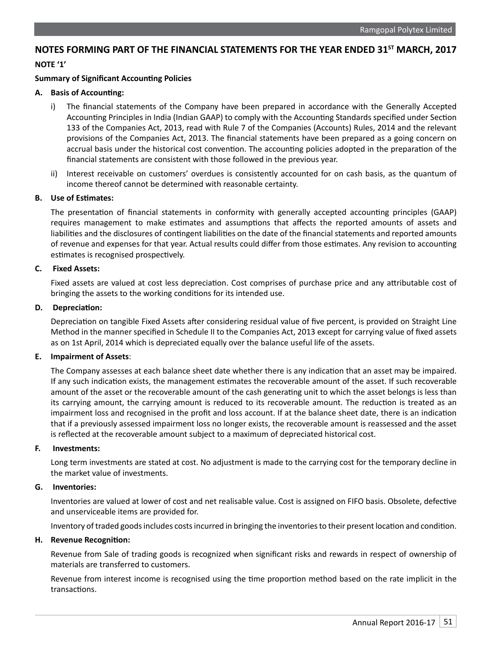# **NOTE '1'**

# **Summary of Significant Accounting Policies**

## **A. Basis of Accounting:**

- i) The financial statements of the Company have been prepared in accordance with the Generally Accepted Accounting Principles in India (Indian GAAP) to comply with the Accounting Standards specified under Section 133 of the Companies Act, 2013, read with Rule 7 of the Companies (Accounts) Rules, 2014 and the relevant provisions of the Companies Act, 2013. The financial statements have been prepared as a going concern on accrual basis under the historical cost convention. The accounting policies adopted in the preparation of the financial statements are consistent with those followed in the previous year.
- ii) Interest receivable on customers' overdues is consistently accounted for on cash basis, as the quantum of income thereof cannot be determined with reasonable certainty.

#### **B. Use of Estimates:**

The presentation of financial statements in conformity with generally accepted accounting principles (GAAP) requires management to make estimates and assumptions that affects the reported amounts of assets and liabilities and the disclosures of contingent liabilities on the date of the financial statements and reported amounts of revenue and expenses for that year. Actual results could differ from those estimates. Any revision to accounting estimates is recognised prospectively.

# **C. Fixed Assets:**

Fixed assets are valued at cost less depreciation. Cost comprises of purchase price and any attributable cost of bringing the assets to the working conditions for its intended use.

#### **D. Depreciation:**

Depreciation on tangible Fixed Assets after considering residual value of five percent, is provided on Straight Line Method in the manner specified in Schedule II to the Companies Act, 2013 except for carrying value of fixed assets as on 1st April, 2014 which is depreciated equally over the balance useful life of the assets.

## **E. Impairment of Assets**:

The Company assesses at each balance sheet date whether there is any indication that an asset may be impaired. If any such indication exists, the management estimates the recoverable amount of the asset. If such recoverable amount of the asset or the recoverable amount of the cash generating unit to which the asset belongs is less than its carrying amount, the carrying amount is reduced to its recoverable amount. The reduction is treated as an impairment loss and recognised in the profit and loss account. If at the balance sheet date, there is an indication that if a previously assessed impairment loss no longer exists, the recoverable amount is reassessed and the asset is reflected at the recoverable amount subject to a maximum of depreciated historical cost.

#### **F. Investments:**

Long term investments are stated at cost. No adjustment is made to the carrying cost for the temporary decline in the market value of investments.

#### **G. Inventories:**

Inventories are valued at lower of cost and net realisable value. Cost is assigned on FIFO basis. Obsolete, defective and unserviceable items are provided for.

Inventory of traded goods includes costs incurred in bringing the inventories to their present location and condition.

#### **H. Revenue Recognition:**

Revenue from Sale of trading goods is recognized when significant risks and rewards in respect of ownership of materials are transferred to customers.

Revenue from interest income is recognised using the time proportion method based on the rate implicit in the transactions.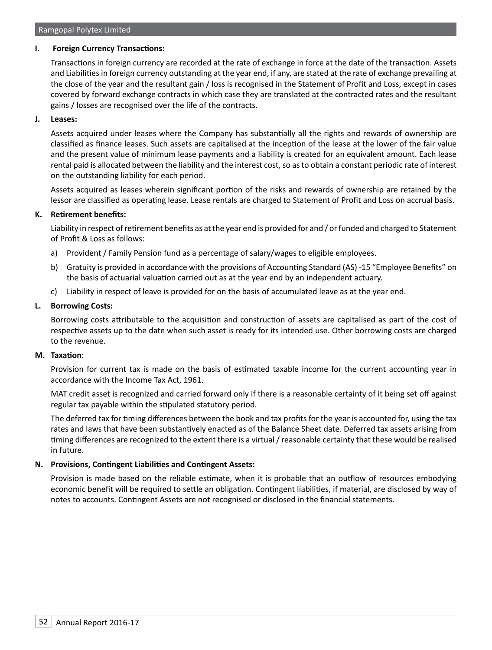#### **I. Foreign Currency Transactions:**

Transactions in foreign currency are recorded at the rate of exchange in force at the date of the transaction. Assets and Liabilities in foreign currency outstanding at the year end, if any, are stated at the rate of exchange prevailing at the close of the year and the resultant gain / loss is recognised in the Statement of Profit and Loss, except in cases covered by forward exchange contracts in which case they are translated at the contracted rates and the resultant gains / losses are recognised over the life of the contracts.

#### **J. Leases:**

Assets acquired under leases where the Company has substantially all the rights and rewards of ownership are classified as finance leases. Such assets are capitalised at the inception of the lease at the lower of the fair value and the present value of minimum lease payments and a liability is created for an equivalent amount. Each lease rental paid is allocated between the liability and the interest cost, so as to obtain a constant periodic rate of interest on the outstanding liability for each period.

Assets acquired as leases wherein significant portion of the risks and rewards of ownership are retained by the lessor are classified as operating lease. Lease rentals are charged to Statement of Profit and Loss on accrual basis.

#### **K. Retirement benefits:**

Liability in respect of retirement benefits as at the year end is provided for and / or funded and charged to Statement of Profit & Loss as follows:

- a) Provident / Family Pension fund as a percentage of salary/wages to eligible employees.
- b) Gratuity is provided in accordance with the provisions of Accounting Standard (AS) -15 "Employee Benefits" on the basis of actuarial valuation carried out as at the year end by an independent actuary.
- c) Liability in respect of leave is provided for on the basis of accumulated leave as at the year end.

#### **L. Borrowing Costs:**

Borrowing costs attributable to the acquisition and construction of assets are capitalised as part of the cost of respective assets up to the date when such asset is ready for its intended use. Other borrowing costs are charged to the revenue.

#### **M. Taxation**:

Provision for current tax is made on the basis of estimated taxable income for the current accounting year in accordance with the Income Tax Act, 1961.

MAT credit asset is recognized and carried forward only if there is a reasonable certainty of it being set off against regular tax payable within the stipulated statutory period.

The deferred tax for timing differences between the book and tax profits for the year is accounted for, using the tax rates and laws that have been substantively enacted as of the Balance Sheet date. Deferred tax assets arising from timing differences are recognized to the extent there is a virtual / reasonable certainty that these would be realised in future.

#### **N. Provisions, Contingent Liabilities and Contingent Assets:**

Provision is made based on the reliable estimate, when it is probable that an outflow of resources embodying economic benefit will be required to settle an obligation. Contingent liabilities, if material, are disclosed by way of notes to accounts. Contingent Assets are not recognised or disclosed in the financial statements.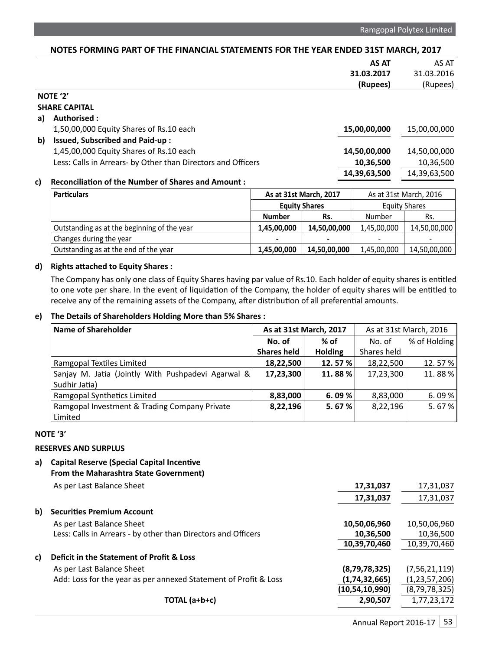|    |                                                              | <b>AS AT</b> | AS AT        |
|----|--------------------------------------------------------------|--------------|--------------|
|    |                                                              | 31.03.2017   | 31.03.2016   |
|    |                                                              | (Rupees)     | (Rupees)     |
|    | NOTE '2'                                                     |              |              |
|    | <b>SHARE CAPITAL</b>                                         |              |              |
| a) | Authorised:                                                  |              |              |
|    | 1,50,00,000 Equity Shares of Rs.10 each                      | 15,00,00,000 | 15,00,00,000 |
| b) | <b>Issued, Subscribed and Paid-up:</b>                       |              |              |
|    | 1,45,00,000 Equity Shares of Rs.10 each                      | 14,50,00,000 | 14,50,00,000 |
|    | Less: Calls in Arrears- by Other than Directors and Officers | 10,36,500    | 10,36,500    |
|    |                                                              | 14,39,63,500 | 14,39,63,500 |
|    |                                                              |              |              |

#### **c) Reconciliation of the Number of Shares and Amount :**

| <b>Particulars</b>                          |               | As at 31st March, 2017 |             | As at 31st March, 2016 |  |
|---------------------------------------------|---------------|------------------------|-------------|------------------------|--|
|                                             |               | <b>Equity Shares</b>   |             | <b>Equity Shares</b>   |  |
|                                             | <b>Number</b> | Rs.                    |             | Rs.                    |  |
| Outstanding as at the beginning of the year | 1,45,00,000   | 14,50,00,000           | 1,45,00,000 | 14,50,00,000           |  |
| Changes during the year                     |               | -                      |             |                        |  |
| Outstanding as at the end of the year       | 1,45,00,000   | 14,50,00,000           | 1,45,00,000 | 14,50,00,000           |  |

#### **d) Rights attached to Equity Shares :**

The Company has only one class of Equity Shares having par value of Rs.10. Each holder of equity shares is entitled to one vote per share. In the event of liquidation of the Company, the holder of equity shares will be entitled to receive any of the remaining assets of the Company, after distribution of all preferential amounts.

#### **e) The Details of Shareholders Holding More than 5% Shares :**

| Name of Shareholder                                |                    | As at 31st March, 2017 | As at 31st March, 2016 |              |  |
|----------------------------------------------------|--------------------|------------------------|------------------------|--------------|--|
|                                                    | No. of             | % of                   |                        | % of Holding |  |
|                                                    | <b>Shares held</b> | <b>Holding</b>         | Shares held            |              |  |
| Ramgopal Textiles Limited                          | 18,22,500          | 12.57%                 | 18,22,500              | 12.57%       |  |
| Sanjay M. Jatia (Jointly With Pushpadevi Agarwal & | 17,23,300          | 11.88%                 | 17,23,300              | 11.88%       |  |
| Sudhir Jatia)                                      |                    |                        |                        |              |  |
| Ramgopal Synthetics Limited                        | 8,83,000           | 6.09%                  | 8,83,000               | 6.09%        |  |
| Ramgopal Investment & Trading Company Private      | 8,22,196           | 5.67%                  | 8,22,196               | 5.67%        |  |
| Limited                                            |                    |                        |                        |              |  |

#### **NOTE '3'**

#### **RESERVES AND SURPLUS**

#### **a) Capital Reserve (Special Capital Incentive From the Maharashtra State Government)**

|    | As per Last Balance Sheet                                        | 17,31,037      | 17,31,037        |
|----|------------------------------------------------------------------|----------------|------------------|
|    |                                                                  | 17,31,037      | 17,31,037        |
| b) | <b>Securities Premium Account</b>                                |                |                  |
|    | As per Last Balance Sheet                                        | 10,50,06,960   | 10,50,06,960     |
|    | Less: Calls in Arrears - by other than Directors and Officers    | 10,36,500      | 10,36,500        |
|    |                                                                  | 10,39,70,460   | 10,39,70,460     |
| c) | Deficit in the Statement of Profit & Loss                        |                |                  |
|    | As per Last Balance Sheet                                        | (8,79,78,325)  | (7, 56, 21, 119) |
|    | Add: Loss for the year as per annexed Statement of Profit & Loss | (1,74,32,665)  | (1, 23, 57, 206) |
|    |                                                                  | (10,54,10,990) | (8,79,78,325)    |
|    | TOTAL (a+b+c)                                                    | 2,90,507       | 1,77,23,172      |
|    |                                                                  |                |                  |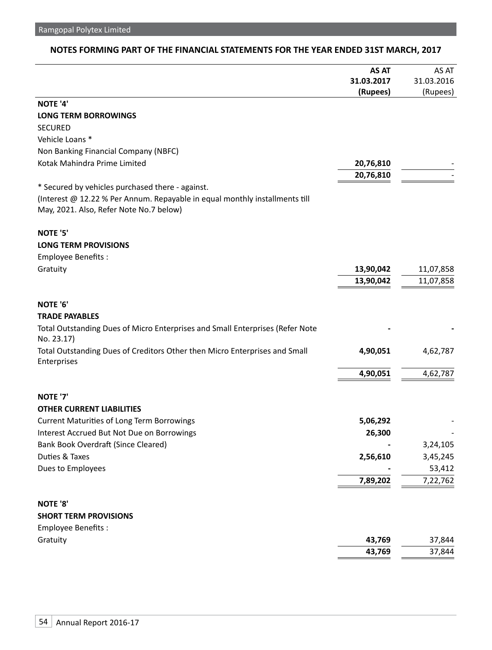|                                                                                                                        | <b>AS AT</b> | AS AT      |
|------------------------------------------------------------------------------------------------------------------------|--------------|------------|
|                                                                                                                        | 31.03.2017   | 31.03.2016 |
|                                                                                                                        | (Rupees)     | (Rupees)   |
| <b>NOTE '4'</b>                                                                                                        |              |            |
| <b>LONG TERM BORROWINGS</b>                                                                                            |              |            |
| <b>SECURED</b>                                                                                                         |              |            |
| Vehicle Loans *                                                                                                        |              |            |
| Non Banking Financial Company (NBFC)                                                                                   |              |            |
| Kotak Mahindra Prime Limited                                                                                           | 20,76,810    |            |
|                                                                                                                        | 20,76,810    |            |
| * Secured by vehicles purchased there - against.                                                                       |              |            |
| (Interest @ 12.22 % Per Annum. Repayable in equal monthly installments till<br>May, 2021. Also, Refer Note No.7 below) |              |            |
| NOTE '5'                                                                                                               |              |            |
| <b>LONG TERM PROVISIONS</b>                                                                                            |              |            |
| Employee Benefits :                                                                                                    |              |            |
| Gratuity                                                                                                               | 13,90,042    | 11,07,858  |
|                                                                                                                        | 13,90,042    | 11,07,858  |
| NOTE '6'                                                                                                               |              |            |
| <b>TRADE PAYABLES</b>                                                                                                  |              |            |
| Total Outstanding Dues of Micro Enterprises and Small Enterprises (Refer Note<br>No. 23.17)                            |              |            |
| Total Outstanding Dues of Creditors Other then Micro Enterprises and Small<br>Enterprises                              | 4,90,051     | 4,62,787   |
|                                                                                                                        | 4,90,051     | 4,62,787   |
| NOTE '7'                                                                                                               |              |            |
| <b>OTHER CURRENT LIABILITIES</b>                                                                                       |              |            |
| <b>Current Maturities of Long Term Borrowings</b>                                                                      | 5,06,292     |            |
| Interest Accrued But Not Due on Borrowings                                                                             | 26,300       |            |
| Bank Book Overdraft (Since Cleared)                                                                                    |              | 3,24,105   |
| Duties & Taxes                                                                                                         | 2,56,610     | 3,45,245   |
| Dues to Employees                                                                                                      |              | 53,412     |
|                                                                                                                        | 7,89,202     | 7,22,762   |
| NOTE '8'                                                                                                               |              |            |
| <b>SHORT TERM PROVISIONS</b>                                                                                           |              |            |
| Employee Benefits:                                                                                                     |              |            |
| Gratuity                                                                                                               | 43,769       | 37,844     |
|                                                                                                                        | 43,769       | 37,844     |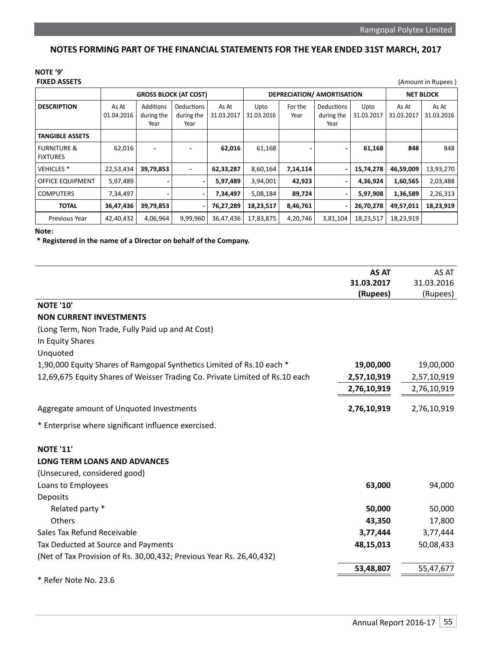# **NOTE '9'**

| <b>FIXED ASSETS</b><br>(Amount in Rupees) |                     |                                        |                                         |                     |                    |                 |                                  |                    |                     |                     |  |
|-------------------------------------------|---------------------|----------------------------------------|-----------------------------------------|---------------------|--------------------|-----------------|----------------------------------|--------------------|---------------------|---------------------|--|
|                                           |                     |                                        | <b>GROSS BLOCK (AT COST)</b>            |                     |                    |                 | DEPRECIATION/ AMORTISATION       |                    |                     | <b>NET BLOCK</b>    |  |
| <b>DESCRIPTION</b>                        | As At<br>01.04.2016 | <b>Additions</b><br>during the<br>Year | <b>Deductions</b><br>during the<br>Year | As At<br>31.03.2017 | Upto<br>31.03.2016 | For the<br>Year | Deductions<br>during the<br>Year | Upto<br>31.03.2017 | As At<br>31.03.2017 | As At<br>31.03.2016 |  |
| <b>TANGIBLE ASSETS</b>                    |                     |                                        |                                         |                     |                    |                 |                                  |                    |                     |                     |  |
| <b>FURNITURE &amp;</b><br><b>FIXTURES</b> | 62,016              | $\blacksquare$                         | $\overline{\phantom{0}}$                | 62,016              | 61,168             |                 |                                  | 61,168             | 848                 | 848                 |  |
| <b>VEHICLES</b> *                         | 22,53,434           | 39,79,853                              |                                         | 62,33,287           | 8,60,164           | 7,14,114        |                                  | 15,74,278          | 46,59,009           | 13,93,270           |  |
| <b>OFFICE EQUIPMENT</b>                   | 5,97,489            |                                        |                                         | 5,97,489            | 3,94,001           | 42,923          |                                  | 4,36,924           | 1,60,565            | 2,03,488            |  |
| <b>COMPUTERS</b>                          | 7,34,497            | -                                      | $\blacksquare$                          | 7,34,497            | 5,08,184           | 89,724          |                                  | 5,97,908           | 1,36,589            | 2,26,313            |  |
| <b>TOTAL</b>                              | 36,47,436           | 39,79,853                              |                                         | 76,27,289           | 18,23,517          | 8,46,761        |                                  | 26,70,278          | 49,57,011           | 18,23,919           |  |
| Previous Year                             | 42,40,432           | 4,06,964                               | 9,99,960                                | 36,47,436           | 17,83,875          | 4,20,746        | 3,81,104                         | 18,23,517          | 18,23,919           |                     |  |

**Note:**

#### **\* Registered in the name of a Director on behalf of the Company.**

|                                                                              | <b>AS AT</b> | AS AT       |
|------------------------------------------------------------------------------|--------------|-------------|
|                                                                              | 31.03.2017   | 31.03.2016  |
|                                                                              | (Rupees)     | (Rupees)    |
| <b>NOTE '10'</b>                                                             |              |             |
| <b>NON CURRENT INVESTMENTS</b>                                               |              |             |
| (Long Term, Non Trade, Fully Paid up and At Cost)                            |              |             |
| In Equity Shares                                                             |              |             |
| Unquoted                                                                     |              |             |
| 1,90,000 Equity Shares of Ramgopal Synthetics Limited of Rs.10 each *        | 19,00,000    | 19,00,000   |
| 12,69,675 Equity Shares of Weisser Trading Co. Private Limited of Rs.10 each | 2,57,10,919  | 2,57,10,919 |
|                                                                              | 2,76,10,919  | 2,76,10,919 |
|                                                                              |              |             |
| Aggregate amount of Unquoted Investments                                     | 2,76,10,919  | 2,76,10,919 |
| * Enterprise where significant influence exercised.                          |              |             |
| <b>NOTE '11'</b>                                                             |              |             |
| <b>LONG TERM LOANS AND ADVANCES</b>                                          |              |             |
| (Unsecured, considered good)                                                 |              |             |
| Loans to Employees                                                           | 63,000       | 94,000      |
| Deposits                                                                     |              |             |
| Related party *                                                              | 50,000       | 50,000      |
| Others                                                                       | 43,350       | 17,800      |
| Sales Tax Refund Receivable                                                  | 3,77,444     | 3,77,444    |
| Tax Deducted at Source and Payments                                          | 48,15,013    | 50,08,433   |
| (Net of Tax Provision of Rs. 30,00,432; Previous Year Rs. 26,40,432)         |              |             |
|                                                                              | 53,48,807    | 55,47,677   |
| * Refer Note No. 23.6                                                        |              |             |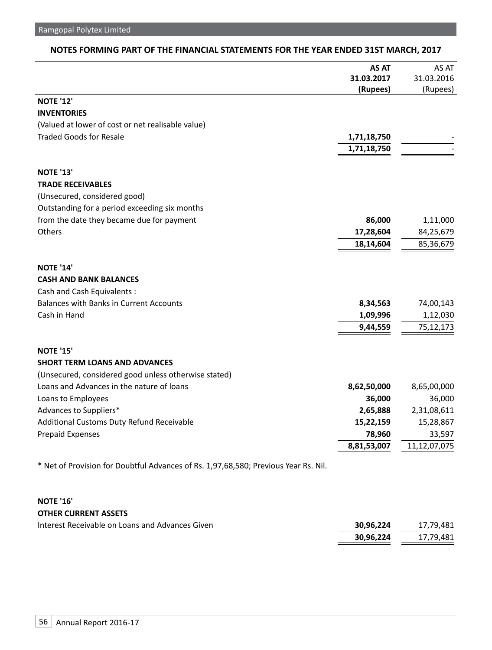|                                                                                     | <b>AS AT</b> |                     |
|-------------------------------------------------------------------------------------|--------------|---------------------|
|                                                                                     | 31.03.2017   | AS AT<br>31.03.2016 |
|                                                                                     | (Rupees)     | (Rupees)            |
| <b>NOTE '12'</b>                                                                    |              |                     |
| <b>INVENTORIES</b>                                                                  |              |                     |
| (Valued at lower of cost or net realisable value)                                   |              |                     |
| <b>Traded Goods for Resale</b>                                                      | 1,71,18,750  |                     |
|                                                                                     | 1,71,18,750  |                     |
| <b>NOTE '13'</b>                                                                    |              |                     |
| <b>TRADE RECEIVABLES</b>                                                            |              |                     |
| (Unsecured, considered good)                                                        |              |                     |
| Outstanding for a period exceeding six months                                       |              |                     |
| from the date they became due for payment                                           | 86,000       | 1,11,000            |
| Others                                                                              | 17,28,604    | 84,25,679           |
|                                                                                     | 18,14,604    | 85,36,679           |
|                                                                                     |              |                     |
| <b>NOTE '14'</b>                                                                    |              |                     |
| <b>CASH AND BANK BALANCES</b>                                                       |              |                     |
| Cash and Cash Equivalents :                                                         |              |                     |
| <b>Balances with Banks in Current Accounts</b>                                      | 8,34,563     | 74,00,143           |
| Cash in Hand                                                                        | 1,09,996     | 1,12,030            |
|                                                                                     | 9,44,559     | 75,12,173           |
| <b>NOTE '15'</b>                                                                    |              |                     |
| <b>SHORT TERM LOANS AND ADVANCES</b>                                                |              |                     |
| (Unsecured, considered good unless otherwise stated)                                |              |                     |
| Loans and Advances in the nature of loans                                           | 8,62,50,000  | 8,65,00,000         |
| Loans to Employees                                                                  | 36,000       | 36,000              |
| Advances to Suppliers*                                                              | 2,65,888     | 2,31,08,611         |
| Additional Customs Duty Refund Receivable                                           | 15,22,159    | 15,28,867           |
| <b>Prepaid Expenses</b>                                                             | 78,960       | 33,597              |
|                                                                                     | 8,81,53,007  | 11,12,07,075        |
| * Net of Provision for Doubtful Advances of Rs. 1,97,68,580; Previous Year Rs. Nil. |              |                     |
| <b>NOTE '16'</b>                                                                    |              |                     |
| <b>OTHER CURRENT ASSETS</b>                                                         |              |                     |
| Interest Receivable on Loans and Advances Given                                     | 30,96,224    | 17,79,481           |

 **30,96,224** 17,79,481

# **NOTES FORMING PART OF THE FINANCIAL STATEMENTS FOR THE YEAR ENDED 31ST MARCH, 2017**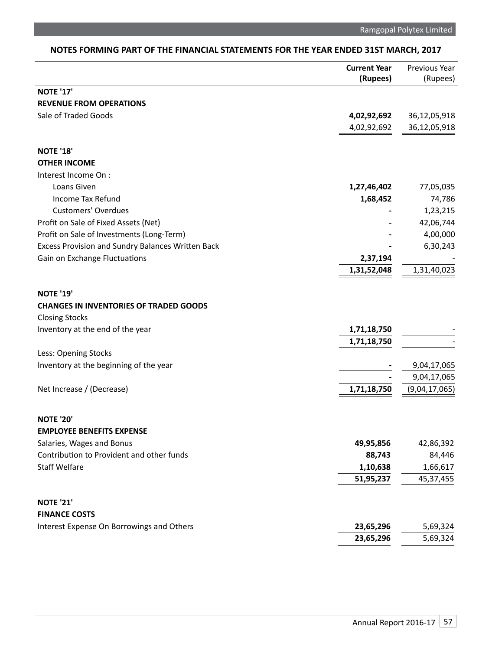# **Current Year (Rupees)** Previous Year (Rupees) **NOTE '17' REVENUE FROM OPERATIONS** Sale of Traded Goods **4,02,92,692** 36,12,05,918 4,02,92,692 36,12,05,918 **NOTE '18' OTHER INCOME** Interest Income On : Loans Given **1,27,46,402** 77,05,035 Income Tax Refund **1,68,452** 74,786 Customers' Overdues **-** 1,23,215 Profit on Sale of Fixed Assets (Net) **-** 42,06,744 Profit on Sale of Investments (Long-Term) **-** 4,00,000 Excess Provision and Sundry Balances Written Back **-** 6,30,243 Gain on Exchange Fluctuations **2,37,194** -  **1,31,52,048** 1,31,40,023 **NOTE '19' CHANGES IN INVENTORIES OF TRADED GOODS** Closing Stocks Inventory at the end of the year **1,71,18,750 1,71,18,750 1,71,18,750** - Less: Opening Stocks Inventory at the beginning of the year **-** 9,04,17,065  **-** 9,04,17,065 Net Increase / (Decrease) **1,71,18,750** (9,04,17,065) **NOTE '20' EMPLOYEE BENEFITS EXPENSE** Salaries, Wages and Bonus **49,95,856** 42,86,392 Contribution to Provident and other funds **88,743** 84,446 Staff Welfare **1,10,638** 1,66,617  **51,95,237** 45,37,455 **NOTE '21' FINANCE COSTS** Interest Expense On Borrowings and Others **23,65,296** 5,69,324  **23,65,296** 5,69,324

#### **NOTES FORMING PART OF THE FINANCIAL STATEMENTS FOR THE YEAR ENDED 31ST MARCH, 2017**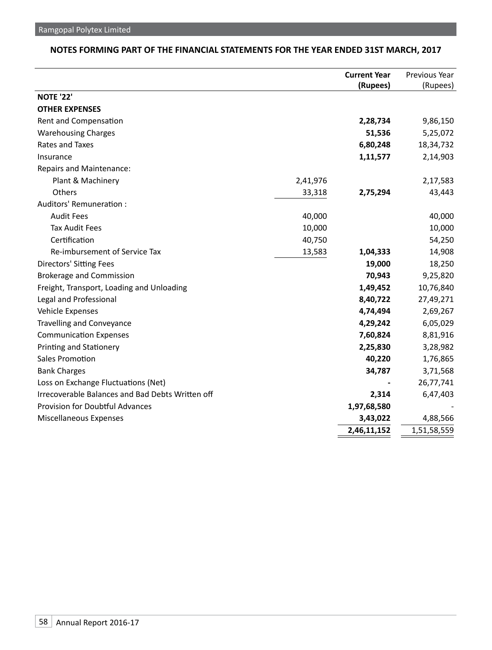|                                                  |          | <b>Current Year</b><br>(Rupees) | Previous Year<br>(Rupees) |
|--------------------------------------------------|----------|---------------------------------|---------------------------|
| <b>NOTE '22'</b>                                 |          |                                 |                           |
| <b>OTHER EXPENSES</b>                            |          |                                 |                           |
| Rent and Compensation                            |          | 2,28,734                        | 9,86,150                  |
| <b>Warehousing Charges</b>                       |          | 51,536                          | 5,25,072                  |
| Rates and Taxes                                  |          | 6,80,248                        | 18,34,732                 |
| Insurance                                        |          | 1,11,577                        | 2,14,903                  |
| Repairs and Maintenance:                         |          |                                 |                           |
| Plant & Machinery                                | 2,41,976 |                                 | 2,17,583                  |
| Others                                           | 33,318   | 2,75,294                        | 43,443                    |
| Auditors' Remuneration :                         |          |                                 |                           |
| <b>Audit Fees</b>                                | 40,000   |                                 | 40,000                    |
| <b>Tax Audit Fees</b>                            | 10,000   |                                 | 10,000                    |
| Certification                                    | 40,750   |                                 | 54,250                    |
| Re-imbursement of Service Tax                    | 13,583   | 1,04,333                        | 14,908                    |
| <b>Directors' Sitting Fees</b>                   |          | 19,000                          | 18,250                    |
| Brokerage and Commission                         |          | 70,943                          | 9,25,820                  |
| Freight, Transport, Loading and Unloading        |          | 1,49,452                        | 10,76,840                 |
| Legal and Professional                           |          | 8,40,722                        | 27,49,271                 |
| Vehicle Expenses                                 |          | 4,74,494                        | 2,69,267                  |
| <b>Travelling and Conveyance</b>                 |          | 4,29,242                        | 6,05,029                  |
| <b>Communication Expenses</b>                    |          | 7,60,824                        | 8,81,916                  |
| Printing and Stationery                          |          | 2,25,830                        | 3,28,982                  |
| <b>Sales Promotion</b>                           |          | 40,220                          | 1,76,865                  |
| <b>Bank Charges</b>                              |          | 34,787                          | 3,71,568                  |
| Loss on Exchange Fluctuations (Net)              |          |                                 | 26,77,741                 |
| Irrecoverable Balances and Bad Debts Written off |          | 2,314                           | 6,47,403                  |
| <b>Provision for Doubtful Advances</b>           |          | 1,97,68,580                     |                           |
| Miscellaneous Expenses                           |          | 3,43,022                        | 4,88,566                  |
|                                                  |          | 2,46,11,152                     | 1,51,58,559               |
|                                                  |          |                                 |                           |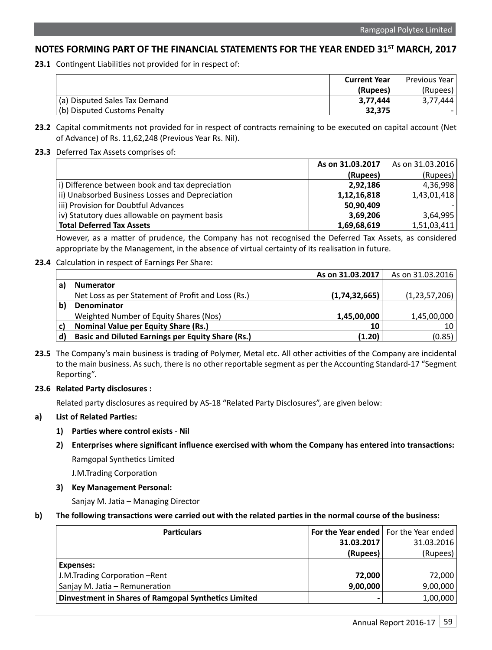**23.1** Contingent Liabilities not provided for in respect of:

|                               | <b>Current Year</b> | Previous Year |
|-------------------------------|---------------------|---------------|
|                               | (Rupees)            | (Rupees)      |
| (a) Disputed Sales Tax Demand | 3,77,444            | 3.77.444      |
| (b) Disputed Customs Penalty  | 32.375              |               |

- **23.2** Capital commitments not provided for in respect of contracts remaining to be executed on capital account (Net of Advance) of Rs. 11,62,248 (Previous Year Rs. Nil).
- **23.3** Deferred Tax Assets comprises of:

|                                                 | As on 31.03.2017 | As on 31.03.2016 |
|-------------------------------------------------|------------------|------------------|
|                                                 | (Rupees)         | (Rupees)         |
| i) Difference between book and tax depreciation | 2,92,186         | 4.36.998         |
| ii) Unabsorbed Business Losses and Depreciation | 1,12,16,818      | 1,43,01,418      |
| iii) Provision for Doubtful Advances            | 50,90,409        |                  |
| iv) Statutory dues allowable on payment basis   | 3,69,206         | 3,64,995         |
| <b>Total Deferred Tax Assets</b>                | 1,69,68,619      | 1,51,03,411      |

However, as a matter of prudence, the Company has not recognised the Deferred Tax Assets, as considered appropriate by the Management, in the absence of virtual certainty of its realisation in future.

#### **23.4** Calculation in respect of Earnings Per Share:

|    |                                                          | As on 31.03.2017 | As on 31.03.2016 |
|----|----------------------------------------------------------|------------------|------------------|
|    | <b>Numerator</b>                                         |                  |                  |
|    | Net Loss as per Statement of Profit and Loss (Rs.)       | (1,74,32,665)    | (1,23,57,206)    |
| bl | <b>Denominator</b>                                       |                  |                  |
|    | Weighted Number of Equity Shares (Nos)                   | 1,45,00,000      | 1,45,00,000      |
|    | <b>Nominal Value per Equity Share (Rs.)</b>              | 10               | 10 <sup>1</sup>  |
|    | <b>Basic and Diluted Earnings per Equity Share (Rs.)</b> | (1.20)           | (0.85)           |

**23.5** The Company's main business is trading of Polymer, Metal etc. All other activities of the Company are incidental to the main business. As such, there is no other reportable segment as per the Accounting Standard-17 "Segment Reporting".

#### **23.6 Related Party disclosures :**

Related party disclosures as required by AS-18 "Related Party Disclosures", are given below:

# **a) List of Related Parties:**

- **1) Parties where control exists Nil**
- **2) Enterprises where significant influence exercised with whom the Company has entered into transactions:** Ramgopal Synthetics Limited

J.M.Trading Corporation

**3) Key Management Personal:**

Sanjay M. Jatia – Managing Director

**b) The following transactions were carried out with the related parties in the normal course of the business:** 

| <b>Particulars</b>                                   |            | For the Year ended   For the Year ended |
|------------------------------------------------------|------------|-----------------------------------------|
|                                                      | 31.03.2017 | 31.03.2016                              |
|                                                      | (Rupees)   | (Rupees)                                |
| <b>Expenses:</b>                                     |            |                                         |
| J.M.Trading Corporation - Rent                       | 72.000     | 72,000                                  |
| Sanjay M. Jatia - Remuneration                       | 9,00,000   | 9,00,000                                |
| Dinvestment in Shares of Ramgopal Synthetics Limited | -          | 1,00,000                                |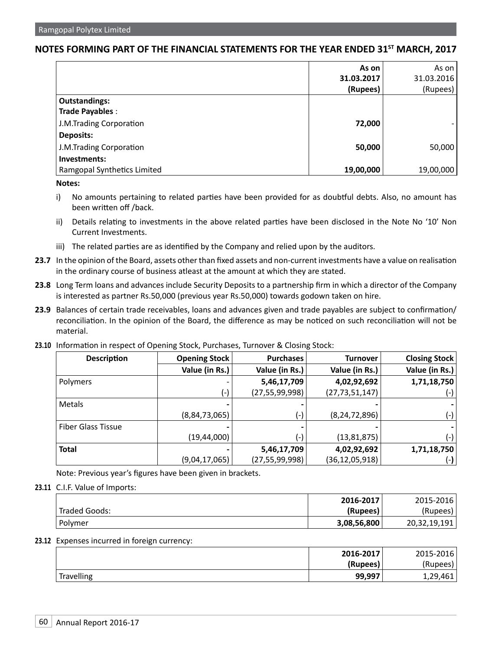|                             | As on      | As on $ $  |
|-----------------------------|------------|------------|
|                             | 31.03.2017 | 31.03.2016 |
|                             | (Rupees)   | (Rupees)   |
| <b>Outstandings:</b>        |            |            |
| Trade Payables:             |            |            |
| J.M.Trading Corporation     | 72,000     |            |
| Deposits:                   |            |            |
| J.M.Trading Corporation     | 50,000     | 50,000     |
| Investments:                |            |            |
| Ramgopal Synthetics Limited | 19,00,000  | 19,00,000  |

**Notes:**

- i) No amounts pertaining to related parties have been provided for as doubtful debts. Also, no amount has been written off /back.
- ii) Details relating to investments in the above related parties have been disclosed in the Note No '10' Non Current Investments.
- iii) The related parties are as identified by the Company and relied upon by the auditors.
- **23.7** In the opinion of the Board, assets other than fixed assets and non-current investments have a value on realisation in the ordinary course of business atleast at the amount at which they are stated.
- **23.8** Long Term loans and advances include Security Deposits to a partnership firm in which a director of the Company is interested as partner Rs.50,000 (previous year Rs.50,000) towards godown taken on hire.
- **23.9** Balances of certain trade receivables, loans and advances given and trade payables are subject to confirmation/ reconciliation. In the opinion of the Board, the difference as may be noticed on such reconciliation will not be material.
- **23.10** Information in respect of Opening Stock, Purchases, Turnover & Closing Stock:

| <b>Description</b>        | <b>Opening Stock</b> | <b>Purchases</b>  | <b>Turnover</b>   | <b>Closing Stock</b> |
|---------------------------|----------------------|-------------------|-------------------|----------------------|
|                           | Value (in Rs.)       | Value (in Rs.)    | Value (in Rs.)    | Value (in Rs.)       |
| Polymers                  |                      | 5,46,17,709       | 4,02,92,692       | 1,71,18,750          |
|                           | $(-)$                | (27, 55, 99, 998) | (27, 73, 51, 147) | $(\textnormal{-})$   |
| <b>Metals</b>             |                      |                   |                   |                      |
|                           | (8, 84, 73, 065)     | ( – )             | (8, 24, 72, 896)  | $(\textnormal{-})$   |
| <b>Fiber Glass Tissue</b> |                      |                   |                   |                      |
|                           | (19, 44, 000)        | $-1$              | (13, 81, 875)     | $(\textnormal{-})$   |
| <b>Total</b>              |                      | 5,46,17,709       | 4,02,92,692       | 1,71,18,750          |
|                           | (9,04,17,065)        | (27, 55, 99, 998) | (36, 12, 05, 918) | $(\textnormal{-})$   |

Note: Previous year's figures have been given in brackets.

**23.11** C.I.F. Value of Imports:

|               | 2016-2017   | 2015-2016    |
|---------------|-------------|--------------|
| Traded Goods: | (Rupees)    | (Rupees)     |
| Polymer       | 3,08,56,800 | 20,32,19,191 |

#### **23.12** Expenses incurred in foreign currency:

|                   | 2016-2017 | 2015-2016 |
|-------------------|-----------|-----------|
|                   | (Rupees)  | (Rupees)  |
| <b>Travelling</b> | 99,997    | 1,29,461  |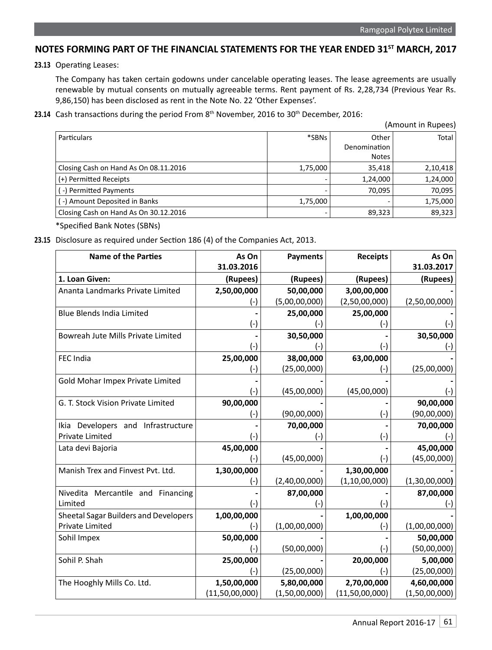**23.13** Operating Leases:

The Company has taken certain godowns under cancelable operating leases. The lease agreements are usually renewable by mutual consents on mutually agreeable terms. Rent payment of Rs. 2,28,734 (Previous Year Rs. 9,86,150) has been disclosed as rent in the Note No. 22 'Other Expenses'.

( $-$ ) Amount Deposited in Banks 1,75,000  $-$  1,75,000  $-$  1,75,000 Closing Cash on Hand As On 30.12.2016 **Closing Cash on Hand As On 30.12.2016** 89,323

23.14 Cash transactions during the period From 8<sup>th</sup> November, 2016 to 30<sup>th</sup> December, 2016:

(Amount in Rupees) Particulars the contract of the contract of the contract of the contract of the contract of the contract of the contract of the contract of the contract of the contract of the contract of the contract of the contract of th Denomination Notes Total Closing Cash on Hand As On 08.11.2016 1,75,000 35,418 2,10,418 (+) Permitted Receipts - 1,24,000 1,24,000 1,24,000 1,24,000 1,24,000 1,24,000 1,24,000 1,24,000 1,24,000 1,24,000 1,24,000 1,24,000 1,24,000 1,24,000 1,24,000 1,24,000 1,24,000 1,24,000 1,24,000 1,24,000 1,24,000 1,24,000 ( -) Permitted Payments - 70,095 70,095

\*Specified Bank Notes (SBNs)

**23.15** Disclosure as required under Section 186 (4) of the Companies Act, 2013.

| Name of the Parties                          | As On<br>31.03.2016 | <b>Payments</b> | <b>Receipts</b>  | As On<br>31.03.2017 |
|----------------------------------------------|---------------------|-----------------|------------------|---------------------|
| 1. Loan Given:                               | (Rupees)            | (Rupees)        | (Rupees)         | (Rupees)            |
| Ananta Landmarks Private Limited             | 2,50,00,000         | 50,00,000       | 3,00,00,000      |                     |
|                                              |                     | (5,00,00,000)   | (2,50,00,000)    | (2,50,00,000)       |
| <b>Blue Blends India Limited</b>             |                     | 25,00,000       | 25,00,000        |                     |
|                                              |                     |                 |                  |                     |
| Bowreah Jute Mills Private Limited           |                     | 30,50,000       |                  | 30,50,000           |
|                                              |                     |                 |                  |                     |
| <b>FEC India</b>                             | 25,00,000           | 38,00,000       | 63,00,000        |                     |
|                                              |                     | (25,00,000)     |                  | (25,00,000)         |
| Gold Mohar Impex Private Limited             |                     |                 |                  |                     |
|                                              |                     | (45,00,000)     | (45,00,000)      |                     |
| G. T. Stock Vision Private Limited           | 90,00,000           |                 |                  | 90,00,000           |
|                                              |                     | (90,00,000)     |                  | (90,00,000)         |
| Ikia Developers and Infrastructure           |                     | 70,00,000       |                  | 70,00,000           |
| Private Limited                              |                     |                 |                  |                     |
| Lata devi Bajoria                            | 45,00,000           |                 |                  | 45,00,000           |
|                                              |                     | (45,00,000)     | (-)              | (45,00,000)         |
| Manish Trex and Finvest Pvt. Ltd.            | 1,30,00,000         |                 | 1,30,00,000      |                     |
|                                              |                     | (2,40,00,000)   | (1, 10, 00, 000) | (1,30,00,000)       |
| Nivedita Mercantile and Financing            |                     | 87,00,000       |                  | 87,00,000           |
| Limited                                      |                     |                 |                  |                     |
| <b>Sheetal Sagar Builders and Developers</b> | 1,00,00,000         |                 | 1,00,00,000      |                     |
| <b>Private Limited</b>                       |                     | (1,00,00,000)   | (-)              | (1,00,00,000)       |
| Sohil Impex                                  | 50,00,000           |                 |                  | 50,00,000           |
|                                              |                     | (50,00,000)     | (-)              | (50,00,000)         |
| Sohil P. Shah                                | 25,00,000           |                 | 20,00,000        | 5,00,000            |
|                                              |                     | (25,00,000)     |                  | (25,00,000)         |
| The Hooghly Mills Co. Ltd.                   | 1,50,00,000         | 5,80,00,000     | 2,70,00,000      | 4,60,00,000         |
|                                              | (11,50,00,000)      | (1,50,00,000)   | (11,50,00,000)   | (1,50,00,000)       |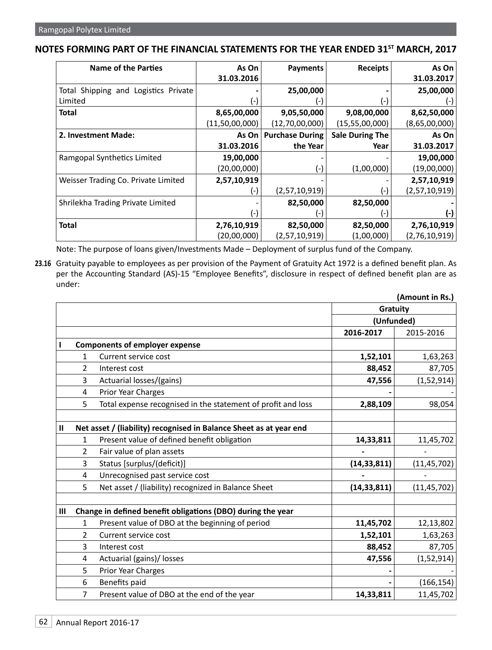| <b>Name of the Parties</b>           | As On          | <b>Payments</b>        | <b>Receipts</b>        | As On         |
|--------------------------------------|----------------|------------------------|------------------------|---------------|
|                                      | 31.03.2016     |                        |                        | 31.03.2017    |
| Total Shipping and Logistics Private |                | 25,00,000              |                        | 25,00,000     |
| Limited                              |                |                        |                        | ( – )         |
| <b>Total</b>                         | 8,65,00,000    | 9,05,50,000            | 9,08,00,000            | 8,62,50,000   |
|                                      | (11,50,00,000) | (12,70,00,000)         | (15, 55, 00, 000)      | (8,65,00,000) |
| 2. Investment Made:                  | As On          | <b>Purchase During</b> | <b>Sale During The</b> | As On         |
|                                      | 31.03.2016     | the Year               | Year                   | 31.03.2017    |
| Ramgopal Synthetics Limited          | 19,00,000      |                        |                        | 19,00,000     |
|                                      | (20,00,000)    | (-)                    | (1,00,000)             | (19,00,000)   |
| Weisser Trading Co. Private Limited  | 2,57,10,919    |                        |                        | 2,57,10,919   |
|                                      | (-)            | (2,57,10,919)          |                        | (2,57,10,919) |
| Shrilekha Trading Private Limited    |                | 82,50,000              | 82,50,000              |               |
|                                      |                |                        |                        | (-)           |
| Total                                | 2,76,10,919    | 82,50,000              | 82,50,000              | 2,76,10,919   |
|                                      | (20,00,000)    | (2,57,10,919)          | (1,00,000)             | (2,76,10,919) |

Note: The purpose of loans given/Investments Made – Deployment of surplus fund of the Company.

**23.16** Gratuity payable to employees as per provision of the Payment of Gratuity Act 1972 is a defined benefit plan. As per the Accounting Standard (AS)-15 "Employee Benefits", disclosure in respect of defined benefit plan are as under:

|              |   |                                                                    | (Amount in Rs.) |               |  |  |
|--------------|---|--------------------------------------------------------------------|-----------------|---------------|--|--|
|              |   |                                                                    | Gratuity        |               |  |  |
|              |   |                                                                    | (Unfunded)      |               |  |  |
|              |   |                                                                    | 2016-2017       | 2015-2016     |  |  |
|              |   | <b>Components of employer expense</b>                              |                 |               |  |  |
|              | 1 | Current service cost<br>1,52,101                                   |                 | 1,63,263      |  |  |
|              | 2 | Interest cost                                                      | 88,452          | 87,705        |  |  |
|              | 3 | Actuarial losses/(gains)                                           | 47,556          | (1,52,914)    |  |  |
|              | 4 | Prior Year Charges                                                 |                 |               |  |  |
|              | 5 | Total expense recognised in the statement of profit and loss       | 2,88,109        | 98,054        |  |  |
|              |   |                                                                    |                 |               |  |  |
| $\mathbf{I}$ |   | Net asset / (liability) recognised in Balance Sheet as at year end |                 |               |  |  |
|              | 1 | Present value of defined benefit obligation                        | 14,33,811       | 11,45,702     |  |  |
|              | 2 | Fair value of plan assets                                          |                 |               |  |  |
|              | 3 | Status [surplus/(deficit)]                                         | (14, 33, 811)   | (11, 45, 702) |  |  |
|              | 4 | Unrecognised past service cost                                     |                 |               |  |  |
|              | 5 | Net asset / (liability) recognized in Balance Sheet                | (14, 33, 811)   | (11, 45, 702) |  |  |
|              |   |                                                                    |                 |               |  |  |
| III          |   | Change in defined benefit obligations (DBO) during the year        |                 |               |  |  |
|              | 1 | Present value of DBO at the beginning of period                    | 11,45,702       | 12,13,802     |  |  |
|              | 2 | Current service cost                                               | 1,52,101        | 1,63,263      |  |  |
|              | 3 | Interest cost                                                      | 88,452          | 87,705        |  |  |
|              | 4 | Actuarial (gains)/ losses                                          | 47,556          | (1,52,914)    |  |  |
|              | 5 | Prior Year Charges                                                 |                 |               |  |  |
|              | 6 | Benefits paid                                                      |                 | (166, 154)    |  |  |
|              | 7 | Present value of DBO at the end of the year                        | 14,33,811       | 11,45,702     |  |  |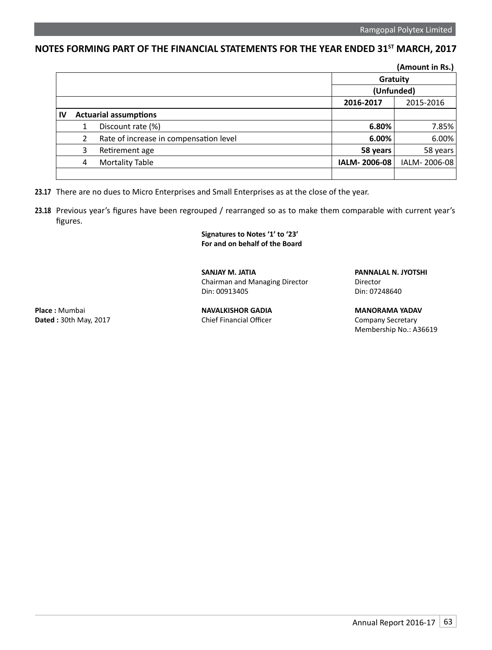**(Amount in Rs.)**

|    |   |                                        |              | Gratuity     |  |  |
|----|---|----------------------------------------|--------------|--------------|--|--|
|    |   |                                        |              | (Unfunded)   |  |  |
|    |   |                                        | 2016-2017    | 2015-2016    |  |  |
| IV |   | <b>Actuarial assumptions</b>           |              |              |  |  |
|    |   | Discount rate (%)                      | 6.80%        | 7.85%        |  |  |
|    |   | Rate of increase in compensation level | 6.00%        | 6.00%        |  |  |
|    | 3 | Retirement age                         | 58 years     | 58 years     |  |  |
|    | 4 | <b>Mortality Table</b>                 | IALM-2006-08 | IALM-2006-08 |  |  |
|    |   |                                        |              |              |  |  |

- **23.17** There are no dues to Micro Enterprises and Small Enterprises as at the close of the year.
- **23.18** Previous year's figures have been regrouped / rearranged so as to make them comparable with current year's figures.

**Signatures to Notes '1' to '23' For and on behalf of the Board**

**SANJAY M. JATIA PANNALAL N. JYOTSHI Chairman and Managing Director <b>Director** Director Din: 00913405 Din: 07248640

**Place :** Mumbai **NAVALKISHOR GADIA MANORAMA YADAV** Dated : 30th May, 2017 **Chief Financial Officer** Company Secretary Company Secretary

Membership No.: A36619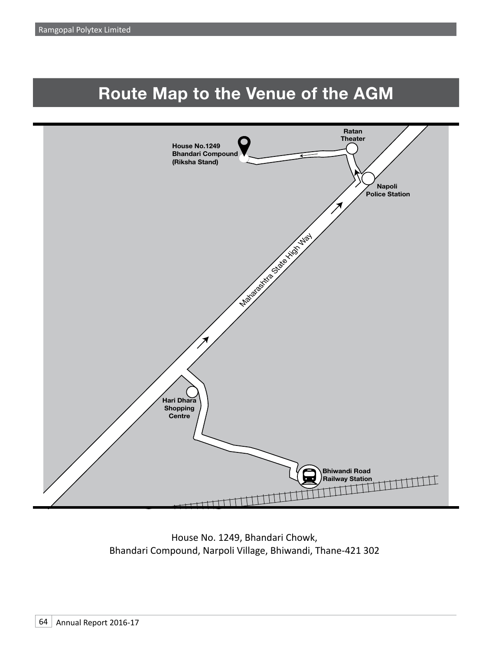# **Route Map to the Venue of the AGM**



**House No. 1249, Bhandari Chowk,** Bhandari Compound, Narpoli Village, Bhiwandi, Thane-421 302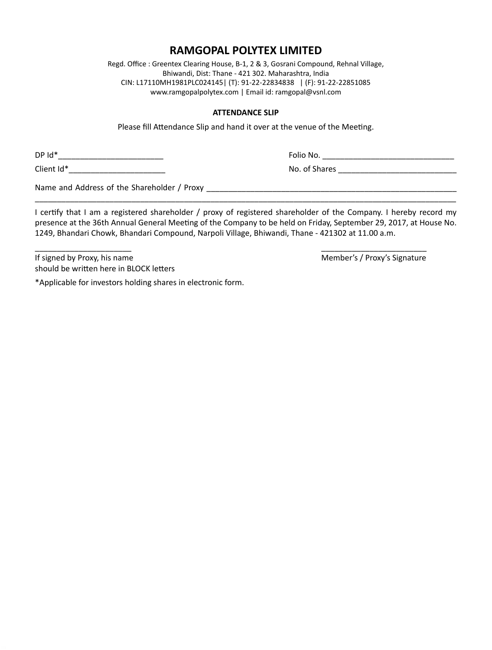# **RAMGOPAL POLYTEX LIMITED**

Regd. Office : Greentex Clearing House, B-1, 2 & 3, Gosrani Compound, Rehnal Village, Bhiwandi, Dist: Thane - 421 302. Maharashtra, India CIN: L17110MH1981PLC024145| (T): 91-22-22834838 | (F): 91-22-22851085 www.ramgopalpolytex.com | Email id: ramgopal@vsnl.com

# **ATTENDANCE SLIP**

Please fill Attendance Slip and hand it over at the venue of the Meeting.

Client Id\*\_\_\_\_\_\_\_\_\_\_\_\_\_\_\_\_\_\_\_\_\_\_ No. of Shares \_\_\_\_\_\_\_\_\_\_\_\_\_\_\_\_\_\_\_\_\_\_\_\_\_\_\_

 $DP \, Id^* \_\_\_\_\_\_\_\_\_\_\_\_\_\_\_\_\_\_\_\_\_\_\_\_ \$ 

Name and Address of the Shareholder / Proxy \_\_\_\_\_\_\_\_\_\_\_\_\_\_\_\_\_\_\_\_\_\_\_\_\_\_\_\_\_\_\_\_\_\_\_\_\_\_\_\_\_\_\_\_\_\_\_\_\_\_\_\_\_\_\_\_\_

I certify that I am a registered shareholder / proxy of registered shareholder of the Company. I hereby record my presence at the 36th Annual General Meeting of the Company to be held on Friday, September 29, 2017, at House No. 1249, Bhandari Chowk, Bhandari Compound, Narpoli Village, Bhiwandi, Thane - 421302 at 11.00 a.m.

\_\_\_\_\_\_\_\_\_\_\_\_\_\_\_\_\_\_\_\_\_\_\_\_\_\_\_\_\_\_\_\_\_\_\_\_\_\_\_\_\_\_\_\_\_\_\_\_\_\_\_\_\_\_\_\_\_\_\_\_\_\_\_\_\_\_\_\_\_\_\_\_\_\_\_\_\_\_\_\_\_\_\_\_\_\_\_\_\_\_\_\_\_\_\_\_

 $\frac{1}{2}$  ,  $\frac{1}{2}$  ,  $\frac{1}{2}$  ,  $\frac{1}{2}$  ,  $\frac{1}{2}$  ,  $\frac{1}{2}$  ,  $\frac{1}{2}$  ,  $\frac{1}{2}$  ,  $\frac{1}{2}$  ,  $\frac{1}{2}$  ,  $\frac{1}{2}$  ,  $\frac{1}{2}$  ,  $\frac{1}{2}$  ,  $\frac{1}{2}$  ,  $\frac{1}{2}$  ,  $\frac{1}{2}$  ,  $\frac{1}{2}$  ,  $\frac{1}{2}$  ,  $\frac{1$ If signed by Proxy, his name Member's / Proxy's Signature should be written here in BLOCK letters

\*Applicable for investors holding shares in electronic form.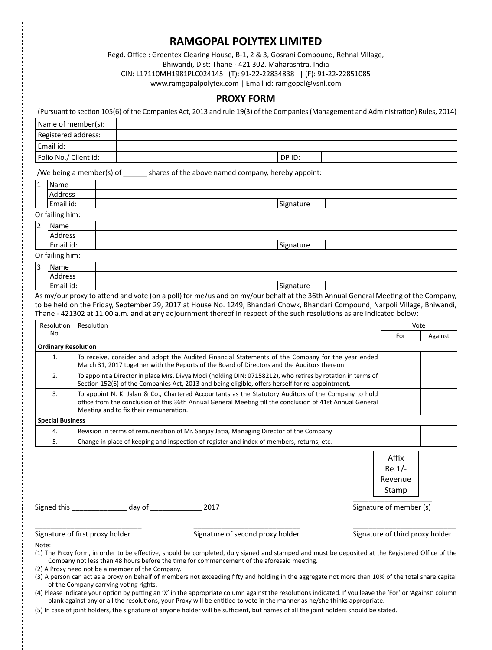# **RAMGOPAL POLYTEX LIMITED**

Regd. Office : Greentex Clearing House, B-1, 2 & 3, Gosrani Compound, Rehnal Village, Bhiwandi, Dist: Thane - 421 302. Maharashtra, India CIN: L17110MH1981PLC024145| (T): 91-22-22834838 | (F): 91-22-22851085 www.ramgopalpolytex.com | Email id: ramgopal@vsnl.com

# **PROXY FORM**

|                   |                                                                     |                                                                                                                                                                                                                                                             |                                                                                           |  |                         |                                 |           | (Pursuant to section 105(6) of the Companies Act, 2013 and rule 19(3) of the Companies (Management and Administration) Rules, 2014)                                                                                                                                                                                                                                                         |                                       |                 |
|-------------------|---------------------------------------------------------------------|-------------------------------------------------------------------------------------------------------------------------------------------------------------------------------------------------------------------------------------------------------------|-------------------------------------------------------------------------------------------|--|-------------------------|---------------------------------|-----------|---------------------------------------------------------------------------------------------------------------------------------------------------------------------------------------------------------------------------------------------------------------------------------------------------------------------------------------------------------------------------------------------|---------------------------------------|-----------------|
|                   |                                                                     | Name of member(s):                                                                                                                                                                                                                                          |                                                                                           |  |                         |                                 |           |                                                                                                                                                                                                                                                                                                                                                                                             |                                       |                 |
|                   |                                                                     | Registered address:                                                                                                                                                                                                                                         |                                                                                           |  |                         |                                 |           |                                                                                                                                                                                                                                                                                                                                                                                             |                                       |                 |
|                   | Email id:                                                           |                                                                                                                                                                                                                                                             |                                                                                           |  |                         |                                 |           |                                                                                                                                                                                                                                                                                                                                                                                             |                                       |                 |
|                   |                                                                     | Folio No./ Client id:                                                                                                                                                                                                                                       |                                                                                           |  |                         |                                 | DP ID:    |                                                                                                                                                                                                                                                                                                                                                                                             |                                       |                 |
|                   |                                                                     |                                                                                                                                                                                                                                                             | I/We being a member(s) of ______ shares of the above named company, hereby appoint:       |  |                         |                                 |           |                                                                                                                                                                                                                                                                                                                                                                                             |                                       |                 |
| $\mathbf{1}$      | Name                                                                |                                                                                                                                                                                                                                                             |                                                                                           |  |                         |                                 |           |                                                                                                                                                                                                                                                                                                                                                                                             |                                       |                 |
|                   | Address                                                             |                                                                                                                                                                                                                                                             |                                                                                           |  |                         |                                 |           |                                                                                                                                                                                                                                                                                                                                                                                             |                                       |                 |
|                   | Email id:<br>Signature                                              |                                                                                                                                                                                                                                                             |                                                                                           |  |                         |                                 |           |                                                                                                                                                                                                                                                                                                                                                                                             |                                       |                 |
|                   | Or failing him:                                                     |                                                                                                                                                                                                                                                             |                                                                                           |  |                         |                                 |           |                                                                                                                                                                                                                                                                                                                                                                                             |                                       |                 |
| 2                 | Name                                                                |                                                                                                                                                                                                                                                             |                                                                                           |  |                         |                                 |           |                                                                                                                                                                                                                                                                                                                                                                                             |                                       |                 |
|                   | Address                                                             |                                                                                                                                                                                                                                                             |                                                                                           |  |                         |                                 |           |                                                                                                                                                                                                                                                                                                                                                                                             |                                       |                 |
|                   | Email id:<br>Or failing him:                                        |                                                                                                                                                                                                                                                             |                                                                                           |  |                         |                                 | Signature |                                                                                                                                                                                                                                                                                                                                                                                             |                                       |                 |
| 3                 | Name                                                                |                                                                                                                                                                                                                                                             |                                                                                           |  |                         |                                 |           |                                                                                                                                                                                                                                                                                                                                                                                             |                                       |                 |
|                   | Address                                                             |                                                                                                                                                                                                                                                             |                                                                                           |  |                         |                                 |           |                                                                                                                                                                                                                                                                                                                                                                                             |                                       |                 |
|                   | Email id:                                                           |                                                                                                                                                                                                                                                             |                                                                                           |  |                         |                                 | Signature |                                                                                                                                                                                                                                                                                                                                                                                             |                                       |                 |
|                   |                                                                     |                                                                                                                                                                                                                                                             |                                                                                           |  |                         |                                 |           | As my/our proxy to attend and vote (on a poll) for me/us and on my/our behalf at the 36th Annual General Meeting of the Company,<br>to be held on the Friday, September 29, 2017 at House No. 1249, Bhandari Chowk, Bhandari Compound, Narpoli Village, Bhiwandi,<br>Thane - 421302 at 11.00 a.m. and at any adjournment thereof in respect of the such resolutions as are indicated below: |                                       |                 |
| Resolution<br>No. |                                                                     | Resolution                                                                                                                                                                                                                                                  |                                                                                           |  |                         |                                 |           |                                                                                                                                                                                                                                                                                                                                                                                             | For                                   | Vote<br>Against |
|                   | <b>Ordinary Resolution</b>                                          |                                                                                                                                                                                                                                                             |                                                                                           |  |                         |                                 |           |                                                                                                                                                                                                                                                                                                                                                                                             |                                       |                 |
|                   | 1.                                                                  | To receive, consider and adopt the Audited Financial Statements of the Company for the year ended<br>March 31, 2017 together with the Reports of the Board of Directors and the Auditors thereon                                                            |                                                                                           |  |                         |                                 |           |                                                                                                                                                                                                                                                                                                                                                                                             |                                       |                 |
|                   | 2.                                                                  | To appoint a Director in place Mrs. Divya Modi (holding DIN: 07158212), who retires by rotation in terms of<br>Section 152(6) of the Companies Act, 2013 and being eligible, offers herself for re-appointment.                                             |                                                                                           |  |                         |                                 |           |                                                                                                                                                                                                                                                                                                                                                                                             |                                       |                 |
|                   | 3.                                                                  | To appoint N. K. Jalan & Co., Chartered Accountants as the Statutory Auditors of the Company to hold<br>office from the conclusion of this 36th Annual General Meeting till the conclusion of 41st Annual General<br>Meeting and to fix their remuneration. |                                                                                           |  |                         |                                 |           |                                                                                                                                                                                                                                                                                                                                                                                             |                                       |                 |
|                   | <b>Special Business</b>                                             |                                                                                                                                                                                                                                                             |                                                                                           |  |                         |                                 |           |                                                                                                                                                                                                                                                                                                                                                                                             |                                       |                 |
|                   | 4.                                                                  |                                                                                                                                                                                                                                                             | Revision in terms of remuneration of Mr. Sanjay Jatia, Managing Director of the Company   |  |                         |                                 |           |                                                                                                                                                                                                                                                                                                                                                                                             |                                       |                 |
|                   | 5.                                                                  |                                                                                                                                                                                                                                                             | Change in place of keeping and inspection of register and index of members, returns, etc. |  |                         |                                 |           |                                                                                                                                                                                                                                                                                                                                                                                             |                                       |                 |
|                   |                                                                     |                                                                                                                                                                                                                                                             |                                                                                           |  |                         |                                 |           |                                                                                                                                                                                                                                                                                                                                                                                             | Affix<br>$Re.1/-$<br>Revenue<br>Stamp |                 |
|                   | Signed this ___________________ day of ______________<br>2017       |                                                                                                                                                                                                                                                             |                                                                                           |  | Signature of member (s) |                                 |           |                                                                                                                                                                                                                                                                                                                                                                                             |                                       |                 |
| Note:             | Signature of first proxy holder<br>Signature of second proxy holder |                                                                                                                                                                                                                                                             |                                                                                           |  |                         | Signature of third proxy holder |           |                                                                                                                                                                                                                                                                                                                                                                                             |                                       |                 |
|                   |                                                                     |                                                                                                                                                                                                                                                             |                                                                                           |  |                         |                                 |           | (1) The Proxy form in order to be effective, should be completed, duly signed and stamped and must be denosited at the Registered Office of the                                                                                                                                                                                                                                             |                                       |                 |

mpleted, duly signed and stamped and must be deposited at the Registered Office of the  $\,$ Company not less than 48 hours before the time for commencement of the aforesaid meeting.

(2) A Proxy need not be a member of the Company.

(3) A person can act as a proxy on behalf of members not exceeding fifty and holding in the aggregate not more than 10% of the total share capital of the Company carrying voting rights.

(4) Please indicate your option by putting an 'X' in the appropriate column against the resolutions indicated. If you leave the 'For' or 'Against' column blank against any or all the resolutions, your Proxy will be entitled to vote in the manner as he/she thinks appropriate.

(5) In case of joint holders, the signature of anyone holder will be sufficient, but names of all the joint holders should be stated.